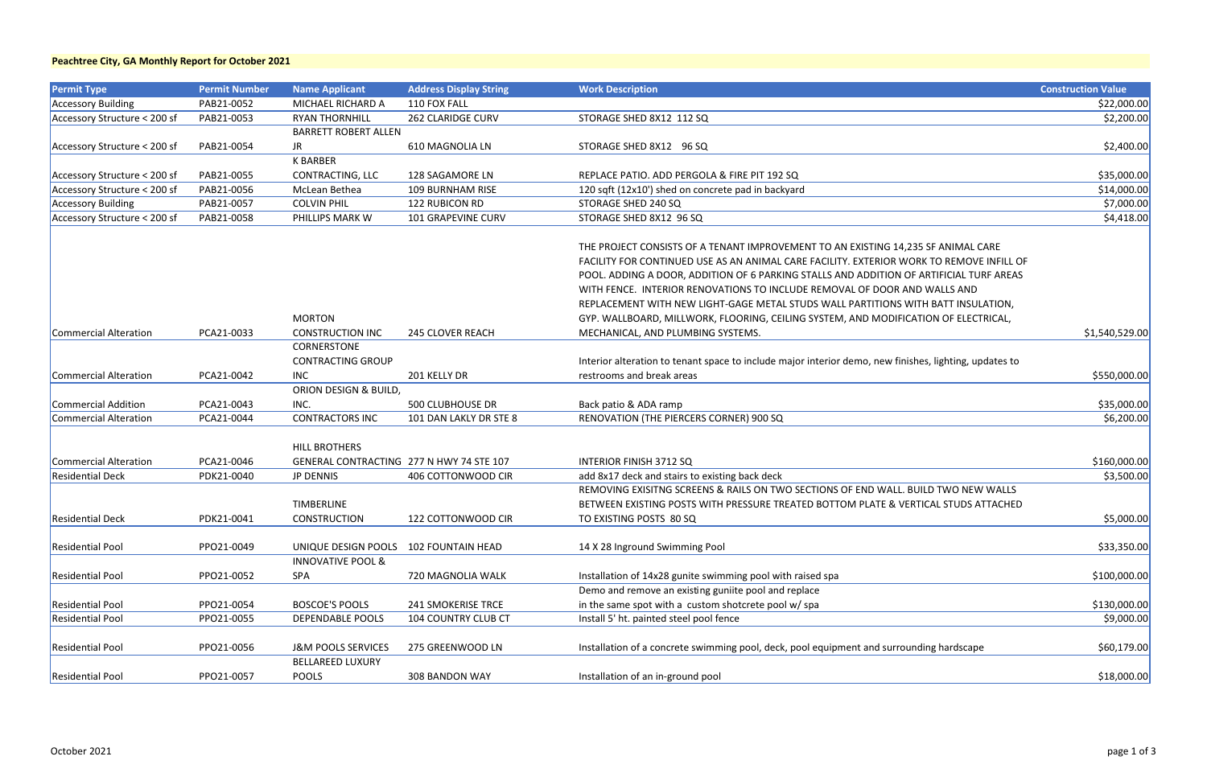| <b>Permit Type</b>           | <b>Permit Number</b> | <b>Name Applicant</b>         | <b>Address Display String</b>            | <b>Work Description</b>                                                                                | <b>Construction Value</b> |
|------------------------------|----------------------|-------------------------------|------------------------------------------|--------------------------------------------------------------------------------------------------------|---------------------------|
| <b>Accessory Building</b>    | PAB21-0052           | MICHAEL RICHARD A             | 110 FOX FALL                             |                                                                                                        | \$22,000.00               |
| Accessory Structure < 200 sf | PAB21-0053           | <b>RYAN THORNHILL</b>         | <b>262 CLARIDGE CURV</b>                 | STORAGE SHED 8X12 112 SQ                                                                               | \$2,200.00                |
|                              |                      | <b>BARRETT ROBERT ALLEN</b>   |                                          |                                                                                                        |                           |
| Accessory Structure < 200 sf | PAB21-0054           | JR                            | 610 MAGNOLIA LN                          | STORAGE SHED 8X12 96 SQ                                                                                | \$2,400.00                |
|                              |                      | <b>K BARBER</b>               |                                          |                                                                                                        |                           |
| Accessory Structure < 200 sf | PAB21-0055           | CONTRACTING, LLC              | 128 SAGAMORE LN                          | REPLACE PATIO. ADD PERGOLA & FIRE PIT 192 SQ                                                           | \$35,000.00               |
| Accessory Structure < 200 sf | PAB21-0056           | McLean Bethea                 | 109 BURNHAM RISE                         | 120 sqft (12x10') shed on concrete pad in backyard                                                     | \$14,000.00               |
| <b>Accessory Building</b>    | PAB21-0057           | <b>COLVIN PHIL</b>            | 122 RUBICON RD                           | STORAGE SHED 240 SQ                                                                                    | \$7,000.00                |
| Accessory Structure < 200 sf | PAB21-0058           | PHILLIPS MARK W               | 101 GRAPEVINE CURV                       | STORAGE SHED 8X12 96 SQ                                                                                | \$4,418.00                |
|                              |                      |                               |                                          |                                                                                                        |                           |
|                              |                      |                               |                                          | THE PROJECT CONSISTS OF A TENANT IMPROVEMENT TO AN EXISTING 14,235 SF ANIMAL CARE                      |                           |
|                              |                      |                               |                                          | FACILITY FOR CONTINUED USE AS AN ANIMAL CARE FACILITY. EXTERIOR WORK TO REMOVE INFILL OF               |                           |
|                              |                      |                               |                                          | POOL. ADDING A DOOR, ADDITION OF 6 PARKING STALLS AND ADDITION OF ARTIFICIAL TURF AREAS                |                           |
|                              |                      |                               |                                          | WITH FENCE. INTERIOR RENOVATIONS TO INCLUDE REMOVAL OF DOOR AND WALLS AND                              |                           |
|                              |                      |                               |                                          | REPLACEMENT WITH NEW LIGHT-GAGE METAL STUDS WALL PARTITIONS WITH BATT INSULATION,                      |                           |
|                              |                      | <b>MORTON</b>                 |                                          | GYP. WALLBOARD, MILLWORK, FLOORING, CEILING SYSTEM, AND MODIFICATION OF ELECTRICAL,                    |                           |
| Commercial Alteration        | PCA21-0033           | <b>CONSTRUCTION INC</b>       | <b>245 CLOVER REACH</b>                  | MECHANICAL, AND PLUMBING SYSTEMS.                                                                      | \$1,540,529.00            |
|                              |                      | CORNERSTONE                   |                                          |                                                                                                        |                           |
|                              |                      | <b>CONTRACTING GROUP</b>      |                                          | Interior alteration to tenant space to include major interior demo, new finishes, lighting, updates to |                           |
| Commercial Alteration        | PCA21-0042           | INC                           | 201 KELLY DR                             | restrooms and break areas                                                                              | \$550,000.00              |
|                              |                      | ORION DESIGN & BUILD,         |                                          |                                                                                                        |                           |
| <b>Commercial Addition</b>   | PCA21-0043           | INC.                          | <b>500 CLUBHOUSE DR</b>                  | Back patio & ADA ramp                                                                                  | \$35,000.00               |
| <b>Commercial Alteration</b> | PCA21-0044           | <b>CONTRACTORS INC</b>        | 101 DAN LAKLY DR STE 8                   | RENOVATION (THE PIERCERS CORNER) 900 SQ                                                                | \$6,200.00                |
|                              |                      |                               |                                          |                                                                                                        |                           |
|                              |                      | <b>HILL BROTHERS</b>          |                                          |                                                                                                        |                           |
| <b>Commercial Alteration</b> | PCA21-0046           |                               | GENERAL CONTRACTING 277 N HWY 74 STE 107 | <b>INTERIOR FINISH 3712 SQ</b>                                                                         | \$160,000.00              |
| <b>Residential Deck</b>      | PDK21-0040           | <b>JP DENNIS</b>              | 406 COTTONWOOD CIR                       | add 8x17 deck and stairs to existing back deck                                                         | \$3,500.00                |
|                              |                      |                               |                                          | REMOVING EXISITNG SCREENS & RAILS ON TWO SECTIONS OF END WALL. BUILD TWO NEW WALLS                     |                           |
|                              |                      | <b>TIMBERLINE</b>             |                                          | BETWEEN EXISTING POSTS WITH PRESSURE TREATED BOTTOM PLATE & VERTICAL STUDS ATTACHED                    |                           |
| <b>Residential Deck</b>      | PDK21-0041           | <b>CONSTRUCTION</b>           | 122 COTTONWOOD CIR                       | TO EXISTING POSTS 80 SQ                                                                                | \$5,000.00                |
|                              |                      |                               |                                          |                                                                                                        |                           |
| <b>Residential Pool</b>      | PPO21-0049           | UNIQUE DESIGN POOLS           | <b>102 FOUNTAIN HEAD</b>                 | 14 X 28 Inground Swimming Pool                                                                         | \$33,350.00               |
|                              |                      | <b>INNOVATIVE POOL &amp;</b>  |                                          |                                                                                                        |                           |
| <b>Residential Pool</b>      | PPO21-0052           | SPA                           | 720 MAGNOLIA WALK                        | Installation of 14x28 gunite swimming pool with raised spa                                             | \$100,000.00              |
|                              |                      |                               |                                          | Demo and remove an existing guniite pool and replace                                                   |                           |
| <b>Residential Pool</b>      | PPO21-0054           | <b>BOSCOE'S POOLS</b>         | <b>241 SMOKERISE TRCE</b>                | in the same spot with a custom shotcrete pool w/ spa                                                   | \$130,000.00              |
| <b>Residential Pool</b>      | PPO21-0055           | <b>DEPENDABLE POOLS</b>       | <b>104 COUNTRY CLUB CT</b>               | Install 5' ht. painted steel pool fence                                                                | \$9,000.00                |
|                              |                      |                               |                                          |                                                                                                        |                           |
| <b>Residential Pool</b>      | PPO21-0056           | <b>J&amp;M POOLS SERVICES</b> | 275 GREENWOOD LN                         | Installation of a concrete swimming pool, deck, pool equipment and surrounding hardscape               | \$60,179.00               |
|                              |                      | <b>BELLAREED LUXURY</b>       |                                          |                                                                                                        |                           |
| <b>Residential Pool</b>      | PPO21-0057           | POOLS                         | 308 BANDON WAY                           | Installation of an in-ground pool                                                                      | \$18,000.00               |
|                              |                      |                               |                                          |                                                                                                        |                           |

#### **Peachtree City, GA Monthly Report for October 2021**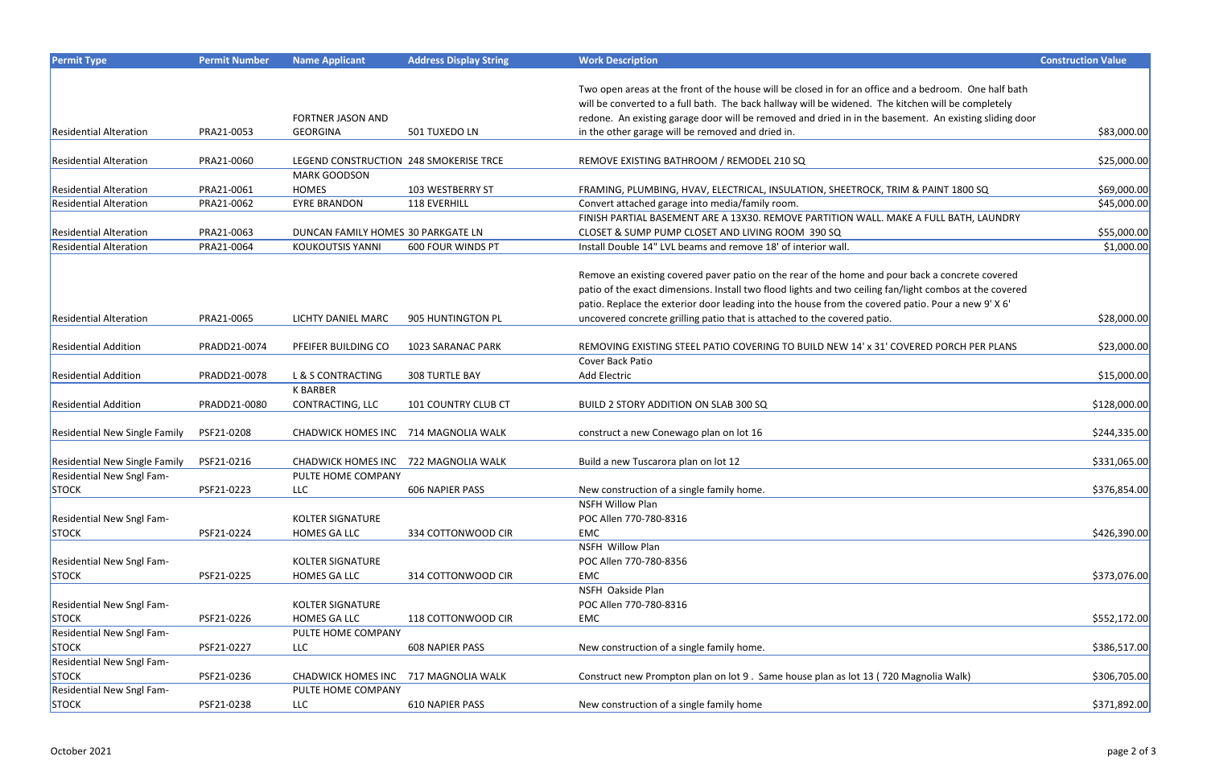| <b>Permit Type</b>                   | <b>Permit Number</b> | <b>Name Applicant</b>                  | <b>Address Display String</b> | <b>Work Description</b>                                                                                 | <b>Construction Value</b> |
|--------------------------------------|----------------------|----------------------------------------|-------------------------------|---------------------------------------------------------------------------------------------------------|---------------------------|
|                                      |                      |                                        |                               |                                                                                                         |                           |
|                                      |                      |                                        |                               | Two open areas at the front of the house will be closed in for an office and a bedroom. One half bath   |                           |
|                                      |                      |                                        |                               | will be converted to a full bath. The back hallway will be widened. The kitchen will be completely      |                           |
|                                      |                      | <b>FORTNER JASON AND</b>               |                               | redone. An existing garage door will be removed and dried in in the basement. An existing sliding door  |                           |
| <b>Residential Alteration</b>        | PRA21-0053           | <b>GEORGINA</b>                        | 501 TUXEDO LN                 | in the other garage will be removed and dried in.                                                       | \$83,000.00               |
|                                      |                      |                                        |                               |                                                                                                         |                           |
| <b>Residential Alteration</b>        | PRA21-0060           | LEGEND CONSTRUCTION 248 SMOKERISE TRCE |                               | REMOVE EXISTING BATHROOM / REMODEL 210 SQ                                                               | \$25,000.00]              |
|                                      |                      | <b>MARK GOODSON</b>                    |                               |                                                                                                         |                           |
| <b>Residential Alteration</b>        | PRA21-0061           | <b>HOMES</b>                           | 103 WESTBERRY ST              | FRAMING, PLUMBING, HVAV, ELECTRICAL, INSULATION, SHEETROCK, TRIM & PAINT 1800 SQ                        | \$69,000.00               |
| <b>Residential Alteration</b>        | PRA21-0062           | <b>EYRE BRANDON</b>                    | 118 EVERHILL                  | Convert attached garage into media/family room.                                                         | \$45,000.00               |
|                                      |                      |                                        |                               | FINISH PARTIAL BASEMENT ARE A 13X30. REMOVE PARTITION WALL. MAKE A FULL BATH, LAUNDRY                   |                           |
| <b>Residential Alteration</b>        | PRA21-0063           | DUNCAN FAMILY HOMES 30 PARKGATE LN     |                               | CLOSET & SUMP PUMP CLOSET AND LIVING ROOM 390 SQ                                                        | \$55,000.00               |
| <b>Residential Alteration</b>        | PRA21-0064           | <b>KOUKOUTSIS YANNI</b>                | 600 FOUR WINDS PT             | Install Double 14" LVL beams and remove 18' of interior wall.                                           | \$1,000.00                |
|                                      |                      |                                        |                               | Remove an existing covered paver patio on the rear of the home and pour back a concrete covered         |                           |
|                                      |                      |                                        |                               | patio of the exact dimensions. Install two flood lights and two ceiling fan/light combos at the covered |                           |
|                                      |                      |                                        |                               | patio. Replace the exterior door leading into the house from the covered patio. Pour a new 9' X 6'      |                           |
| <b>Residential Alteration</b>        | PRA21-0065           | LICHTY DANIEL MARC                     | 905 HUNTINGTON PL             | uncovered concrete grilling patio that is attached to the covered patio.                                | \$28,000.00               |
|                                      |                      |                                        |                               |                                                                                                         |                           |
| <b>Residential Addition</b>          | PRADD21-0074         | PFEIFER BUILDING CO                    | 1023 SARANAC PARK             | REMOVING EXISTING STEEL PATIO COVERING TO BUILD NEW 14' x 31' COVERED PORCH PER PLANS                   | \$23,000.00               |
|                                      |                      |                                        |                               | Cover Back Patio                                                                                        |                           |
| <b>Residential Addition</b>          | PRADD21-0078         | L & S CONTRACTING                      | <b>308 TURTLE BAY</b>         | Add Electric                                                                                            | \$15,000.00               |
|                                      |                      | <b>K BARBER</b>                        |                               |                                                                                                         |                           |
| <b>Residential Addition</b>          | PRADD21-0080         | CONTRACTING, LLC                       | <b>101 COUNTRY CLUB CT</b>    | BUILD 2 STORY ADDITION ON SLAB 300 SQ                                                                   | \$128,000.00              |
|                                      |                      |                                        |                               |                                                                                                         |                           |
| <b>Residential New Single Family</b> | PSF21-0208           | <b>CHADWICK HOMES INC</b>              | 714 MAGNOLIA WALK             | construct a new Conewago plan on lot 16                                                                 | \$244,335.00              |
|                                      |                      |                                        |                               |                                                                                                         |                           |
| <b>Residential New Single Family</b> | PSF21-0216           | <b>CHADWICK HOMES INC</b>              | 722 MAGNOLIA WALK             | Build a new Tuscarora plan on lot 12                                                                    | \$331,065.00              |
| <b>Residential New Sngl Fam-</b>     |                      | PULTE HOME COMPANY                     |                               |                                                                                                         |                           |
| <b>STOCK</b>                         | PSF21-0223           | LLC –                                  | 606 NAPIER PASS               | New construction of a single family home.                                                               | \$376,854.00              |
|                                      |                      |                                        |                               | <b>NSFH Willow Plan</b>                                                                                 |                           |
| Residential New Sngl Fam-            |                      | <b>KOLTER SIGNATURE</b>                |                               | POC Allen 770-780-8316                                                                                  |                           |
| <b>STOCK</b>                         | PSF21-0224           | HOMES GA LLC                           | 334 COTTONWOOD CIR            | EMC                                                                                                     | \$426,390.00              |
|                                      |                      |                                        |                               | NSFH Willow Plan                                                                                        |                           |
| Residential New Sngl Fam-            |                      | <b>KOLTER SIGNATURE</b>                |                               | POC Allen 770-780-8356                                                                                  |                           |
| <b>STOCK</b>                         | PSF21-0225           | HOMES GA LLC                           | 314 COTTONWOOD CIR            | EMC                                                                                                     | \$373,076.00              |
|                                      |                      |                                        |                               | NSFH Oakside Plan                                                                                       |                           |
| Residential New Sngl Fam-            |                      | KOLTER SIGNATURE                       |                               | POC Allen 770-780-8316                                                                                  |                           |
| <b>STOCK</b>                         | PSF21-0226           | HOMES GA LLC                           | 118 COTTONWOOD CIR            | EMC                                                                                                     | \$552,172.00              |
| Residential New Sngl Fam-            |                      | PULTE HOME COMPANY                     |                               |                                                                                                         |                           |
| <b>STOCK</b>                         | PSF21-0227           | <b>LLC</b>                             | <b>608 NAPIER PASS</b>        | New construction of a single family home.                                                               | \$386,517.00              |
| Residential New Sngl Fam-            |                      |                                        |                               |                                                                                                         |                           |
| <b>STOCK</b>                         | PSF21-0236           | CHADWICK HOMES INC 717 MAGNOLIA WALK   |                               | Construct new Prompton plan on lot 9. Same house plan as lot 13 (720 Magnolia Walk)                     | \$306,705.00              |
| <b>Residential New Sngl Fam-</b>     |                      | PULTE HOME COMPANY                     |                               |                                                                                                         |                           |
| STOCK                                | PSF21-0238           | <b>LLC</b>                             | 610 NAPIER PASS               | New construction of a single family home                                                                | \$371,892.00              |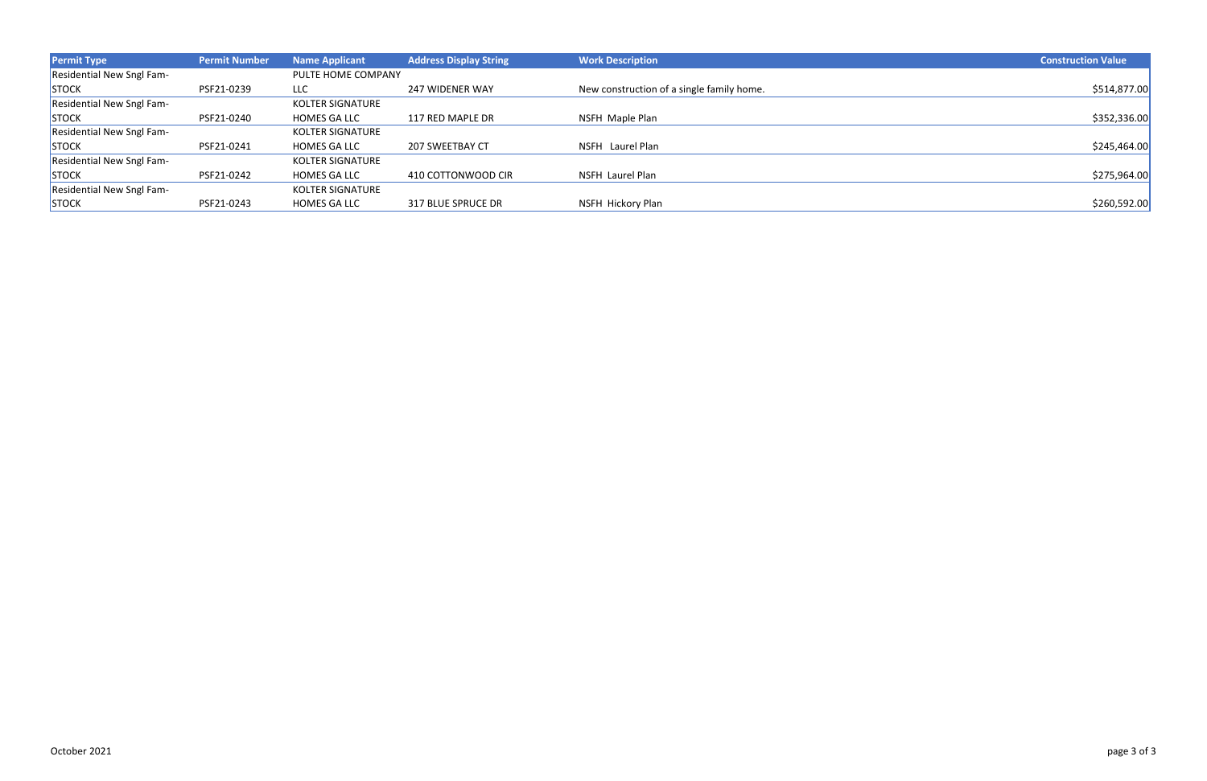| <b>Permit Type</b>               | <b>Permit Number</b> | <b>Name Applicant</b>   | <b>Address Display String</b> | <b>Work Description</b>                   | <b>Construction Value</b> |
|----------------------------------|----------------------|-------------------------|-------------------------------|-------------------------------------------|---------------------------|
| Residential New Sngl Fam-        |                      | PULTE HOME COMPANY      |                               |                                           |                           |
| STOCK                            | PSF21-0239           | LLC                     | <b>247 WIDENER WAY</b>        | New construction of a single family home. | \$514,877.00              |
| Residential New Sngl Fam-        |                      | <b>KOLTER SIGNATURE</b> |                               |                                           |                           |
| <b>STOCK</b>                     | PSF21-0240           | <b>HOMES GA LLC</b>     | 117 RED MAPLE DR              | NSFH Maple Plan                           | \$352,336.00              |
| <b>Residential New Sngl Fam-</b> |                      | <b>KOLTER SIGNATURE</b> |                               |                                           |                           |
| <b>STOCK</b>                     | PSF21-0241           | <b>HOMES GA LLC</b>     | 207 SWEETBAY CT               | NSFH Laurel Plan                          | \$245,464.00              |
| <b>Residential New Sngl Fam-</b> |                      | KOLTER SIGNATURE        |                               |                                           |                           |
| <b>STOCK</b>                     | PSF21-0242           | <b>HOMES GA LLC</b>     | 410 COTTONWOOD CIR            | NSFH Laurel Plan                          | \$275,964.00              |
| <b>Residential New Sngl Fam-</b> |                      | <b>KOLTER SIGNATURE</b> |                               |                                           |                           |
| <b>STOCK</b>                     | PSF21-0243           | <b>HOMES GA LLC</b>     | 317 BLUE SPRUCE DR            | NSFH Hickory Plan                         | \$260,592.00              |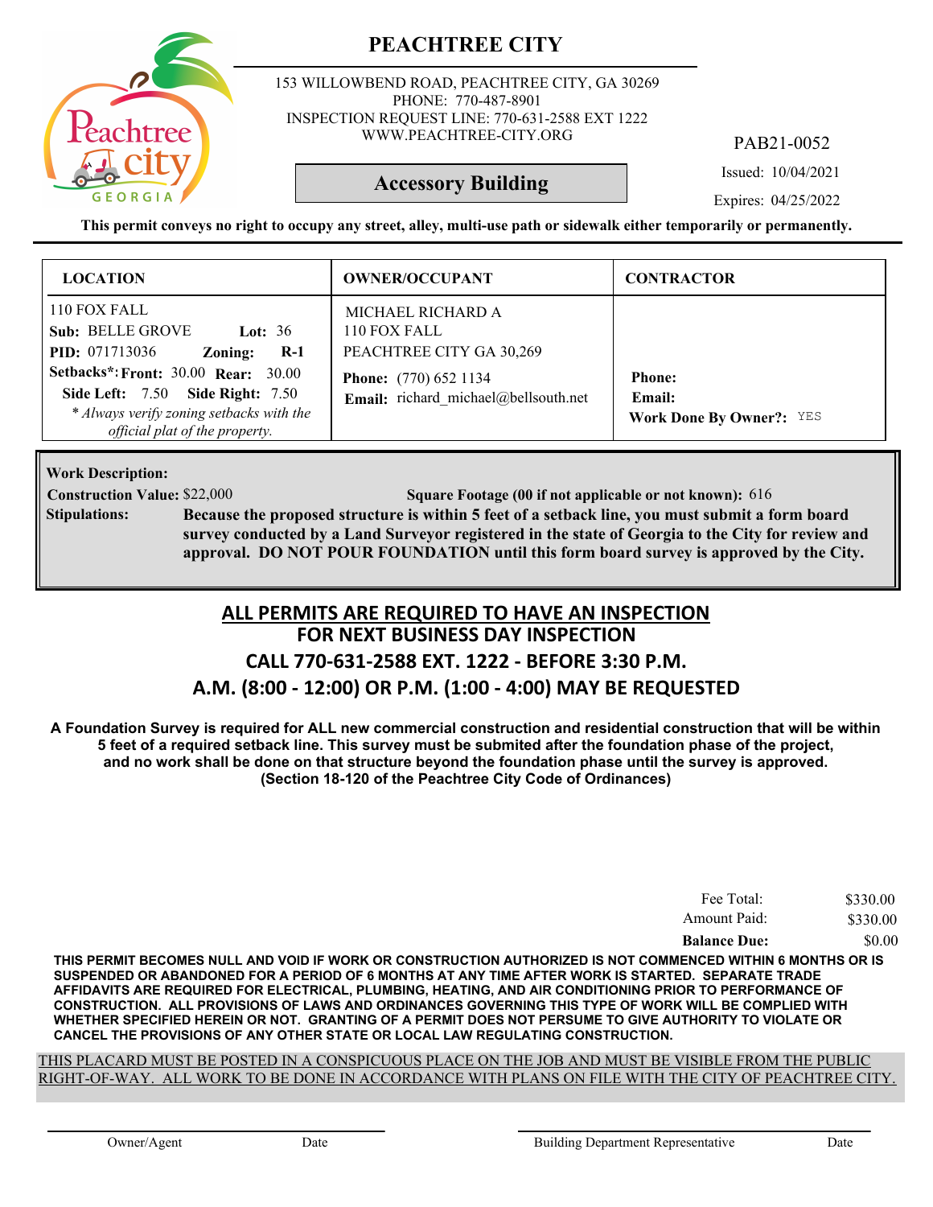

153 WILLOWBEND ROAD, PEACHTREE CITY, GA 30269 PHONE: 770-487-8901 INSPECTION REQUEST LINE: 770-631-2588 EXT 1222 WWW.PEACHTREE-CITY.ORG

PAB21-0052

Issued: 10/04/2021

#### **Accessory Building**

Expires: 04/25/2022

**This permit conveys no right to occupy any street, alley, multi-use path or sidewalk either temporarily or permanently.**

| <b>LOCATION</b>                                                                                                                                                     | <b>OWNER/OCCUPANT</b>                                                | <b>CONTRACTOR</b>                                          |
|---------------------------------------------------------------------------------------------------------------------------------------------------------------------|----------------------------------------------------------------------|------------------------------------------------------------|
| 110 FOX FALL<br>Sub: BELLE GROVE<br><b>Lot:</b> 36<br><b>PID:</b> 071713036<br>$R-1$<br>Zoning:                                                                     | MICHAEL RICHARD A<br>110 FOX FALL<br>PEACHTREE CITY GA 30,269        |                                                            |
| <b>Setbacks*: Front: 30.00 Rear: 30.00</b><br><b>Side Left: 7.50 Side Right: 7.50</b><br>* Always verify zoning setbacks with the<br>official plat of the property. | <b>Phone:</b> (770) 652 1134<br>Email: richard michael@bellsouth.net | <b>Phone:</b><br>Email:<br><b>Work Done By Owner?: YES</b> |

**Work Description:**

**Construction Value:** \$22,000 **616 Square Footage (00 if not applicable or not known):** 616

**Because the proposed structure is within 5 feet of a setback line, you must submit a form board survey conducted by a Land Surveyor registered in the state of Georgia to the City for review and approval. DO NOT POUR FOUNDATION until this form board survey is approved by the City. Stipulations:**

#### **FOR NEXT BUSINESS DAY INSPECTION ALL PERMITS ARE REQUIRED TO HAVE AN INSPECTION**

## **CALL 770-631-2588 EXT. 1222 - BEFORE 3:30 P.M.**

#### **A.M. (8:00 - 12:00) OR P.M. (1:00 - 4:00) MAY BE REQUESTED**

**A Foundation Survey is required for ALL new commercial construction and residential construction that will be within 5 feet of a required setback line. This survey must be submited after the foundation phase of the project, and no work shall be done on that structure beyond the foundation phase until the survey is approved. (Section 18-120 of the Peachtree City Code of Ordinances)**

| Fee Total:          | \$330.00 |
|---------------------|----------|
| Amount Paid:        | \$330.00 |
| <b>Balance Due:</b> | \$0.00   |

**THIS PERMIT BECOMES NULL AND VOID IF WORK OR CONSTRUCTION AUTHORIZED IS NOT COMMENCED WITHIN 6 MONTHS OR IS SUSPENDED OR ABANDONED FOR A PERIOD OF 6 MONTHS AT ANY TIME AFTER WORK IS STARTED. SEPARATE TRADE AFFIDAVITS ARE REQUIRED FOR ELECTRICAL, PLUMBING, HEATING, AND AIR CONDITIONING PRIOR TO PERFORMANCE OF CONSTRUCTION. ALL PROVISIONS OF LAWS AND ORDINANCES GOVERNING THIS TYPE OF WORK WILL BE COMPLIED WITH WHETHER SPECIFIED HEREIN OR NOT. GRANTING OF A PERMIT DOES NOT PERSUME TO GIVE AUTHORITY TO VIOLATE OR CANCEL THE PROVISIONS OF ANY OTHER STATE OR LOCAL LAW REGULATING CONSTRUCTION.**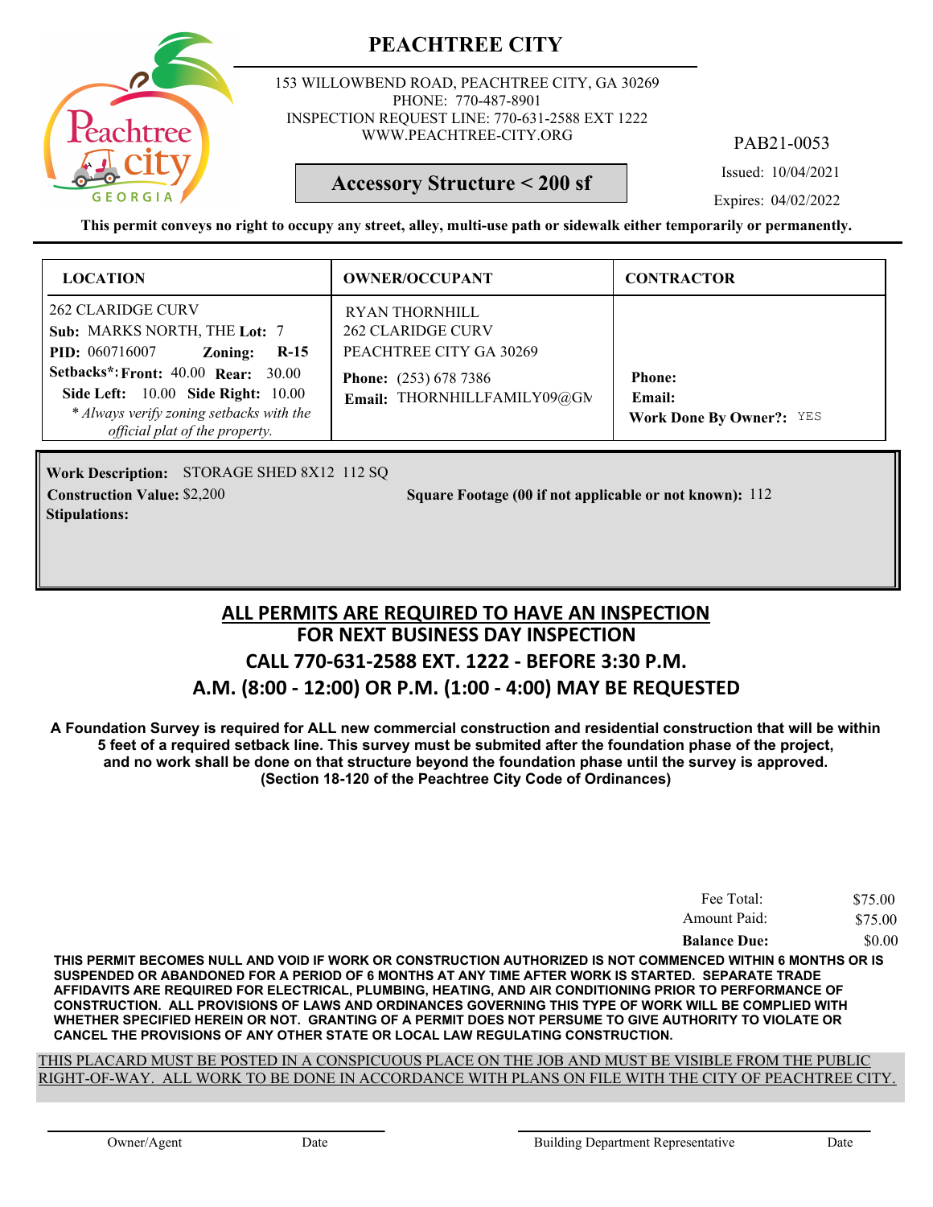

153 WILLOWBEND ROAD, PEACHTREE CITY, GA 30269 PHONE: 770-487-8901 INSPECTION REQUEST LINE: 770-631-2588 EXT 1222 WWW.PEACHTREE-CITY.ORG

PAB21-0053

Issued: 10/04/2021

#### **Accessory Structure < 200 sf**

Expires: 04/02/2022

**This permit conveys no right to occupy any street, alley, multi-use path or sidewalk either temporarily or permanently.**

| <b>LOCATION</b>                                                                                                                                                                                                                                                          | <b>OWNER/OCCUPANT</b>                                                                                                                       | <b>CONTRACTOR</b>                                                 |
|--------------------------------------------------------------------------------------------------------------------------------------------------------------------------------------------------------------------------------------------------------------------------|---------------------------------------------------------------------------------------------------------------------------------------------|-------------------------------------------------------------------|
| <b>262 CLARIDGE CURV</b><br>Sub: MARKS NORTH, THE Lot: 7<br><b>PID:</b> 060716007<br>$R-15$<br>Zoning:<br><b>Setbacks*: Front: 40.00 Rear: 30.00</b><br>Side Left: 10.00 Side Right: 10.00<br>* Always verify zoning setbacks with the<br>official plat of the property. | <b>RYAN THORNHILL</b><br><b>262 CLARIDGE CURV</b><br>PEACHTREE CITY GA 30269<br><b>Phone:</b> (253) 678 7386<br>Email: THORNHILLFAMILY09@GN | <b>Phone:</b><br><b>Email:</b><br><b>Work Done By Owner?: YES</b> |

Work Description: STORAGE SHED 8X12 112 SQ **Stipulations:**

**Construction Value:** \$2,200 5 **Square Footage (00 if not applicable or not known): 112** 

### **FOR NEXT BUSINESS DAY INSPECTION CALL 770-631-2588 EXT. 1222 - BEFORE 3:30 P.M. A.M. (8:00 - 12:00) OR P.M. (1:00 - 4:00) MAY BE REQUESTED ALL PERMITS ARE REQUIRED TO HAVE AN INSPECTION**

**A Foundation Survey is required for ALL new commercial construction and residential construction that will be within 5 feet of a required setback line. This survey must be submited after the foundation phase of the project, and no work shall be done on that structure beyond the foundation phase until the survey is approved. (Section 18-120 of the Peachtree City Code of Ordinances)**

| Fee Total:          | \$75.00 |
|---------------------|---------|
| Amount Paid:        | \$75.00 |
| <b>Balance Due:</b> | \$0.00  |

**THIS PERMIT BECOMES NULL AND VOID IF WORK OR CONSTRUCTION AUTHORIZED IS NOT COMMENCED WITHIN 6 MONTHS OR IS SUSPENDED OR ABANDONED FOR A PERIOD OF 6 MONTHS AT ANY TIME AFTER WORK IS STARTED. SEPARATE TRADE AFFIDAVITS ARE REQUIRED FOR ELECTRICAL, PLUMBING, HEATING, AND AIR CONDITIONING PRIOR TO PERFORMANCE OF CONSTRUCTION. ALL PROVISIONS OF LAWS AND ORDINANCES GOVERNING THIS TYPE OF WORK WILL BE COMPLIED WITH WHETHER SPECIFIED HEREIN OR NOT. GRANTING OF A PERMIT DOES NOT PERSUME TO GIVE AUTHORITY TO VIOLATE OR CANCEL THE PROVISIONS OF ANY OTHER STATE OR LOCAL LAW REGULATING CONSTRUCTION.**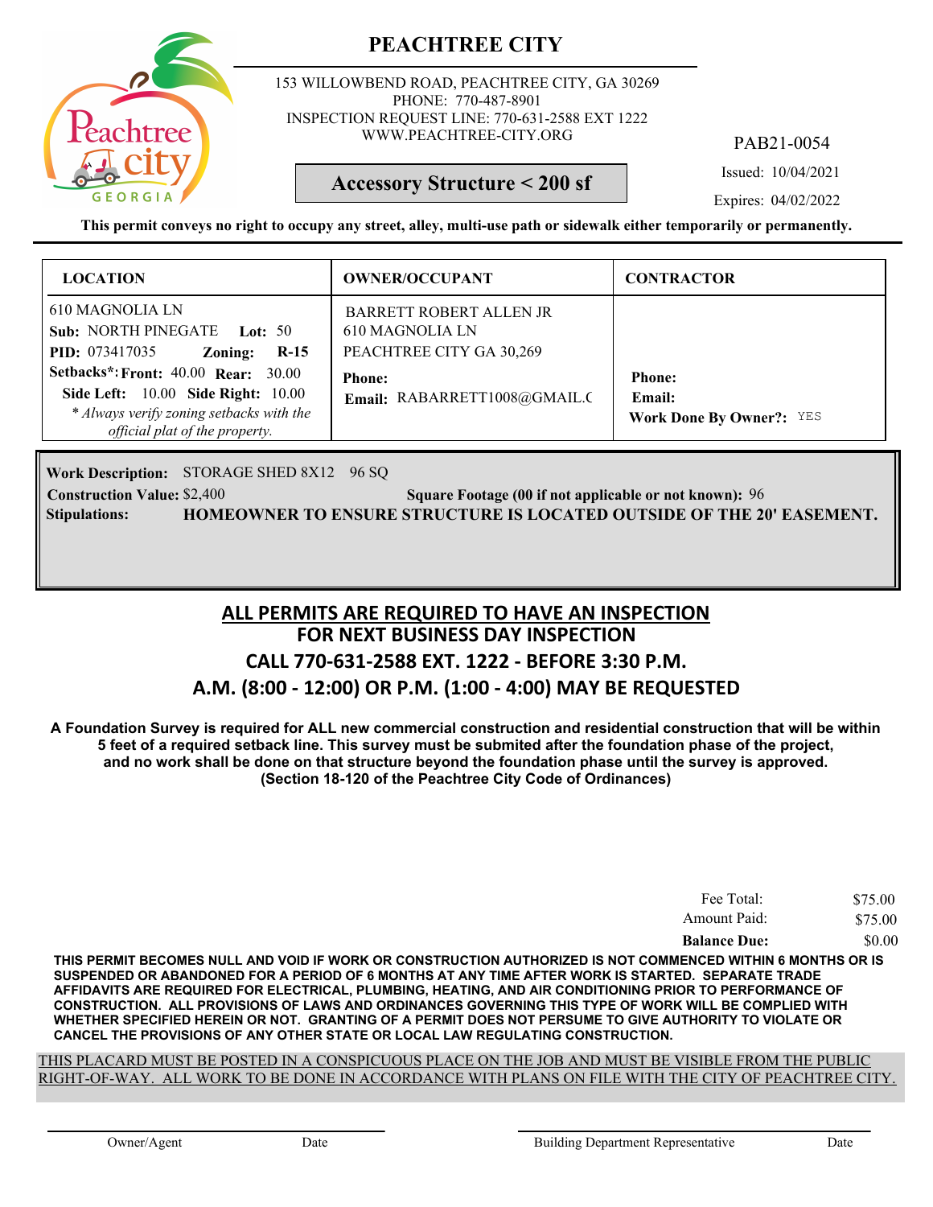

153 WILLOWBEND ROAD, PEACHTREE CITY, GA 30269 PHONE: 770-487-8901 INSPECTION REQUEST LINE: 770-631-2588 EXT 1222 WWW.PEACHTREE-CITY.ORG

PAB21-0054

Issued: 10/04/2021

#### **Accessory Structure < 200 sf**

Expires: 04/02/2022

**This permit conveys no right to occupy any street, alley, multi-use path or sidewalk either temporarily or permanently.**

| <b>LOCATION</b>                                                                                                                                                | <b>OWNER/OCCUPANT</b>                                                         | <b>CONTRACTOR</b>                                          |
|----------------------------------------------------------------------------------------------------------------------------------------------------------------|-------------------------------------------------------------------------------|------------------------------------------------------------|
| 610 MAGNOLIA LN<br>Sub: NORTH PINEGATE Lot: 50<br><b>PID:</b> 073417035<br>$R-15$<br>Zoning:                                                                   | <b>BARRETT ROBERT ALLEN JR</b><br>610 MAGNOLIA LN<br>PEACHTREE CITY GA 30,269 |                                                            |
| <b>Setbacks*: Front: 40.00 Rear: 30.00</b><br>Side Left: 10.00 Side Right: 10.00<br>* Always verify zoning setbacks with the<br>official plat of the property. | <b>Phone:</b><br>Email: RABARRETT1008@GMAIL.C                                 | <b>Phone:</b><br>Email:<br><b>Work Done By Owner?: YES</b> |

Work Description: STORAGE SHED 8X12 96 SQ

**Construction Value:** \$2,400 **96 Square Footage (00 if not applicable or not known):** 96 **Stipulations: HOMEOWNER TO ENSURE STRUCTURE IS LOCATED OUTSIDE OF THE 20' EASEMENT.**

## **FOR NEXT BUSINESS DAY INSPECTION CALL 770-631-2588 EXT. 1222 - BEFORE 3:30 P.M. A.M. (8:00 - 12:00) OR P.M. (1:00 - 4:00) MAY BE REQUESTED ALL PERMITS ARE REQUIRED TO HAVE AN INSPECTION**

**A Foundation Survey is required for ALL new commercial construction and residential construction that will be within 5 feet of a required setback line. This survey must be submited after the foundation phase of the project, and no work shall be done on that structure beyond the foundation phase until the survey is approved. (Section 18-120 of the Peachtree City Code of Ordinances)**

| Fee Total:          | \$75.00 |
|---------------------|---------|
| Amount Paid:        | \$75.00 |
| <b>Balance Due:</b> | \$0.00  |

**THIS PERMIT BECOMES NULL AND VOID IF WORK OR CONSTRUCTION AUTHORIZED IS NOT COMMENCED WITHIN 6 MONTHS OR IS SUSPENDED OR ABANDONED FOR A PERIOD OF 6 MONTHS AT ANY TIME AFTER WORK IS STARTED. SEPARATE TRADE AFFIDAVITS ARE REQUIRED FOR ELECTRICAL, PLUMBING, HEATING, AND AIR CONDITIONING PRIOR TO PERFORMANCE OF CONSTRUCTION. ALL PROVISIONS OF LAWS AND ORDINANCES GOVERNING THIS TYPE OF WORK WILL BE COMPLIED WITH WHETHER SPECIFIED HEREIN OR NOT. GRANTING OF A PERMIT DOES NOT PERSUME TO GIVE AUTHORITY TO VIOLATE OR CANCEL THE PROVISIONS OF ANY OTHER STATE OR LOCAL LAW REGULATING CONSTRUCTION.**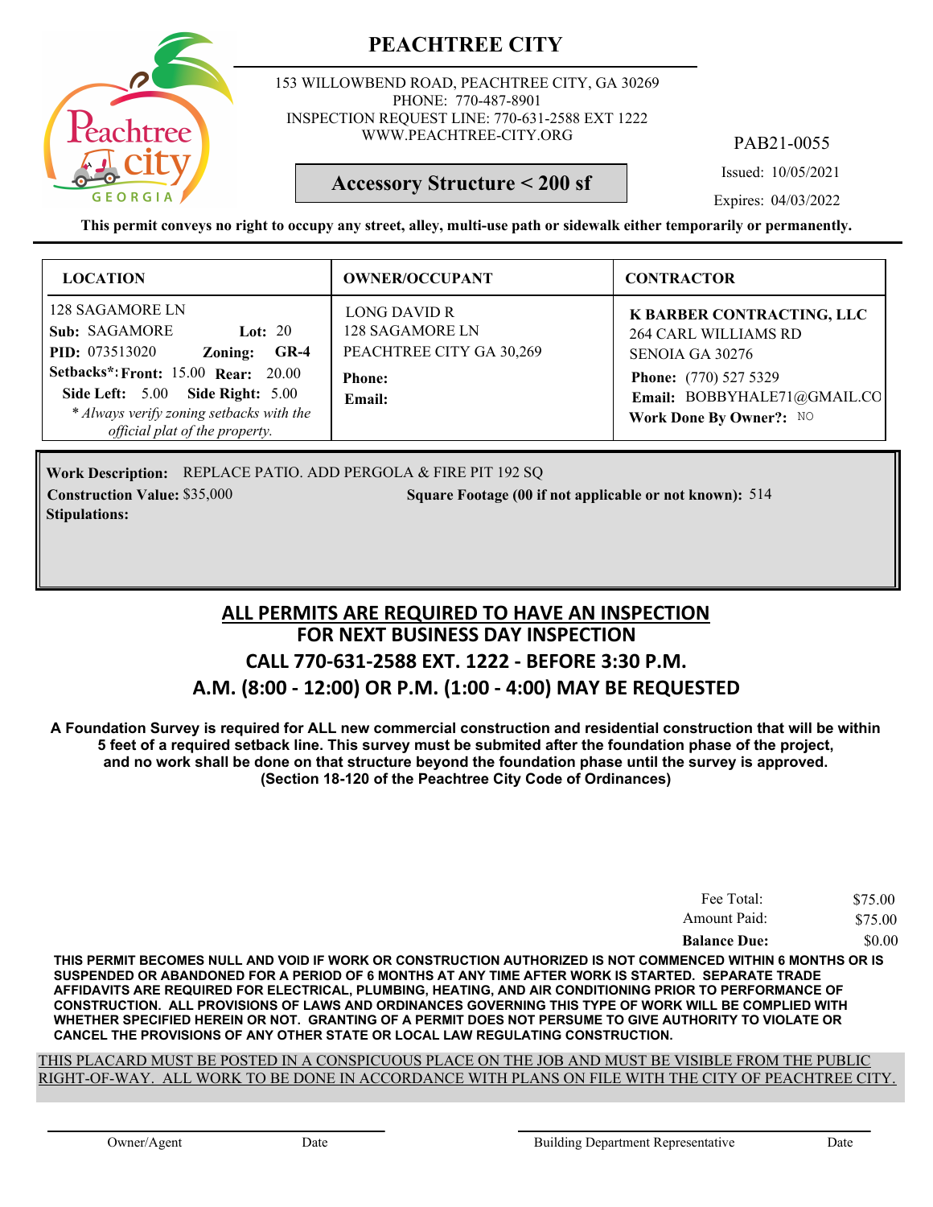

153 WILLOWBEND ROAD, PEACHTREE CITY, GA 30269 PHONE: 770-487-8901 INSPECTION REQUEST LINE: 770-631-2588 EXT 1222 WWW.PEACHTREE-CITY.ORG

PAB21-0055

Issued: 10/05/2021

Expires: 04/03/2022

**This permit conveys no right to occupy any street, alley, multi-use path or sidewalk either temporarily or permanently.**

**Accessory Structure < 200 sf**

| <b>LOCATION</b>                                                                                                                                                                                                                                             | <b>OWNER/OCCUPANT</b>                                                                  | <b>CONTRACTOR</b>                                                                                                                                              |
|-------------------------------------------------------------------------------------------------------------------------------------------------------------------------------------------------------------------------------------------------------------|----------------------------------------------------------------------------------------|----------------------------------------------------------------------------------------------------------------------------------------------------------------|
| 128 SAGAMORE LN<br>Sub: SAGAMORE<br>Lot: $20$<br><b>PID:</b> 073513020<br>$GR-4$<br>Zoning:<br><b>Setbacks*: Front: 15.00 Rear: 20.00</b><br>Side Left: 5.00 Side Right: 5.00<br>* Always verify zoning setbacks with the<br>official plat of the property. | LONG DAVID R<br>128 SAGAMORE LN<br>PEACHTREE CITY GA 30,269<br><b>Phone:</b><br>Email: | K BARBER CONTRACTING, LLC<br><b>264 CARL WILLIAMS RD</b><br>SENOIA GA 30276<br>Phone: (770) 527 5329<br>Email: BOBBYHALE71@GMAIL.CO<br>Work Done By Owner?: NO |

Work Description: REPLACE PATIO. ADD PERGOLA & FIRE PIT 192 SQ **Construction Value:** \$35,000 514 **Square Footage (00 if not applicable or not known):** 514 **Stipulations:**

### **FOR NEXT BUSINESS DAY INSPECTION CALL 770-631-2588 EXT. 1222 - BEFORE 3:30 P.M. A.M. (8:00 - 12:00) OR P.M. (1:00 - 4:00) MAY BE REQUESTED ALL PERMITS ARE REQUIRED TO HAVE AN INSPECTION**

**A Foundation Survey is required for ALL new commercial construction and residential construction that will be within 5 feet of a required setback line. This survey must be submited after the foundation phase of the project, and no work shall be done on that structure beyond the foundation phase until the survey is approved. (Section 18-120 of the Peachtree City Code of Ordinances)**

| Fee Total:          | \$75.00 |
|---------------------|---------|
| Amount Paid:        | \$75.00 |
| <b>Balance Due:</b> | \$0.00  |

**THIS PERMIT BECOMES NULL AND VOID IF WORK OR CONSTRUCTION AUTHORIZED IS NOT COMMENCED WITHIN 6 MONTHS OR IS SUSPENDED OR ABANDONED FOR A PERIOD OF 6 MONTHS AT ANY TIME AFTER WORK IS STARTED. SEPARATE TRADE AFFIDAVITS ARE REQUIRED FOR ELECTRICAL, PLUMBING, HEATING, AND AIR CONDITIONING PRIOR TO PERFORMANCE OF CONSTRUCTION. ALL PROVISIONS OF LAWS AND ORDINANCES GOVERNING THIS TYPE OF WORK WILL BE COMPLIED WITH WHETHER SPECIFIED HEREIN OR NOT. GRANTING OF A PERMIT DOES NOT PERSUME TO GIVE AUTHORITY TO VIOLATE OR CANCEL THE PROVISIONS OF ANY OTHER STATE OR LOCAL LAW REGULATING CONSTRUCTION.**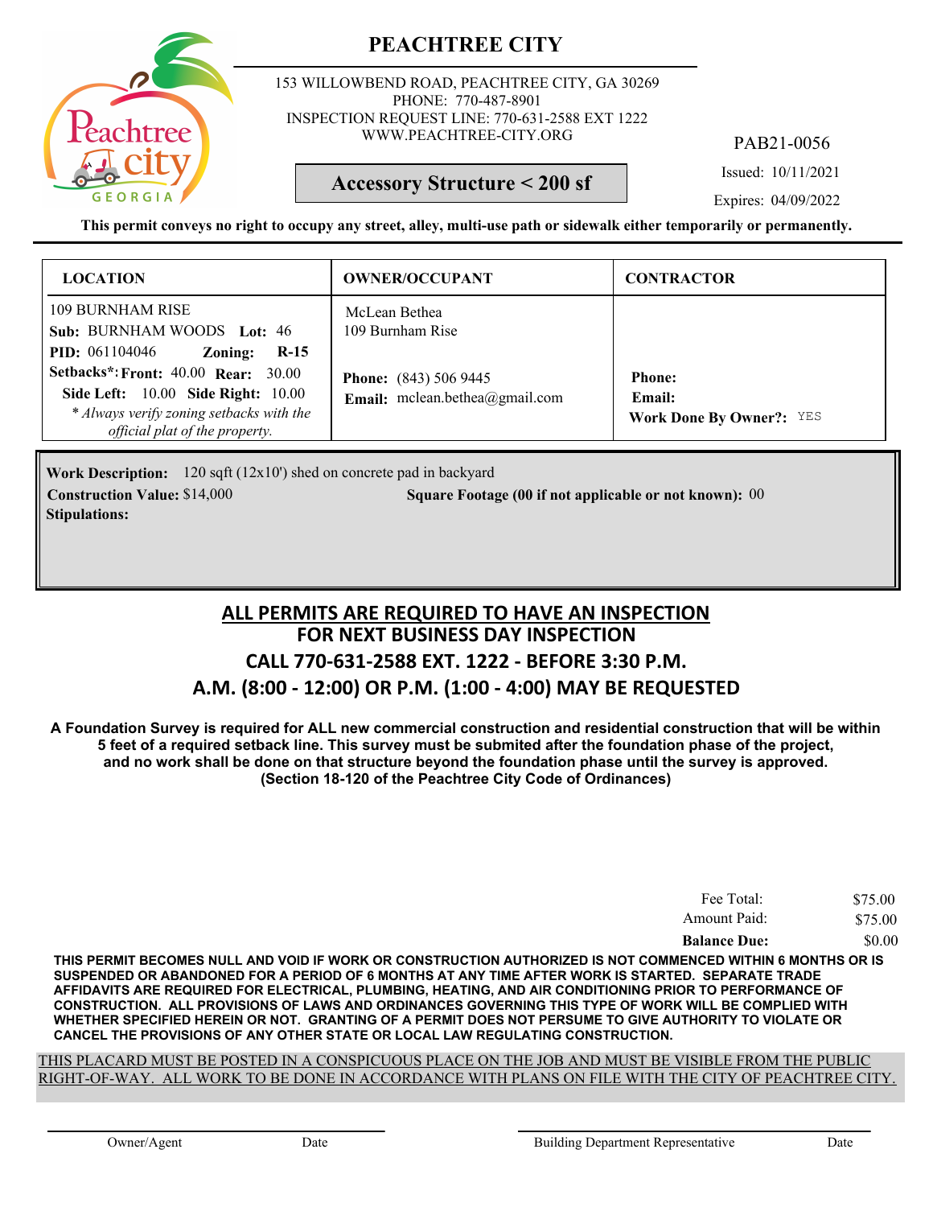

153 WILLOWBEND ROAD, PEACHTREE CITY, GA 30269 PHONE: 770-487-8901 INSPECTION REQUEST LINE: 770-631-2588 EXT 1222 WWW.PEACHTREE-CITY.ORG

PAB21-0056

Issued: 10/11/2021

#### **Accessory Structure < 200 sf**

Expires: 04/09/2022

**This permit conveys no right to occupy any street, alley, multi-use path or sidewalk either temporarily or permanently.**

| <b>LOCATION</b>                                                                                                                             | <b>OWNER/OCCUPANT</b>                                             | <b>CONTRACTOR</b>                         |
|---------------------------------------------------------------------------------------------------------------------------------------------|-------------------------------------------------------------------|-------------------------------------------|
| 109 BURNHAM RISE<br>Sub: BURNHAM WOODS Lot: 46<br><b>PID</b> : 061104046<br>Zoning:<br>$R-15$<br><b>Setbacks*: Front: 40.00 Rear: 30.00</b> | McLean Bethea<br>109 Burnham Rise<br><b>Phone:</b> (843) 506 9445 | <b>Phone:</b>                             |
| <b>Side Left:</b> 10.00 <b>Side Right:</b> 10.00<br>* Always verify zoning setbacks with the<br>official plat of the property.              | Email: mclean.bethea@gmail.com                                    | Email:<br><b>Work Done By Owner?: YES</b> |

Work Description: 120 sqft (12x10') shed on concrete pad in backyard **Construction Value:** \$14,000 **000 000 000 000 Square Footage (00 if not applicable or not known): 00 Stipulations:**

## **FOR NEXT BUSINESS DAY INSPECTION CALL 770-631-2588 EXT. 1222 - BEFORE 3:30 P.M. A.M. (8:00 - 12:00) OR P.M. (1:00 - 4:00) MAY BE REQUESTED ALL PERMITS ARE REQUIRED TO HAVE AN INSPECTION**

**A Foundation Survey is required for ALL new commercial construction and residential construction that will be within 5 feet of a required setback line. This survey must be submited after the foundation phase of the project, and no work shall be done on that structure beyond the foundation phase until the survey is approved. (Section 18-120 of the Peachtree City Code of Ordinances)**

| Fee Total:          | \$75.00 |
|---------------------|---------|
| Amount Paid:        | \$75.00 |
| <b>Balance Due:</b> | \$0.00  |

**THIS PERMIT BECOMES NULL AND VOID IF WORK OR CONSTRUCTION AUTHORIZED IS NOT COMMENCED WITHIN 6 MONTHS OR IS SUSPENDED OR ABANDONED FOR A PERIOD OF 6 MONTHS AT ANY TIME AFTER WORK IS STARTED. SEPARATE TRADE AFFIDAVITS ARE REQUIRED FOR ELECTRICAL, PLUMBING, HEATING, AND AIR CONDITIONING PRIOR TO PERFORMANCE OF CONSTRUCTION. ALL PROVISIONS OF LAWS AND ORDINANCES GOVERNING THIS TYPE OF WORK WILL BE COMPLIED WITH WHETHER SPECIFIED HEREIN OR NOT. GRANTING OF A PERMIT DOES NOT PERSUME TO GIVE AUTHORITY TO VIOLATE OR CANCEL THE PROVISIONS OF ANY OTHER STATE OR LOCAL LAW REGULATING CONSTRUCTION.**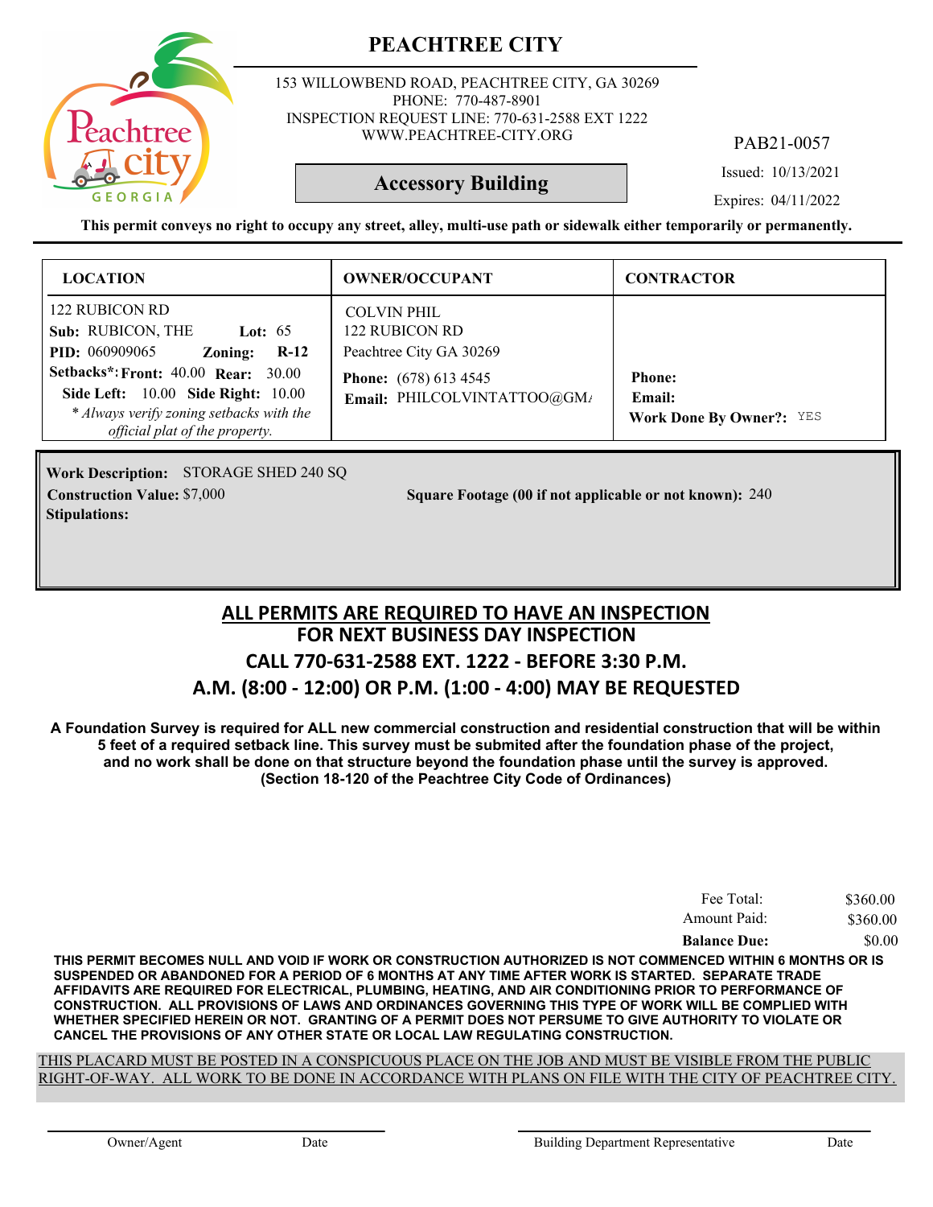

153 WILLOWBEND ROAD, PEACHTREE CITY, GA 30269 PHONE: 770-487-8901 INSPECTION REQUEST LINE: 770-631-2588 EXT 1222 WWW.PEACHTREE-CITY.ORG

PAB21-0057

Issued: 10/13/2021

#### **Accessory Building**

Expires: 04/11/2022

**This permit conveys no right to occupy any street, alley, multi-use path or sidewalk either temporarily or permanently.**

| <b>LOCATION</b>                                                                                                                                                           | <b>OWNER/OCCUPANT</b>                                           | <b>CONTRACTOR</b>                                          |
|---------------------------------------------------------------------------------------------------------------------------------------------------------------------------|-----------------------------------------------------------------|------------------------------------------------------------|
| 122 RUBICON RD<br>Sub: RUBICON, THE<br>Lot: $65$<br><b>PID:</b> 060909065<br>$R-12$<br>Zoning:                                                                            | <b>COLVIN PHIL</b><br>122 RUBICON RD<br>Peachtree City GA 30269 |                                                            |
| Setbacks*: Front: $40.00$ Rear: $30.00$<br><b>Side Left:</b> 10.00 <b>Side Right:</b> 10.00<br>* Always verify zoning setbacks with the<br>official plat of the property. | <b>Phone:</b> (678) 613 4545<br>Email: PHILCOLVINTATTOO@GM/     | <b>Phone:</b><br>Email:<br><b>Work Done By Owner?: YES</b> |

Work Description: STORAGE SHED 240 SQ **Stipulations:**

**Construction Value:** \$7,000 240 **240** 240 Square Footage (00 if not applicable or not known): 240

## **FOR NEXT BUSINESS DAY INSPECTION CALL 770-631-2588 EXT. 1222 - BEFORE 3:30 P.M. A.M. (8:00 - 12:00) OR P.M. (1:00 - 4:00) MAY BE REQUESTED ALL PERMITS ARE REQUIRED TO HAVE AN INSPECTION**

**A Foundation Survey is required for ALL new commercial construction and residential construction that will be within 5 feet of a required setback line. This survey must be submited after the foundation phase of the project, and no work shall be done on that structure beyond the foundation phase until the survey is approved. (Section 18-120 of the Peachtree City Code of Ordinances)**

| Fee Total:          | \$360.00 |
|---------------------|----------|
| Amount Paid:        | \$360.00 |
| <b>Balance Due:</b> | \$0.00   |

**THIS PERMIT BECOMES NULL AND VOID IF WORK OR CONSTRUCTION AUTHORIZED IS NOT COMMENCED WITHIN 6 MONTHS OR IS SUSPENDED OR ABANDONED FOR A PERIOD OF 6 MONTHS AT ANY TIME AFTER WORK IS STARTED. SEPARATE TRADE AFFIDAVITS ARE REQUIRED FOR ELECTRICAL, PLUMBING, HEATING, AND AIR CONDITIONING PRIOR TO PERFORMANCE OF CONSTRUCTION. ALL PROVISIONS OF LAWS AND ORDINANCES GOVERNING THIS TYPE OF WORK WILL BE COMPLIED WITH WHETHER SPECIFIED HEREIN OR NOT. GRANTING OF A PERMIT DOES NOT PERSUME TO GIVE AUTHORITY TO VIOLATE OR CANCEL THE PROVISIONS OF ANY OTHER STATE OR LOCAL LAW REGULATING CONSTRUCTION.**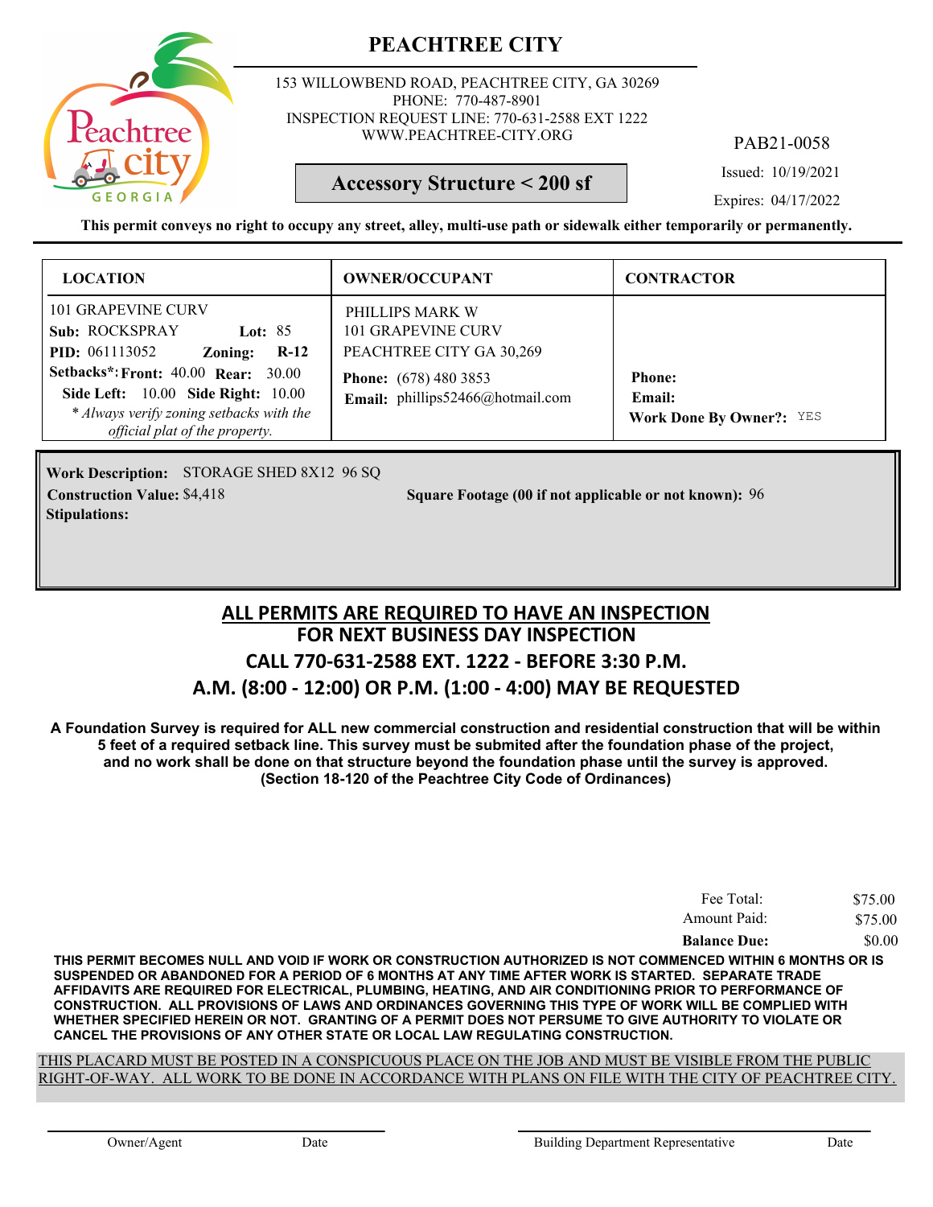

153 WILLOWBEND ROAD, PEACHTREE CITY, GA 30269 PHONE: 770-487-8901 INSPECTION REQUEST LINE: 770-631-2588 EXT 1222 WWW.PEACHTREE-CITY.ORG

PAB21-0058

Issued: 10/19/2021

#### **Accessory Structure < 200 sf**

Expires: 04/17/2022

**This permit conveys no right to occupy any street, alley, multi-use path or sidewalk either temporarily or permanently.**

| <b>LOCATION</b>                                                                                                                                                              | <b>OWNER/OCCUPANT</b>                                             | <b>CONTRACTOR</b>                                          |
|------------------------------------------------------------------------------------------------------------------------------------------------------------------------------|-------------------------------------------------------------------|------------------------------------------------------------|
| <b>101 GRAPEVINE CURV</b><br>Sub: ROCKSPRAY<br>Lot: $85$<br><b>PID:</b> 061113052<br>$R-12$<br>Zoning:                                                                       | PHILLIPS MARK W<br>101 GRAPEVINE CURV<br>PEACHTREE CITY GA 30,269 |                                                            |
| <b>Setbacks*: Front: 40.00 Rear: 30.00</b><br><b>Side Left:</b> 10.00 <b>Side Right:</b> 10.00<br>* Always verify zoning setbacks with the<br>official plat of the property. | <b>Phone:</b> (678) 480 3853<br>Email: phillips52466@hotmail.com  | <b>Phone:</b><br>Email:<br><b>Work Done By Owner?: YES</b> |

Work Description: STORAGE SHED 8X12 96 SQ **Stipulations:**

**Construction Value:** \$4,418 **Square Footage (00 if not applicable or not known): 96** 

## **FOR NEXT BUSINESS DAY INSPECTION CALL 770-631-2588 EXT. 1222 - BEFORE 3:30 P.M. A.M. (8:00 - 12:00) OR P.M. (1:00 - 4:00) MAY BE REQUESTED ALL PERMITS ARE REQUIRED TO HAVE AN INSPECTION**

**A Foundation Survey is required for ALL new commercial construction and residential construction that will be within 5 feet of a required setback line. This survey must be submited after the foundation phase of the project, and no work shall be done on that structure beyond the foundation phase until the survey is approved. (Section 18-120 of the Peachtree City Code of Ordinances)**

| Fee Total:<br>Amount Paid: | \$75.00 |
|----------------------------|---------|
|                            | \$75.00 |
| <b>Balance Due:</b>        | \$0.00  |

**THIS PERMIT BECOMES NULL AND VOID IF WORK OR CONSTRUCTION AUTHORIZED IS NOT COMMENCED WITHIN 6 MONTHS OR IS SUSPENDED OR ABANDONED FOR A PERIOD OF 6 MONTHS AT ANY TIME AFTER WORK IS STARTED. SEPARATE TRADE AFFIDAVITS ARE REQUIRED FOR ELECTRICAL, PLUMBING, HEATING, AND AIR CONDITIONING PRIOR TO PERFORMANCE OF CONSTRUCTION. ALL PROVISIONS OF LAWS AND ORDINANCES GOVERNING THIS TYPE OF WORK WILL BE COMPLIED WITH WHETHER SPECIFIED HEREIN OR NOT. GRANTING OF A PERMIT DOES NOT PERSUME TO GIVE AUTHORITY TO VIOLATE OR CANCEL THE PROVISIONS OF ANY OTHER STATE OR LOCAL LAW REGULATING CONSTRUCTION.**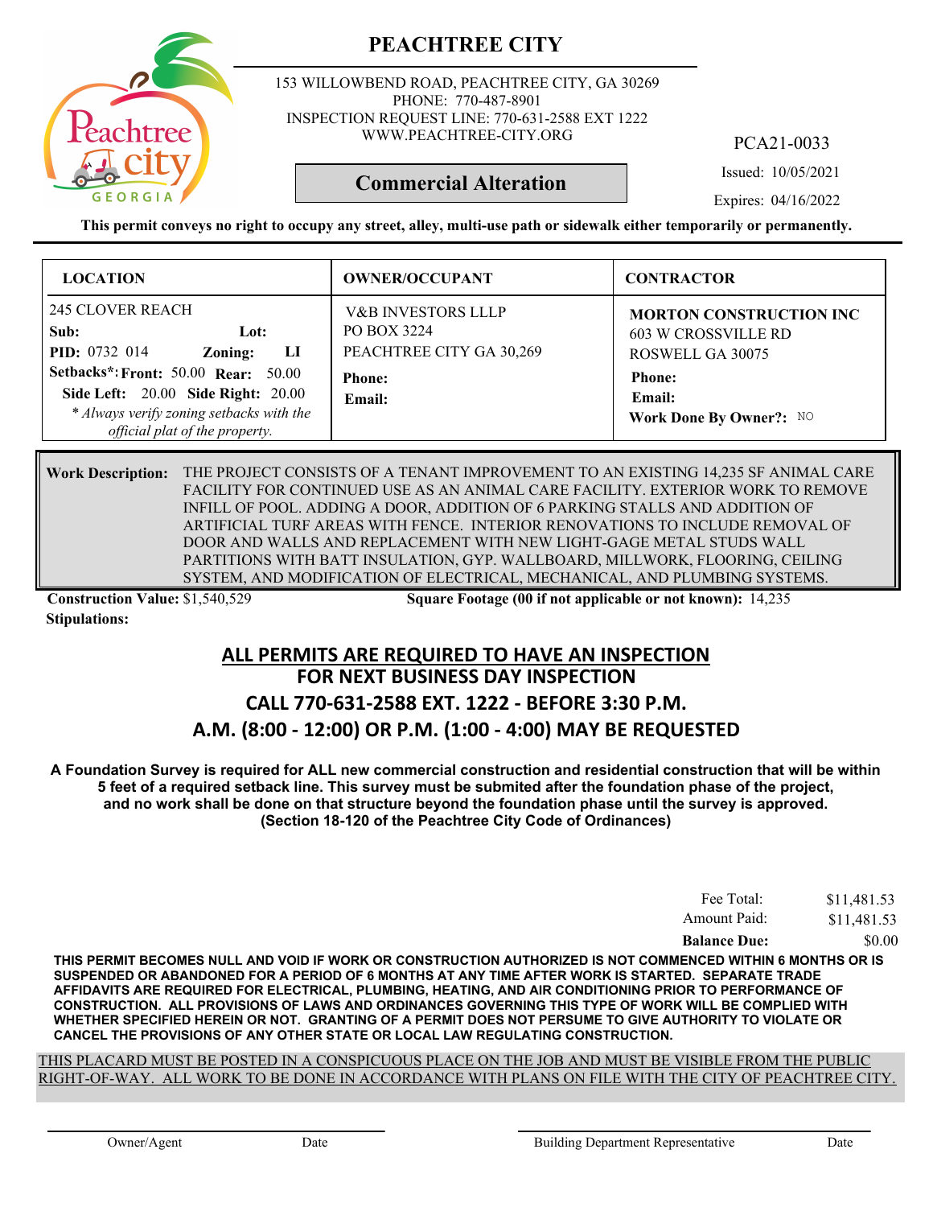

153 WILLOWBEND ROAD, PEACHTREE CITY, GA 30269 PHONE: 770-487-8901 INSPECTION REQUEST LINE: 770-631-2588 EXT 1222 WWW.PEACHTREE-CITY.ORG

PCA21-0033

Issued: 10/05/2021

**Commercial Alteration**

Expires: 04/16/2022

**This permit conveys no right to occupy any street, alley, multi-use path or sidewalk either temporarily or permanently.**

| <b>LOCATION</b>                                                                                                                                                | <b>OWNER/OCCUPANT</b>                                                    | <b>CONTRACTOR</b>                                                                |
|----------------------------------------------------------------------------------------------------------------------------------------------------------------|--------------------------------------------------------------------------|----------------------------------------------------------------------------------|
| <b>245 CLOVER REACH</b><br>Sub:<br>Lot:<br>PID: 0732 014<br>LI<br>Zoning:                                                                                      | <b>V&amp;B INVESTORS LLLP</b><br>PO BOX 3224<br>PEACHTREE CITY GA 30,269 | <b>MORTON CONSTRUCTION INC</b><br><b>603 W CROSSVILLE RD</b><br>ROSWELL GA 30075 |
| <b>Setbacks*: Front: 50.00 Rear: 50.00</b><br>Side Left: 20.00 Side Right: 20.00<br>* Always verify zoning setbacks with the<br>official plat of the property. | <b>Phone:</b><br>Email:                                                  | <b>Phone:</b><br>Email:<br>Work Done By Owner?: NO                               |

THE PROJECT CONSISTS OF A TENANT IMPROVEMENT TO AN EXISTING 14,235 SF ANIMAL CARE **Work Description:** FACILITY FOR CONTINUED USE AS AN ANIMAL CARE FACILITY. EXTERIOR WORK TO REMOVE INFILL OF POOL. ADDING A DOOR, ADDITION OF 6 PARKING STALLS AND ADDITION OF ARTIFICIAL TURF AREAS WITH FENCE. INTERIOR RENOVATIONS TO INCLUDE REMOVAL OF DOOR AND WALLS AND REPLACEMENT WITH NEW LIGHT-GAGE METAL STUDS WALL PARTITIONS WITH BATT INSULATION, GYP. WALLBOARD, MILLWORK, FLOORING, CEILING SYSTEM, AND MODIFICATION OF ELECTRICAL, MECHANICAL, AND PLUMBING SYSTEMS.

**Stipulations:**

**Construction Value:** \$1,540,529 5 **Square Footage (00 if not applicable or not known):** 14,235

#### **FOR NEXT BUSINESS DAY INSPECTION ALL PERMITS ARE REQUIRED TO HAVE AN INSPECTION**

## **CALL 770-631-2588 EXT. 1222 - BEFORE 3:30 P.M. A.M. (8:00 - 12:00) OR P.M. (1:00 - 4:00) MAY BE REQUESTED**

**A Foundation Survey is required for ALL new commercial construction and residential construction that will be within 5 feet of a required setback line. This survey must be submited after the foundation phase of the project, and no work shall be done on that structure beyond the foundation phase until the survey is approved. (Section 18-120 of the Peachtree City Code of Ordinances)**

| <b>Balance Due:</b> | \$0.00      |
|---------------------|-------------|
| Amount Paid:        | \$11,481.53 |
| Fee Total:          | \$11,481.53 |

**THIS PERMIT BECOMES NULL AND VOID IF WORK OR CONSTRUCTION AUTHORIZED IS NOT COMMENCED WITHIN 6 MONTHS OR IS SUSPENDED OR ABANDONED FOR A PERIOD OF 6 MONTHS AT ANY TIME AFTER WORK IS STARTED. SEPARATE TRADE AFFIDAVITS ARE REQUIRED FOR ELECTRICAL, PLUMBING, HEATING, AND AIR CONDITIONING PRIOR TO PERFORMANCE OF CONSTRUCTION. ALL PROVISIONS OF LAWS AND ORDINANCES GOVERNING THIS TYPE OF WORK WILL BE COMPLIED WITH WHETHER SPECIFIED HEREIN OR NOT. GRANTING OF A PERMIT DOES NOT PERSUME TO GIVE AUTHORITY TO VIOLATE OR CANCEL THE PROVISIONS OF ANY OTHER STATE OR LOCAL LAW REGULATING CONSTRUCTION.**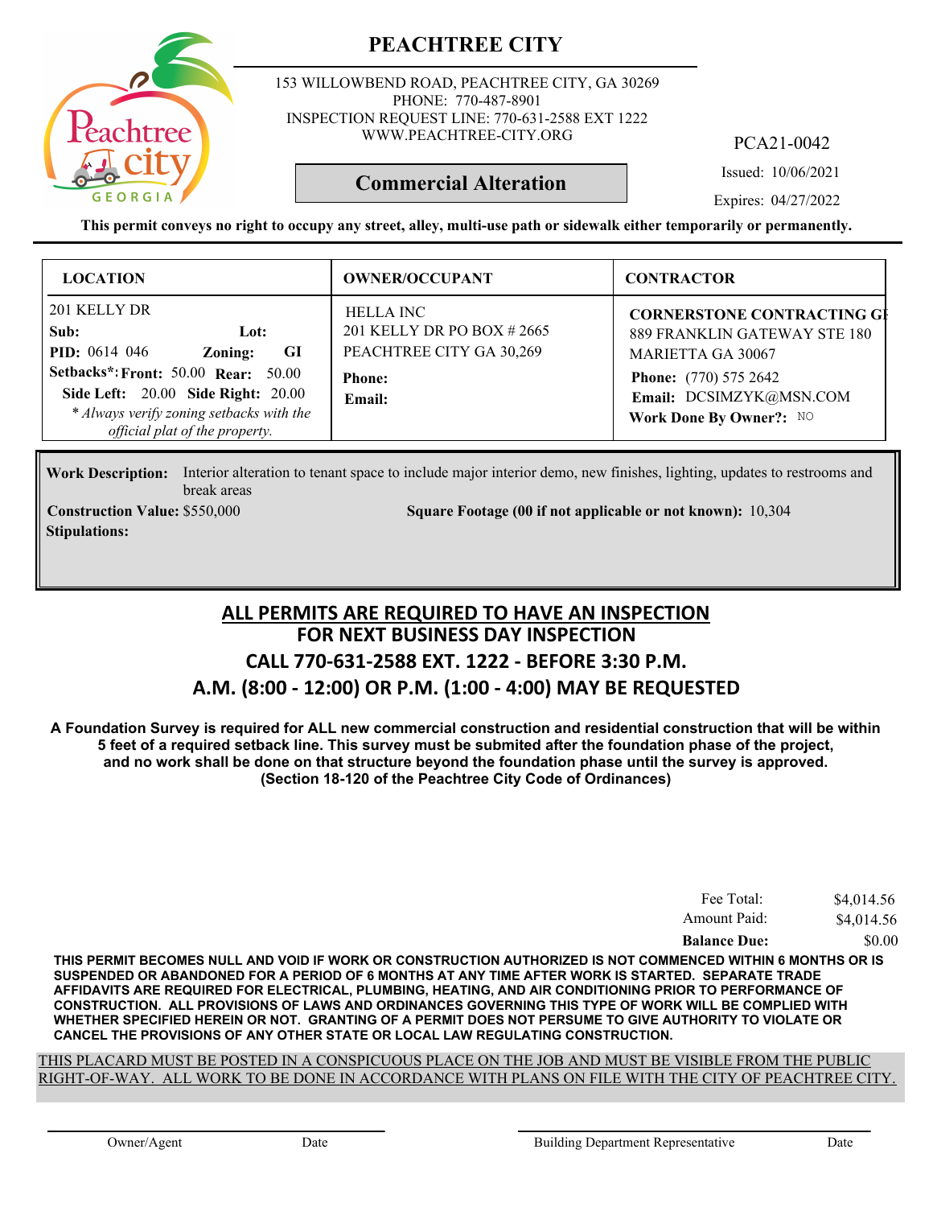

153 WILLOWBEND ROAD, PEACHTREE CITY, GA 30269 PHONE: 770-487-8901 INSPECTION REQUEST LINE: 770-631-2588 EXT 1222 WWW.PEACHTREE-CITY.ORG

PCA21-0042

Issued: 10/06/2021

Expires: 04/27/2022

**This permit conveys no right to occupy any street, alley, multi-use path or sidewalk either temporarily or permanently.**

**Commercial Alteration**

| <b>LOCATION</b>                                                                                                                                                                                                                         | <b>OWNER/OCCUPANT</b>                                                                                | <b>CONTRACTOR</b>                                                                                                                                                                   |
|-----------------------------------------------------------------------------------------------------------------------------------------------------------------------------------------------------------------------------------------|------------------------------------------------------------------------------------------------------|-------------------------------------------------------------------------------------------------------------------------------------------------------------------------------------|
| 201 KELLY DR<br>Sub:<br>Lot:<br><b>PID:</b> 0614 046<br>GI<br>Zoning:<br>Setbacks*: Front: 50.00 Rear: 50.00<br><b>Side Left: 20.00 Side Right: 20.00</b><br>* Always verify zoning setbacks with the<br>official plat of the property. | <b>HELLA INC</b><br>201 KELLY DR PO BOX #2665<br>PEACHTREE CITY GA 30,269<br><b>Phone:</b><br>Email: | <b>CORNERSTONE CONTRACTING GI</b><br>889 FRANKLIN GATEWAY STE 180<br><b>MARIETTA GA 30067</b><br><b>Phone:</b> (770) 575 2642<br>Email: DCSIMZYK@MSN.COM<br>Work Done By Owner?: NO |

Work Description: Interior alteration to tenant space to include major interior demo, new finishes, lighting, updates to restrooms and break areas

**Stipulations:**

**Construction Value:** \$550,000 10,304 Square Footage (00 if not applicable or not known): 10,304

#### **FOR NEXT BUSINESS DAY INSPECTION CALL 770-631-2588 EXT. 1222 - BEFORE 3:30 P.M. A.M. (8:00 - 12:00) OR P.M. (1:00 - 4:00) MAY BE REQUESTED ALL PERMITS ARE REQUIRED TO HAVE AN INSPECTION**

**A Foundation Survey is required for ALL new commercial construction and residential construction that will be within 5 feet of a required setback line. This survey must be submited after the foundation phase of the project, and no work shall be done on that structure beyond the foundation phase until the survey is approved. (Section 18-120 of the Peachtree City Code of Ordinances)**

| Fee Total:          | \$4,014.56 |
|---------------------|------------|
| Amount Paid:        | \$4,014.56 |
| <b>Balance Due:</b> | \$0.00     |

**THIS PERMIT BECOMES NULL AND VOID IF WORK OR CONSTRUCTION AUTHORIZED IS NOT COMMENCED WITHIN 6 MONTHS OR IS SUSPENDED OR ABANDONED FOR A PERIOD OF 6 MONTHS AT ANY TIME AFTER WORK IS STARTED. SEPARATE TRADE AFFIDAVITS ARE REQUIRED FOR ELECTRICAL, PLUMBING, HEATING, AND AIR CONDITIONING PRIOR TO PERFORMANCE OF CONSTRUCTION. ALL PROVISIONS OF LAWS AND ORDINANCES GOVERNING THIS TYPE OF WORK WILL BE COMPLIED WITH WHETHER SPECIFIED HEREIN OR NOT. GRANTING OF A PERMIT DOES NOT PERSUME TO GIVE AUTHORITY TO VIOLATE OR CANCEL THE PROVISIONS OF ANY OTHER STATE OR LOCAL LAW REGULATING CONSTRUCTION.**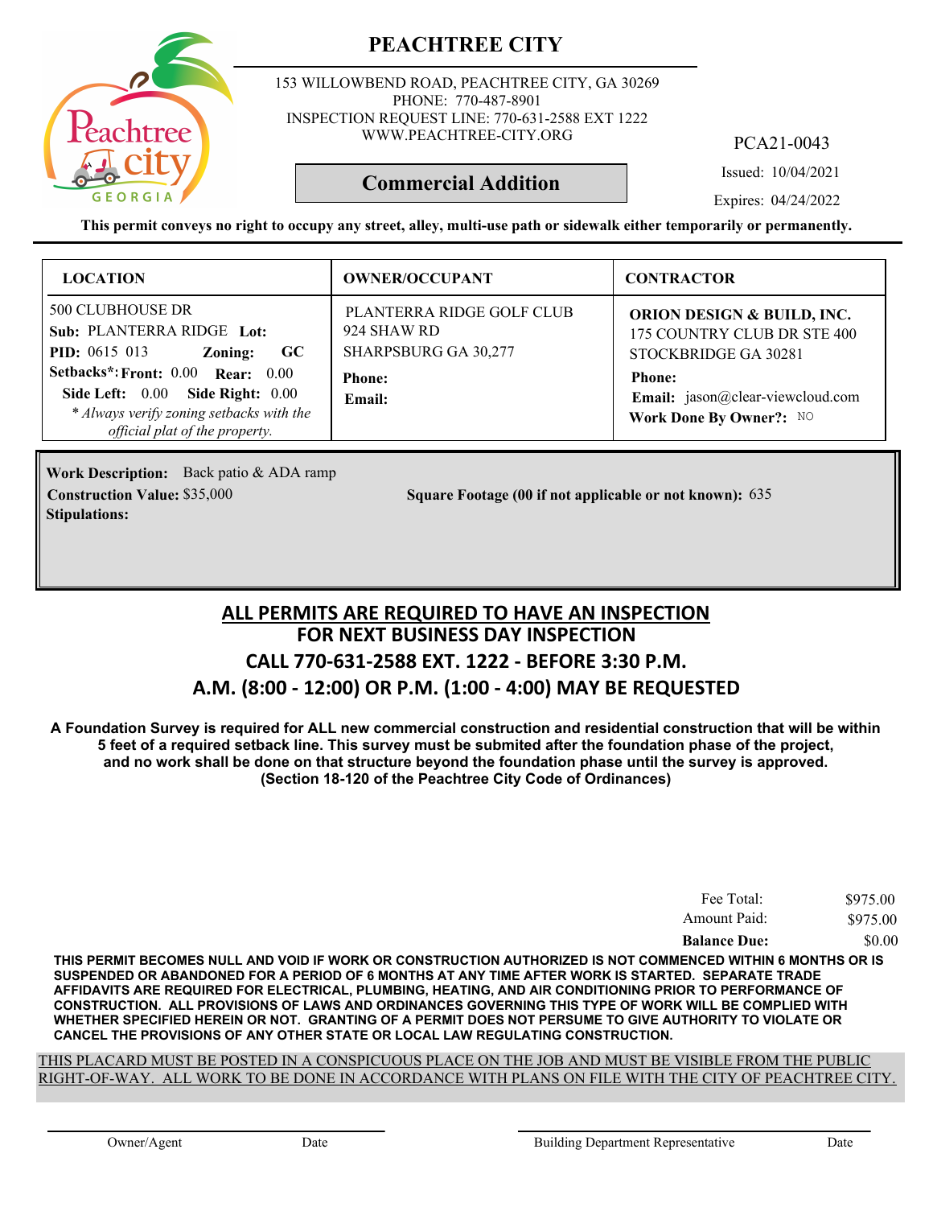153 WILLOWBEND ROAD, PEACHTREE CITY, GA 30269 PHONE: 770-487-8901 INSPECTION REQUEST LINE: 770-631-2588 EXT 1222 WWW.PEACHTREE-CITY.ORG

**PEACHTREE CITY**

PCA21-0043

Issued: 10/04/2021

Expires: 04/24/2022

**This permit conveys no right to occupy any street, alley, multi-use path or sidewalk either temporarily or permanently.**

**Commercial Addition**

| <b>LOCATION</b>                                                                                                                                                                                                                                               | <b>OWNER/OCCUPANT</b>                                                                       | <b>CONTRACTOR</b>                                                                                                                                                            |
|---------------------------------------------------------------------------------------------------------------------------------------------------------------------------------------------------------------------------------------------------------------|---------------------------------------------------------------------------------------------|------------------------------------------------------------------------------------------------------------------------------------------------------------------------------|
| <b>500 CLUBHOUSE DR</b><br>Sub: PLANTERRA RIDGE Lot:<br><b>PID:</b> $0615$ 013<br>GC<br>Zoning:<br>Setbacks*: Front: 0.00 Rear: 0.00<br>Side Right: $0.00$<br>Side Left: $0.00$<br>* Always verify zoning setbacks with the<br>official plat of the property. | PLANTERRA RIDGE GOLF CLUB<br>924 SHAW RD<br>SHARPSBURG GA 30,277<br><b>Phone:</b><br>Email: | <b>ORION DESIGN &amp; BUILD, INC.</b><br>175 COUNTRY CLUB DR STE 400<br>STOCKBRIDGE GA 30281<br><b>Phone:</b><br>Email: jason@clear-viewcloud.com<br>Work Done By Owner?: NO |

**Work Description:** Back patio & ADA ramp **Stipulations:**

**Construction Value:** \$35,000 635 Square Footage (00 if not applicable or not known): 635

### **FOR NEXT BUSINESS DAY INSPECTION CALL 770-631-2588 EXT. 1222 - BEFORE 3:30 P.M. A.M. (8:00 - 12:00) OR P.M. (1:00 - 4:00) MAY BE REQUESTED ALL PERMITS ARE REQUIRED TO HAVE AN INSPECTION**

**A Foundation Survey is required for ALL new commercial construction and residential construction that will be within 5 feet of a required setback line. This survey must be submited after the foundation phase of the project, and no work shall be done on that structure beyond the foundation phase until the survey is approved. (Section 18-120 of the Peachtree City Code of Ordinances)**

| Fee Total:          | \$975.00 |
|---------------------|----------|
| Amount Paid:        | \$975.00 |
| <b>Balance Due:</b> | \$0.00   |

**THIS PERMIT BECOMES NULL AND VOID IF WORK OR CONSTRUCTION AUTHORIZED IS NOT COMMENCED WITHIN 6 MONTHS OR IS SUSPENDED OR ABANDONED FOR A PERIOD OF 6 MONTHS AT ANY TIME AFTER WORK IS STARTED. SEPARATE TRADE AFFIDAVITS ARE REQUIRED FOR ELECTRICAL, PLUMBING, HEATING, AND AIR CONDITIONING PRIOR TO PERFORMANCE OF CONSTRUCTION. ALL PROVISIONS OF LAWS AND ORDINANCES GOVERNING THIS TYPE OF WORK WILL BE COMPLIED WITH WHETHER SPECIFIED HEREIN OR NOT. GRANTING OF A PERMIT DOES NOT PERSUME TO GIVE AUTHORITY TO VIOLATE OR CANCEL THE PROVISIONS OF ANY OTHER STATE OR LOCAL LAW REGULATING CONSTRUCTION.**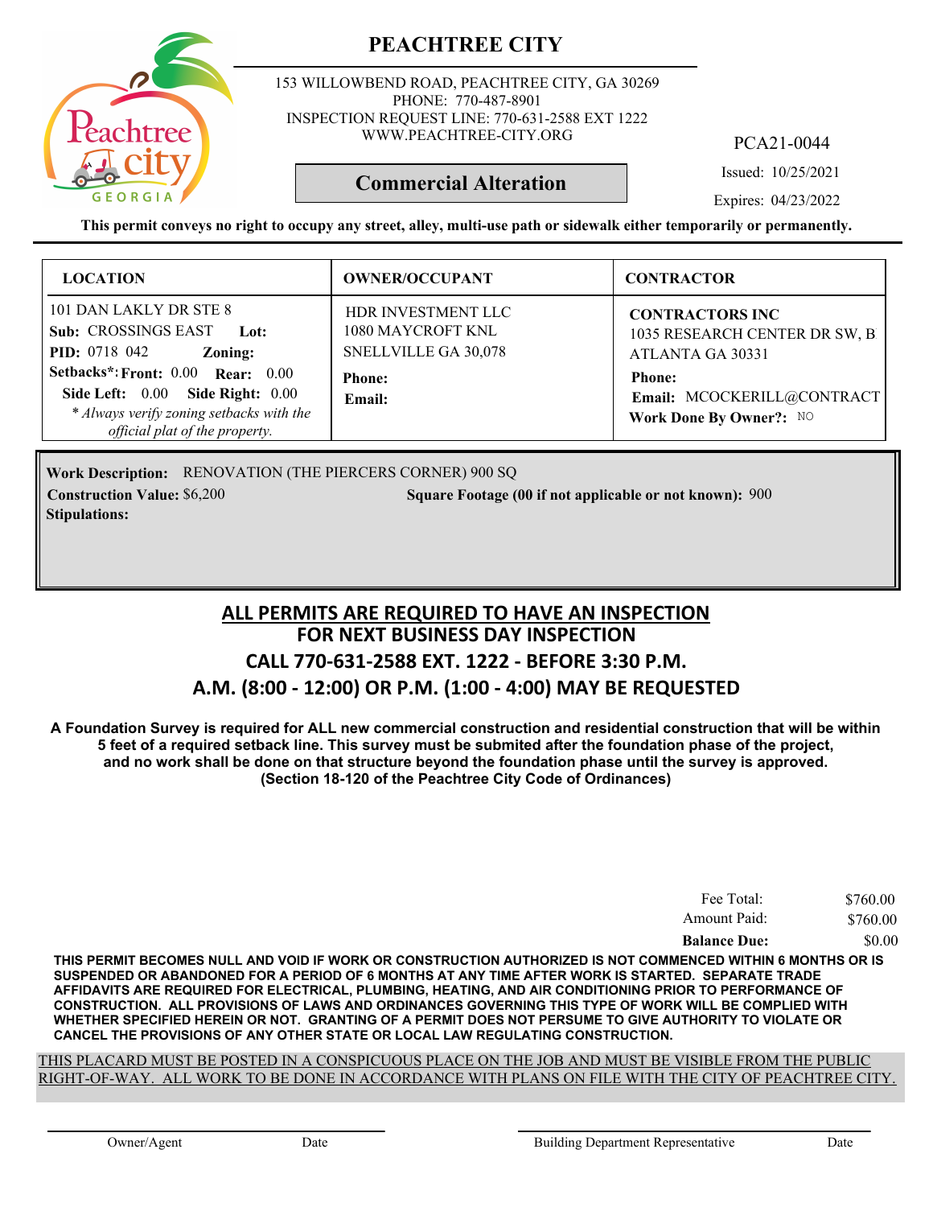

153 WILLOWBEND ROAD, PEACHTREE CITY, GA 30269 PHONE: 770-487-8901 INSPECTION REQUEST LINE: 770-631-2588 EXT 1222 WWW.PEACHTREE-CITY.ORG

PCA21-0044

Issued: 10/25/2021

Expires: 04/23/2022

**This permit conveys no right to occupy any street, alley, multi-use path or sidewalk either temporarily or permanently.**

**Commercial Alteration**

| <b>LOCATION</b>                                                                                                                                                 | <b>OWNER/OCCUPANT</b>                                                  | <b>CONTRACTOR</b>                                                            |
|-----------------------------------------------------------------------------------------------------------------------------------------------------------------|------------------------------------------------------------------------|------------------------------------------------------------------------------|
| 101 DAN LAKLY DR STE 8<br><b>Sub: CROSSINGS EAST</b><br>Lot:<br><b>PID:</b> 0718 042<br>Zoning:                                                                 | <b>HDR INVESTMENT LLC</b><br>1080 MAYCROFT KNL<br>SNELLVILLE GA 30,078 | <b>CONTRACTORS INC</b><br>1035 RESEARCH CENTER DR SW, B.<br>ATLANTA GA 30331 |
| Setbacks*: Front: 0.00 Rear: 0.00<br><b>Side Right: 0.00</b><br>Side Left: $0.00$<br>* Always verify zoning setbacks with the<br>official plat of the property. | <b>Phone:</b><br>Email:                                                | <b>Phone:</b><br>Email: MCOCKERILL@CONTRACT<br>Work Done By Owner?: NO       |

Work Description: RENOVATION (THE PIERCERS CORNER) 900 SQ **Construction Value:** \$6,200 **5000 Square Footage (00 if not applicable or not known): 900 Stipulations:**

### **FOR NEXT BUSINESS DAY INSPECTION CALL 770-631-2588 EXT. 1222 - BEFORE 3:30 P.M. A.M. (8:00 - 12:00) OR P.M. (1:00 - 4:00) MAY BE REQUESTED ALL PERMITS ARE REQUIRED TO HAVE AN INSPECTION**

**A Foundation Survey is required for ALL new commercial construction and residential construction that will be within 5 feet of a required setback line. This survey must be submited after the foundation phase of the project, and no work shall be done on that structure beyond the foundation phase until the survey is approved. (Section 18-120 of the Peachtree City Code of Ordinances)**

| Fee Total:          | \$760.00 |
|---------------------|----------|
| Amount Paid:        | \$760.00 |
| <b>Balance Due:</b> | \$0.00   |

**THIS PERMIT BECOMES NULL AND VOID IF WORK OR CONSTRUCTION AUTHORIZED IS NOT COMMENCED WITHIN 6 MONTHS OR IS SUSPENDED OR ABANDONED FOR A PERIOD OF 6 MONTHS AT ANY TIME AFTER WORK IS STARTED. SEPARATE TRADE AFFIDAVITS ARE REQUIRED FOR ELECTRICAL, PLUMBING, HEATING, AND AIR CONDITIONING PRIOR TO PERFORMANCE OF CONSTRUCTION. ALL PROVISIONS OF LAWS AND ORDINANCES GOVERNING THIS TYPE OF WORK WILL BE COMPLIED WITH WHETHER SPECIFIED HEREIN OR NOT. GRANTING OF A PERMIT DOES NOT PERSUME TO GIVE AUTHORITY TO VIOLATE OR CANCEL THE PROVISIONS OF ANY OTHER STATE OR LOCAL LAW REGULATING CONSTRUCTION.**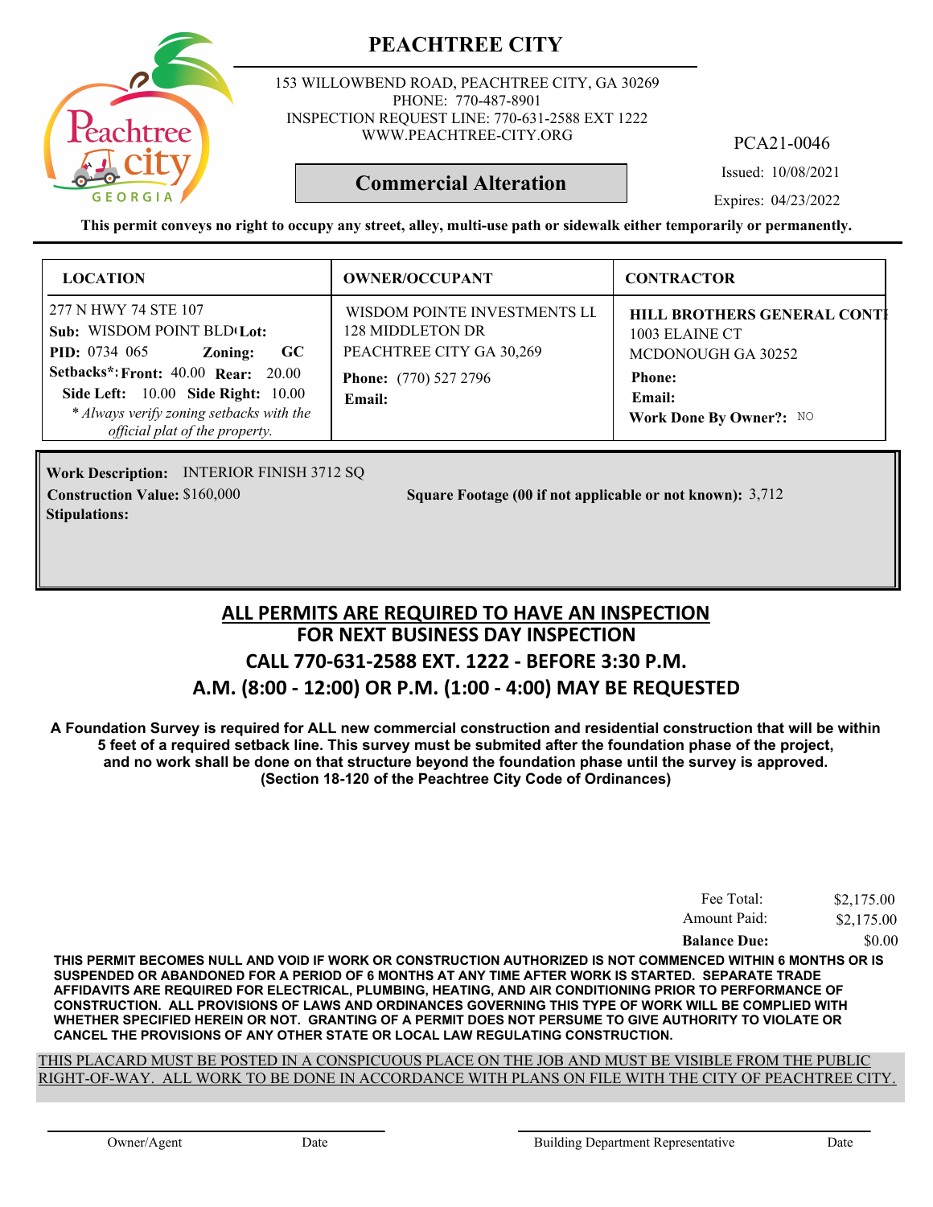

153 WILLOWBEND ROAD, PEACHTREE CITY, GA 30269 PHONE: 770-487-8901 INSPECTION REQUEST LINE: 770-631-2588 EXT 1222 WWW.PEACHTREE-CITY.ORG

PCA21-0046

Issued: 10/08/2021

Expires: 04/23/2022

**This permit conveys no right to occupy any street, alley, multi-use path or sidewalk either temporarily or permanently.**

**Commercial Alteration**

| <b>LOCATION</b>                                                                                                                                                                                                                                                                    | <b>OWNER/OCCUPANT</b>                                                                                                  | <b>CONTRACTOR</b>                                                                                                                       |
|------------------------------------------------------------------------------------------------------------------------------------------------------------------------------------------------------------------------------------------------------------------------------------|------------------------------------------------------------------------------------------------------------------------|-----------------------------------------------------------------------------------------------------------------------------------------|
| 277 N HWY 74 STE 107<br>Sub: WISDOM POINT BLD <sub>'Lot</sub> :<br><b>PID:</b> $0734$ 065<br>Zoning:<br>$\bf GC$<br><b>Setbacks*: Front: 40.00 Rear: 20.00</b><br>Side Left: 10.00 Side Right: 10.00<br>* Always verify zoning setbacks with the<br>official plat of the property. | WISDOM POINTE INVESTMENTS LI<br>128 MIDDLETON DR<br>PEACHTREE CITY GA 30,269<br><b>Phone:</b> (770) 527 2796<br>Email: | <b>HILL BROTHERS GENERAL CONTI</b><br>1003 ELAINE CT<br>MCDONOUGH GA 30252<br><b>Phone:</b><br><b>Email:</b><br>Work Done By Owner?: NO |

Work Description: INTERIOR FINISH 3712 SQ **Stipulations:**

**Construction Value:** \$160,000 3,712 **Square Footage (00 if not applicable or not known):** 3,712

### **FOR NEXT BUSINESS DAY INSPECTION CALL 770-631-2588 EXT. 1222 - BEFORE 3:30 P.M. A.M. (8:00 - 12:00) OR P.M. (1:00 - 4:00) MAY BE REQUESTED ALL PERMITS ARE REQUIRED TO HAVE AN INSPECTION**

**A Foundation Survey is required for ALL new commercial construction and residential construction that will be within 5 feet of a required setback line. This survey must be submited after the foundation phase of the project, and no work shall be done on that structure beyond the foundation phase until the survey is approved. (Section 18-120 of the Peachtree City Code of Ordinances)**

| Fee Total:          | \$2,175.00 |
|---------------------|------------|
| Amount Paid:        | \$2,175.00 |
| <b>Balance Due:</b> | \$0.00     |

**THIS PERMIT BECOMES NULL AND VOID IF WORK OR CONSTRUCTION AUTHORIZED IS NOT COMMENCED WITHIN 6 MONTHS OR IS SUSPENDED OR ABANDONED FOR A PERIOD OF 6 MONTHS AT ANY TIME AFTER WORK IS STARTED. SEPARATE TRADE AFFIDAVITS ARE REQUIRED FOR ELECTRICAL, PLUMBING, HEATING, AND AIR CONDITIONING PRIOR TO PERFORMANCE OF CONSTRUCTION. ALL PROVISIONS OF LAWS AND ORDINANCES GOVERNING THIS TYPE OF WORK WILL BE COMPLIED WITH WHETHER SPECIFIED HEREIN OR NOT. GRANTING OF A PERMIT DOES NOT PERSUME TO GIVE AUTHORITY TO VIOLATE OR CANCEL THE PROVISIONS OF ANY OTHER STATE OR LOCAL LAW REGULATING CONSTRUCTION.**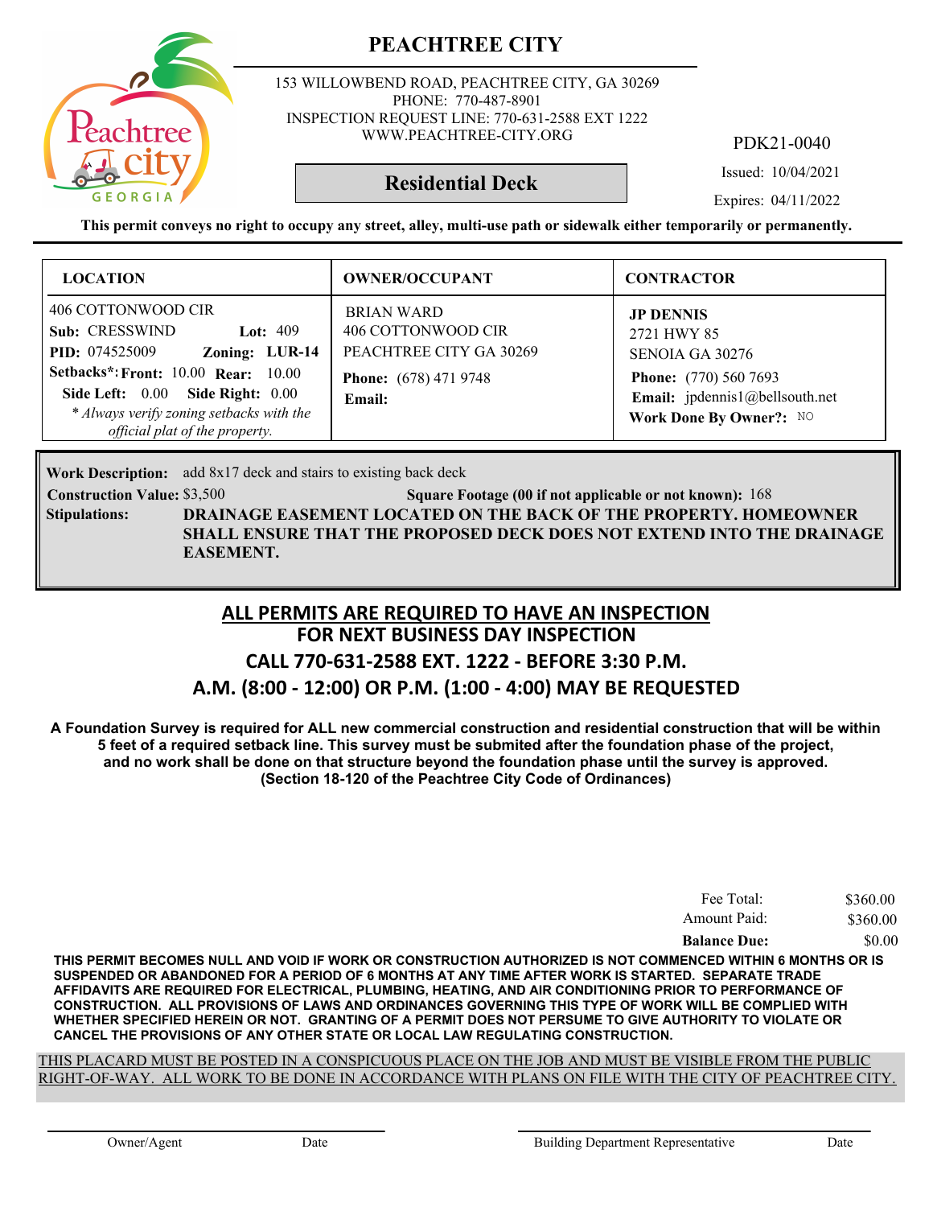

153 WILLOWBEND ROAD, PEACHTREE CITY, GA 30269 PHONE: 770-487-8901 INSPECTION REQUEST LINE: 770-631-2588 EXT 1222 WWW.PEACHTREE-CITY.ORG

PDK21-0040

Issued: 10/04/2021

**Residential Deck**

Expires: 04/11/2022

**This permit conveys no right to occupy any street, alley, multi-use path or sidewalk either temporarily or permanently.**

| <b>LOCATION</b>                                                                                                                                                                                                                                               | <b>OWNER/OCCUPANT</b>                                                                                        | <b>CONTRACTOR</b>                                                                                                                               |
|---------------------------------------------------------------------------------------------------------------------------------------------------------------------------------------------------------------------------------------------------------------|--------------------------------------------------------------------------------------------------------------|-------------------------------------------------------------------------------------------------------------------------------------------------|
| 406 COTTONWOOD CIR<br>Sub: CRESSWIND<br>Lot: $409$<br>Zoning: LUR-14<br><b>PID:</b> 074525009<br><b>Setbacks*: Front: 10.00 Rear: 10.00</b><br>Side Left: 0.00 Side Right: 0.00<br>* Always verify zoning setbacks with the<br>official plat of the property. | <b>BRIAN WARD</b><br>406 COTTONWOOD CIR<br>PEACHTREE CITY GA 30269<br><b>Phone:</b> (678) 471 9748<br>Email: | <b>JP DENNIS</b><br>2721 HWY 85<br>SENOJA GA 30276<br><b>Phone:</b> (770) 560 7693<br>Email: jpdennis1@bellsouth.net<br>Work Done By Owner?: NO |

**Work Description:** add 8x17 deck and stairs to existing back deck

**Construction Value:** \$3,500 50 168 Square Footage (00 if not applicable or not known): 168 **DRAINAGE EASEMENT LOCATED ON THE BACK OF THE PROPERTY. HOMEOWNER SHALL ENSURE THAT THE PROPOSED DECK DOES NOT EXTEND INTO THE DRAINAGE EASEMENT. Stipulations:**

#### **FOR NEXT BUSINESS DAY INSPECTION CALL 770-631-2588 EXT. 1222 - BEFORE 3:30 P.M. ALL PERMITS ARE REQUIRED TO HAVE AN INSPECTION**

## **A.M. (8:00 - 12:00) OR P.M. (1:00 - 4:00) MAY BE REQUESTED**

**A Foundation Survey is required for ALL new commercial construction and residential construction that will be within 5 feet of a required setback line. This survey must be submited after the foundation phase of the project, and no work shall be done on that structure beyond the foundation phase until the survey is approved. (Section 18-120 of the Peachtree City Code of Ordinances)**

| Fee Total:          | \$360.00 |
|---------------------|----------|
| Amount Paid:        | \$360.00 |
| <b>Balance Due:</b> | \$0.00   |

**THIS PERMIT BECOMES NULL AND VOID IF WORK OR CONSTRUCTION AUTHORIZED IS NOT COMMENCED WITHIN 6 MONTHS OR IS SUSPENDED OR ABANDONED FOR A PERIOD OF 6 MONTHS AT ANY TIME AFTER WORK IS STARTED. SEPARATE TRADE AFFIDAVITS ARE REQUIRED FOR ELECTRICAL, PLUMBING, HEATING, AND AIR CONDITIONING PRIOR TO PERFORMANCE OF CONSTRUCTION. ALL PROVISIONS OF LAWS AND ORDINANCES GOVERNING THIS TYPE OF WORK WILL BE COMPLIED WITH WHETHER SPECIFIED HEREIN OR NOT. GRANTING OF A PERMIT DOES NOT PERSUME TO GIVE AUTHORITY TO VIOLATE OR CANCEL THE PROVISIONS OF ANY OTHER STATE OR LOCAL LAW REGULATING CONSTRUCTION.**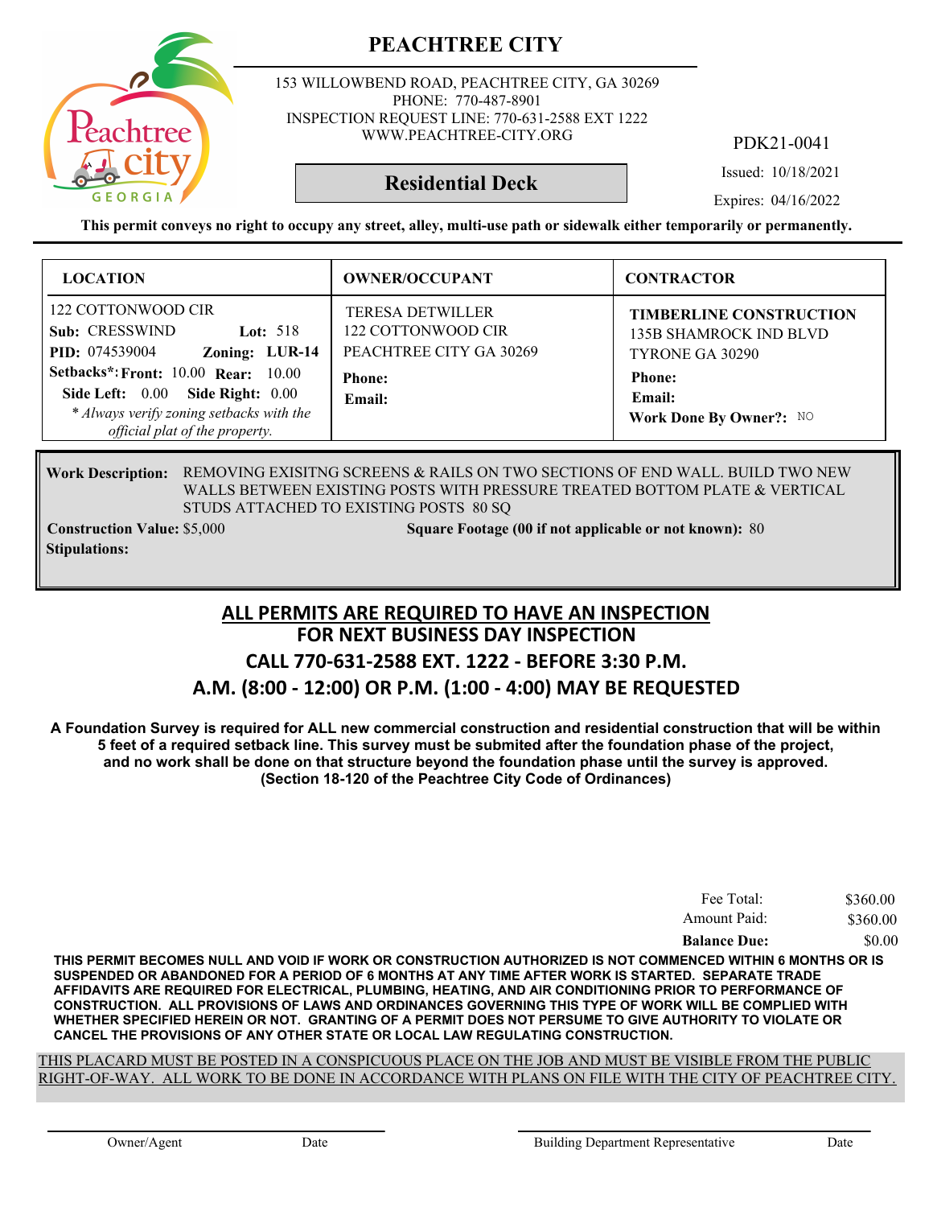

153 WILLOWBEND ROAD, PEACHTREE CITY, GA 30269 PHONE: 770-487-8901 INSPECTION REQUEST LINE: 770-631-2588 EXT 1222 WWW.PEACHTREE-CITY.ORG

PDK21-0041

Issued: 10/18/2021

**Residential Deck**

Expires: 04/16/2022

**This permit conveys no right to occupy any street, alley, multi-use path or sidewalk either temporarily or permanently.**

| <b>LOCATION</b>                                                                                                                                                                                                                                               | <b>OWNER/OCCUPANT</b>                                                                               | <b>CONTRACTOR</b>                                                                                                                 |
|---------------------------------------------------------------------------------------------------------------------------------------------------------------------------------------------------------------------------------------------------------------|-----------------------------------------------------------------------------------------------------|-----------------------------------------------------------------------------------------------------------------------------------|
| 122 COTTONWOOD CIR<br>Sub: CRESSWIND<br>Lot: $518$<br>Zoning: LUR-14<br><b>PID:</b> 074539004<br><b>Setbacks*: Front: 10.00 Rear: 10.00</b><br>Side Left: 0.00 Side Right: 0.00<br>* Always verify zoning setbacks with the<br>official plat of the property. | <b>TERESA DETWILLER</b><br>122 COTTONWOOD CIR<br>PEACHTREE CITY GA 30269<br><b>Phone:</b><br>Email: | <b>TIMBERLINE CONSTRUCTION</b><br>135B SHAMROCK IND BLVD<br>TYRONE GA 30290<br><b>Phone:</b><br>Email:<br>Work Done By Owner?: NO |

#### Work Description: REMOVING EXISITNG SCREENS & RAILS ON TWO SECTIONS OF END WALL. BUILD TWO NEW WALLS BETWEEN EXISTING POSTS WITH PRESSURE TREATED BOTTOM PLATE & VERTICAL STUDS ATTACHED TO EXISTING POSTS 80 SQ

**Stipulations:**

**Construction Value: Square Footage (00 if not applicable or not known):** \$5,000 80

## **FOR NEXT BUSINESS DAY INSPECTION CALL 770-631-2588 EXT. 1222 - BEFORE 3:30 P.M. ALL PERMITS ARE REQUIRED TO HAVE AN INSPECTION**

#### **A.M. (8:00 - 12:00) OR P.M. (1:00 - 4:00) MAY BE REQUESTED**

**A Foundation Survey is required for ALL new commercial construction and residential construction that will be within 5 feet of a required setback line. This survey must be submited after the foundation phase of the project, and no work shall be done on that structure beyond the foundation phase until the survey is approved. (Section 18-120 of the Peachtree City Code of Ordinances)**

| Fee Total:          | \$360.00 |
|---------------------|----------|
| Amount Paid:        | \$360.00 |
| <b>Balance Due:</b> | \$0.00   |

**THIS PERMIT BECOMES NULL AND VOID IF WORK OR CONSTRUCTION AUTHORIZED IS NOT COMMENCED WITHIN 6 MONTHS OR IS SUSPENDED OR ABANDONED FOR A PERIOD OF 6 MONTHS AT ANY TIME AFTER WORK IS STARTED. SEPARATE TRADE AFFIDAVITS ARE REQUIRED FOR ELECTRICAL, PLUMBING, HEATING, AND AIR CONDITIONING PRIOR TO PERFORMANCE OF CONSTRUCTION. ALL PROVISIONS OF LAWS AND ORDINANCES GOVERNING THIS TYPE OF WORK WILL BE COMPLIED WITH WHETHER SPECIFIED HEREIN OR NOT. GRANTING OF A PERMIT DOES NOT PERSUME TO GIVE AUTHORITY TO VIOLATE OR CANCEL THE PROVISIONS OF ANY OTHER STATE OR LOCAL LAW REGULATING CONSTRUCTION.**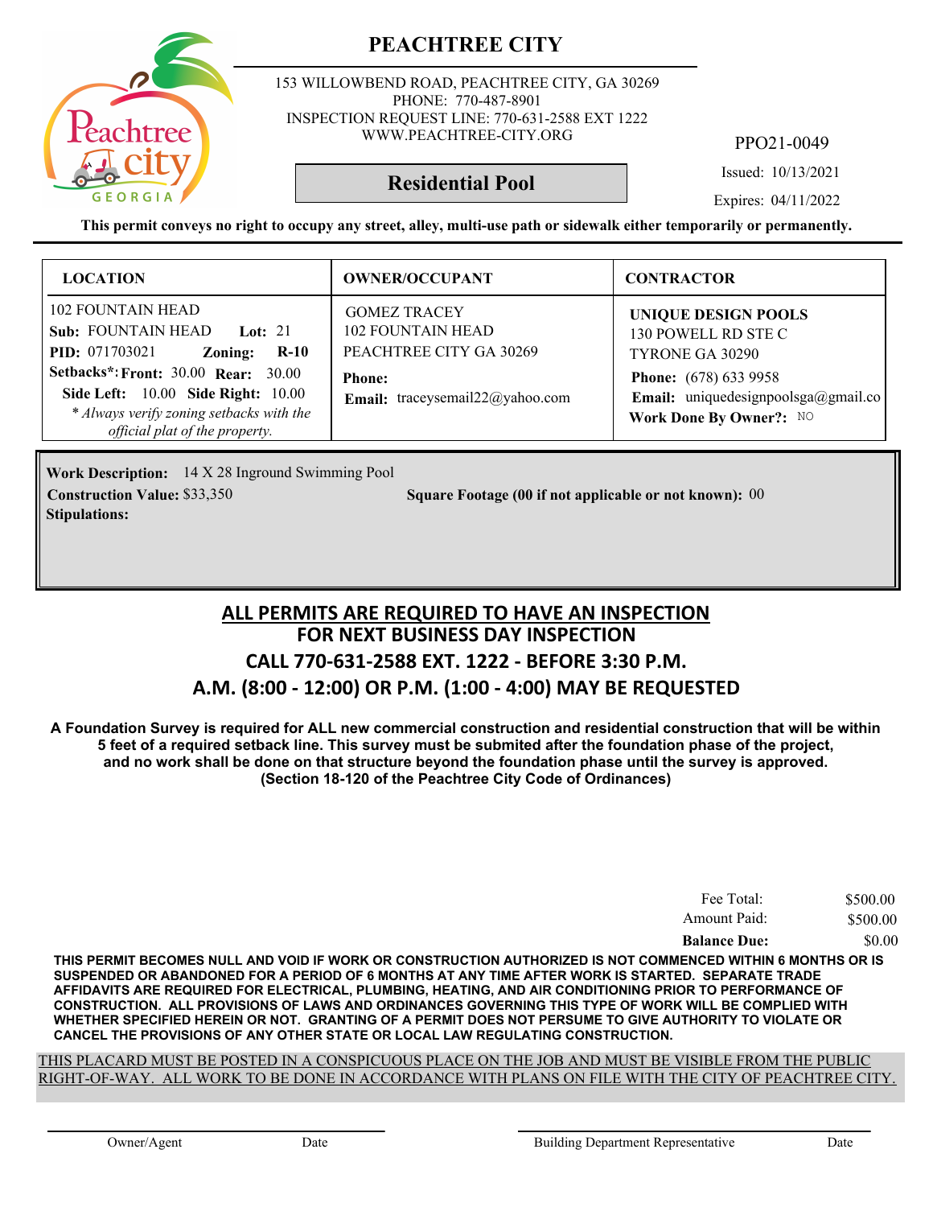153 WILLOWBEND ROAD, PEACHTREE CITY, GA 30269 PHONE: 770-487-8901 INSPECTION REQUEST LINE: 770-631-2588 EXT 1222 WWW.PEACHTREE-CITY.ORG

PPO21-0049

Issued: 10/13/2021

**Residential Pool**

Expires: 04/11/2022

**This permit conveys no right to occupy any street, alley, multi-use path or sidewalk either temporarily or permanently.**

| <b>LOCATION</b>                                                                                                                                                                                                                                                        | <b>OWNER/OCCUPANT</b>                                                                                                          | <b>CONTRACTOR</b>                                                                                                                                                      |
|------------------------------------------------------------------------------------------------------------------------------------------------------------------------------------------------------------------------------------------------------------------------|--------------------------------------------------------------------------------------------------------------------------------|------------------------------------------------------------------------------------------------------------------------------------------------------------------------|
| <b>102 FOUNTAIN HEAD</b><br>Sub: FOUNTAIN HEAD Lot: 21<br><b>PID:</b> 071703021<br>$R-10$<br>Zoning:<br><b>Setbacks*: Front: 30.00 Rear: 30.00</b><br>Side Left: 10.00 Side Right: 10.00<br>* Always verify zoning setbacks with the<br>official plat of the property. | <b>GOMEZ TRACEY</b><br><b>102 FOUNTAIN HEAD</b><br>PEACHTREE CITY GA 30269<br><b>Phone:</b><br>Email: traceysemail22@yahoo.com | <b>UNIQUE DESIGN POOLS</b><br>130 POWELL RD STE C<br>TYRONE GA 30290<br><b>Phone:</b> (678) 633 9958<br>Email: uniquedesignpoolsga@gmail.co<br>Work Done By Owner?: NO |

14 X 28 Inground Swimming Pool **Work Description: Stipulations:**

**Construction Value:** \$33,350 **80.8 Square Footage (00 if not applicable or not known): 00** 

#### **FOR NEXT BUSINESS DAY INSPECTION CALL 770-631-2588 EXT. 1222 - BEFORE 3:30 P.M. A.M. (8:00 - 12:00) OR P.M. (1:00 - 4:00) MAY BE REQUESTED ALL PERMITS ARE REQUIRED TO HAVE AN INSPECTION**

**A Foundation Survey is required for ALL new commercial construction and residential construction that will be within 5 feet of a required setback line. This survey must be submited after the foundation phase of the project, and no work shall be done on that structure beyond the foundation phase until the survey is approved. (Section 18-120 of the Peachtree City Code of Ordinances)**

| Fee Total:          | \$500.00 |
|---------------------|----------|
| Amount Paid:        | \$500.00 |
| <b>Balance Due:</b> | \$0.00   |

**THIS PERMIT BECOMES NULL AND VOID IF WORK OR CONSTRUCTION AUTHORIZED IS NOT COMMENCED WITHIN 6 MONTHS OR IS SUSPENDED OR ABANDONED FOR A PERIOD OF 6 MONTHS AT ANY TIME AFTER WORK IS STARTED. SEPARATE TRADE AFFIDAVITS ARE REQUIRED FOR ELECTRICAL, PLUMBING, HEATING, AND AIR CONDITIONING PRIOR TO PERFORMANCE OF CONSTRUCTION. ALL PROVISIONS OF LAWS AND ORDINANCES GOVERNING THIS TYPE OF WORK WILL BE COMPLIED WITH WHETHER SPECIFIED HEREIN OR NOT. GRANTING OF A PERMIT DOES NOT PERSUME TO GIVE AUTHORITY TO VIOLATE OR CANCEL THE PROVISIONS OF ANY OTHER STATE OR LOCAL LAW REGULATING CONSTRUCTION.**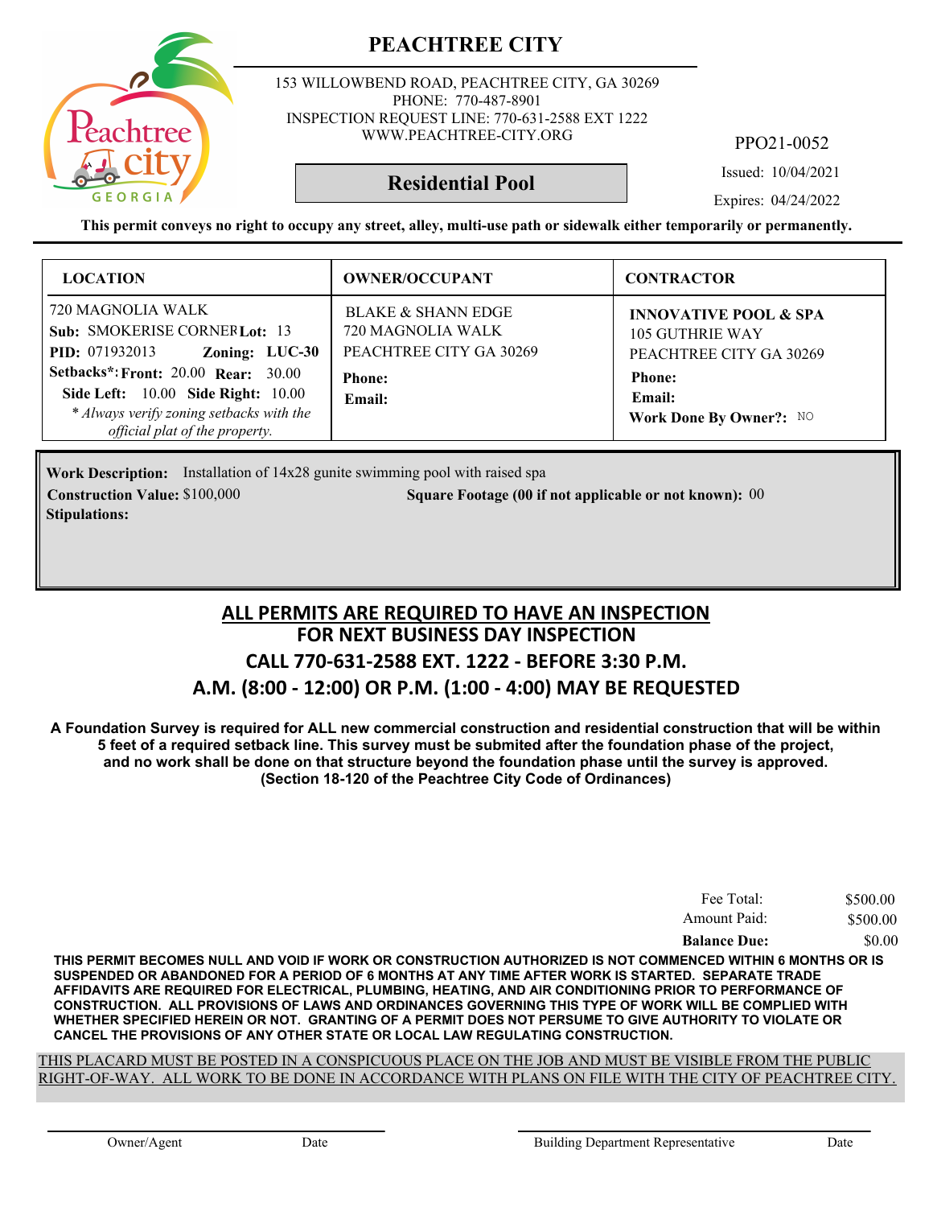

153 WILLOWBEND ROAD, PEACHTREE CITY, GA 30269 PHONE: 770-487-8901 INSPECTION REQUEST LINE: 770-631-2588 EXT 1222 WWW.PEACHTREE-CITY.ORG

PPO21-0052

Issued: 10/04/2021

Expires: 04/24/2022

**This permit conveys no right to occupy any street, alley, multi-use path or sidewalk either temporarily or permanently.**

**Residential Pool**

| <b>LOCATION</b>                                                                                                                                                                                                                                                               | <b>OWNER/OCCUPANT</b>                                                                                    | <b>CONTRACTOR</b>                                                                                                                    |
|-------------------------------------------------------------------------------------------------------------------------------------------------------------------------------------------------------------------------------------------------------------------------------|----------------------------------------------------------------------------------------------------------|--------------------------------------------------------------------------------------------------------------------------------------|
| 720 MAGNOLIA WALK<br>Sub: SMOKERISE CORNER Lot: 13<br>Zoning: LUC-30<br><b>PID:</b> 071932013<br><b>Setbacks*: Front: 20.00 Rear: 30.00</b><br><b>Side Left:</b> 10.00 <b>Side Right:</b> 10.00<br>* Always verify zoning setbacks with the<br>official plat of the property. | <b>BLAKE &amp; SHANN EDGE</b><br>720 MAGNOLIA WALK<br>PEACHTREE CITY GA 30269<br><b>Phone:</b><br>Email: | <b>INNOVATIVE POOL &amp; SPA</b><br>105 GUTHRIE WAY<br>PEACHTREE CITY GA 30269<br><b>Phone:</b><br>Email:<br>Work Done By Owner?: NO |

**Work Description:** Installation of 14x28 gunite swimming pool with raised spa **Construction Value: Square Footage (00 if not applicable or not known):** \$100,000 00 **Stipulations:**

### **FOR NEXT BUSINESS DAY INSPECTION CALL 770-631-2588 EXT. 1222 - BEFORE 3:30 P.M. A.M. (8:00 - 12:00) OR P.M. (1:00 - 4:00) MAY BE REQUESTED ALL PERMITS ARE REQUIRED TO HAVE AN INSPECTION**

**A Foundation Survey is required for ALL new commercial construction and residential construction that will be within 5 feet of a required setback line. This survey must be submited after the foundation phase of the project, and no work shall be done on that structure beyond the foundation phase until the survey is approved. (Section 18-120 of the Peachtree City Code of Ordinances)**

| Fee Total:          | \$500.00 |
|---------------------|----------|
| Amount Paid:        | \$500.00 |
| <b>Balance Due:</b> | \$0.00   |

**THIS PERMIT BECOMES NULL AND VOID IF WORK OR CONSTRUCTION AUTHORIZED IS NOT COMMENCED WITHIN 6 MONTHS OR IS SUSPENDED OR ABANDONED FOR A PERIOD OF 6 MONTHS AT ANY TIME AFTER WORK IS STARTED. SEPARATE TRADE AFFIDAVITS ARE REQUIRED FOR ELECTRICAL, PLUMBING, HEATING, AND AIR CONDITIONING PRIOR TO PERFORMANCE OF CONSTRUCTION. ALL PROVISIONS OF LAWS AND ORDINANCES GOVERNING THIS TYPE OF WORK WILL BE COMPLIED WITH WHETHER SPECIFIED HEREIN OR NOT. GRANTING OF A PERMIT DOES NOT PERSUME TO GIVE AUTHORITY TO VIOLATE OR CANCEL THE PROVISIONS OF ANY OTHER STATE OR LOCAL LAW REGULATING CONSTRUCTION.**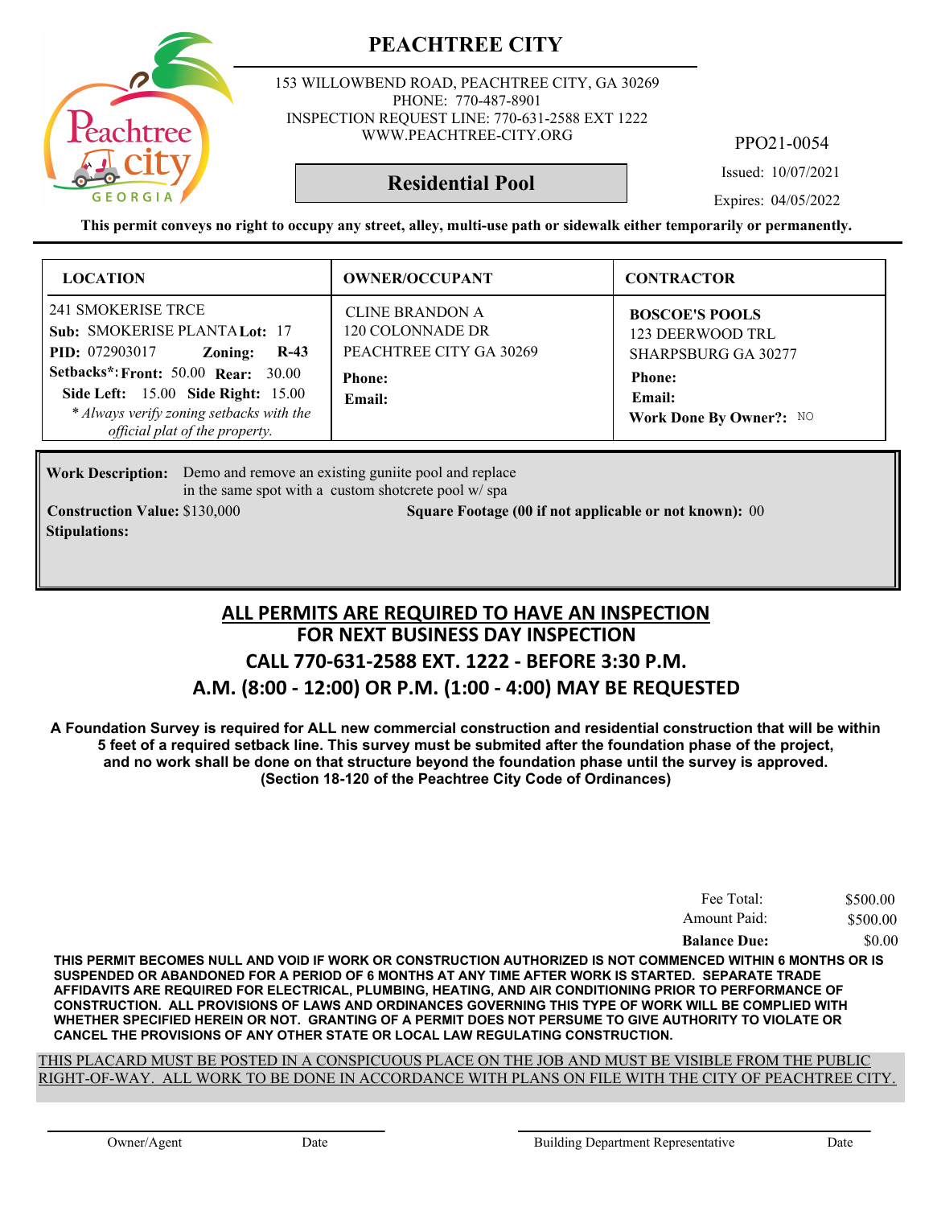153 WILLOWBEND ROAD, PEACHTREE CITY, GA 30269 PHONE: 770-487-8901 INSPECTION REQUEST LINE: 770-631-2588 EXT 1222 WWW.PEACHTREE-CITY.ORG

PPO21-0054

Issued: 10/07/2021

Expires: 04/05/2022

**This permit conveys no right to occupy any street, alley, multi-use path or sidewalk either temporarily or permanently.**

**Residential Pool**

| <b>LOCATION</b>                                                                                                                                         | <b>OWNER/OCCUPANT</b>                                                 | <b>CONTRACTOR</b>                                                       |
|---------------------------------------------------------------------------------------------------------------------------------------------------------|-----------------------------------------------------------------------|-------------------------------------------------------------------------|
| 241 SMOKERISE TRCE<br>Sub: SMOKERISE PLANTA Lot: 17<br><b>PID:</b> 072903017<br>$R-43$<br>Zoning:                                                       | <b>CLINE BRANDON A</b><br>120 COLONNADE DR<br>PEACHTREE CITY GA 30269 | <b>BOSCOE'S POOLS</b><br>123 DEERWOOD TRL<br><b>SHARPSBURG GA 30277</b> |
| Setbacks*: Front: 50.00 Rear: 30.00<br>Side Left: 15.00 Side Right: 15.00<br>* Always verify zoning setbacks with the<br>official plat of the property. | <b>Phone:</b><br>Email:                                               | <b>Phone:</b><br>Email:<br>Work Done By Owner?: NO                      |

Work Description: Demo and remove an existing guniite pool and replace in the same spot with a custom shotcrete pool w/ spa

**Stipulations:**

**Construction Value:** \$130,000 **000 Square Footage (00 if not applicable or not known):** 00

#### **FOR NEXT BUSINESS DAY INSPECTION CALL 770-631-2588 EXT. 1222 - BEFORE 3:30 P.M. A.M. (8:00 - 12:00) OR P.M. (1:00 - 4:00) MAY BE REQUESTED ALL PERMITS ARE REQUIRED TO HAVE AN INSPECTION**

**A Foundation Survey is required for ALL new commercial construction and residential construction that will be within 5 feet of a required setback line. This survey must be submited after the foundation phase of the project, and no work shall be done on that structure beyond the foundation phase until the survey is approved. (Section 18-120 of the Peachtree City Code of Ordinances)**

| Fee Total:          | \$500.00 |
|---------------------|----------|
| Amount Paid:        | \$500.00 |
| <b>Balance Due:</b> | \$0.00   |

**THIS PERMIT BECOMES NULL AND VOID IF WORK OR CONSTRUCTION AUTHORIZED IS NOT COMMENCED WITHIN 6 MONTHS OR IS SUSPENDED OR ABANDONED FOR A PERIOD OF 6 MONTHS AT ANY TIME AFTER WORK IS STARTED. SEPARATE TRADE AFFIDAVITS ARE REQUIRED FOR ELECTRICAL, PLUMBING, HEATING, AND AIR CONDITIONING PRIOR TO PERFORMANCE OF CONSTRUCTION. ALL PROVISIONS OF LAWS AND ORDINANCES GOVERNING THIS TYPE OF WORK WILL BE COMPLIED WITH WHETHER SPECIFIED HEREIN OR NOT. GRANTING OF A PERMIT DOES NOT PERSUME TO GIVE AUTHORITY TO VIOLATE OR CANCEL THE PROVISIONS OF ANY OTHER STATE OR LOCAL LAW REGULATING CONSTRUCTION.**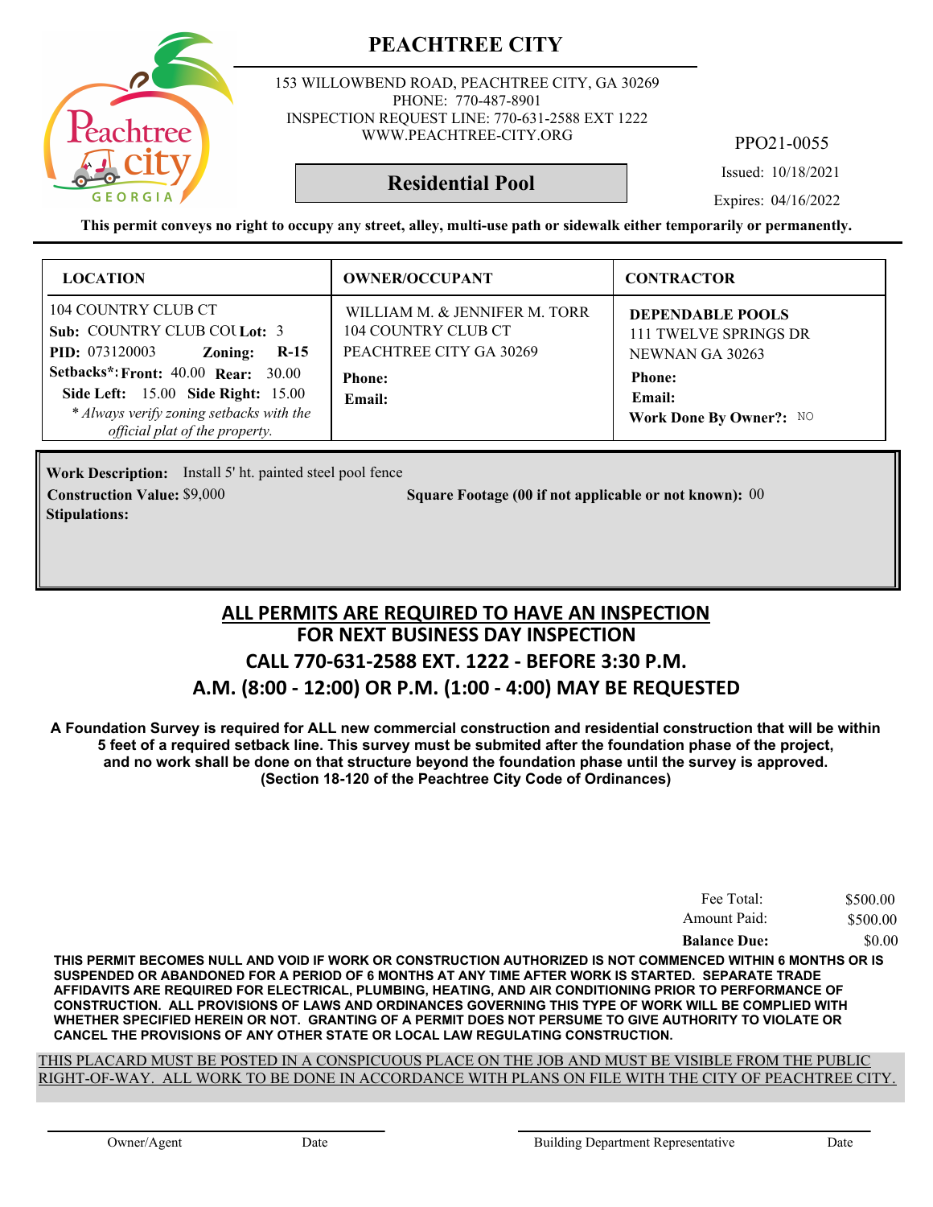

153 WILLOWBEND ROAD, PEACHTREE CITY, GA 30269 PHONE: 770-487-8901 INSPECTION REQUEST LINE: 770-631-2588 EXT 1222 WWW.PEACHTREE-CITY.ORG

PPO21-0055

Issued: 10/18/2021

**Residential Pool**

Expires: 04/16/2022

**This permit conveys no right to occupy any street, alley, multi-use path or sidewalk either temporarily or permanently.**

| <b>LOCATION</b>                                                                                                                                                                                                                                                                  | <b>OWNER/OCCUPANT</b>                                                                                      | <b>CONTRACTOR</b>                                                                                                  |
|----------------------------------------------------------------------------------------------------------------------------------------------------------------------------------------------------------------------------------------------------------------------------------|------------------------------------------------------------------------------------------------------------|--------------------------------------------------------------------------------------------------------------------|
| 104 COUNTRY CLUB CT<br>Sub: COUNTRY CLUB COULot: 3<br><b>PID:</b> 073120003<br>$R-15$<br>Zoning:<br><b>Setbacks*: Front: 40.00 Rear: 30.00</b><br><b>Side Left:</b> 15.00 <b>Side Right:</b> 15.00<br>* Always verify zoning setbacks with the<br>official plat of the property. | WILLIAM M. & JENNIFER M. TORR<br>104 COUNTRY CLUB CT<br>PEACHTREE CITY GA 30269<br><b>Phone:</b><br>Email: | DEPENDABLE POOLS<br>111 TWELVE SPRINGS DR<br>NEWNAN GA 30263<br><b>Phone:</b><br>Email:<br>Work Done By Owner?: NO |

**Work Description:** Install 5' ht. painted steel pool fence **Construction Value:** \$9,000 **000 000 000 0000 Square Footage (00 if not applicable or not known): 00 Stipulations:**

### **FOR NEXT BUSINESS DAY INSPECTION CALL 770-631-2588 EXT. 1222 - BEFORE 3:30 P.M. A.M. (8:00 - 12:00) OR P.M. (1:00 - 4:00) MAY BE REQUESTED ALL PERMITS ARE REQUIRED TO HAVE AN INSPECTION**

**A Foundation Survey is required for ALL new commercial construction and residential construction that will be within 5 feet of a required setback line. This survey must be submited after the foundation phase of the project, and no work shall be done on that structure beyond the foundation phase until the survey is approved. (Section 18-120 of the Peachtree City Code of Ordinances)**

| Fee Total:          | \$500.00 |
|---------------------|----------|
| Amount Paid:        | \$500.00 |
| <b>Balance Due:</b> | \$0.00   |

**THIS PERMIT BECOMES NULL AND VOID IF WORK OR CONSTRUCTION AUTHORIZED IS NOT COMMENCED WITHIN 6 MONTHS OR IS SUSPENDED OR ABANDONED FOR A PERIOD OF 6 MONTHS AT ANY TIME AFTER WORK IS STARTED. SEPARATE TRADE AFFIDAVITS ARE REQUIRED FOR ELECTRICAL, PLUMBING, HEATING, AND AIR CONDITIONING PRIOR TO PERFORMANCE OF CONSTRUCTION. ALL PROVISIONS OF LAWS AND ORDINANCES GOVERNING THIS TYPE OF WORK WILL BE COMPLIED WITH WHETHER SPECIFIED HEREIN OR NOT. GRANTING OF A PERMIT DOES NOT PERSUME TO GIVE AUTHORITY TO VIOLATE OR CANCEL THE PROVISIONS OF ANY OTHER STATE OR LOCAL LAW REGULATING CONSTRUCTION.**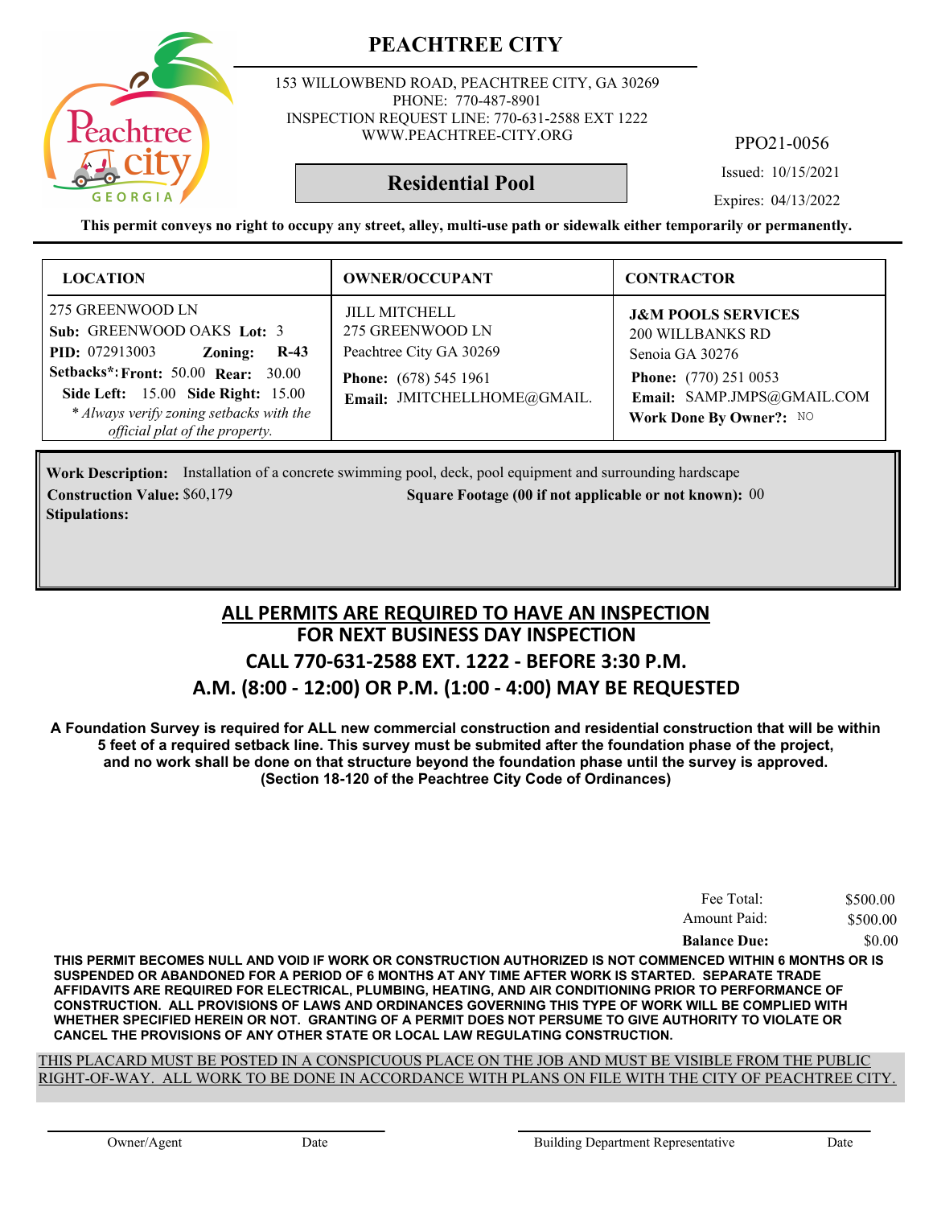153 WILLOWBEND ROAD, PEACHTREE CITY, GA 30269 PHONE: 770-487-8901 INSPECTION REQUEST LINE: 770-631-2588 EXT 1222 WWW.PEACHTREE-CITY.ORG

PPO21-0056

Issued: 10/15/2021

**Residential Pool**

Expires: 04/13/2022

**This permit conveys no right to occupy any street, alley, multi-use path or sidewalk either temporarily or permanently.**

| <b>LOCATION</b>                                                                                                                                                                                                                                                | <b>OWNER/OCCUPANT</b>                                                                                                              | <b>CONTRACTOR</b>                                                                                                                                                    |
|----------------------------------------------------------------------------------------------------------------------------------------------------------------------------------------------------------------------------------------------------------------|------------------------------------------------------------------------------------------------------------------------------------|----------------------------------------------------------------------------------------------------------------------------------------------------------------------|
| 275 GREENWOOD LN<br>Sub: GREENWOOD OAKS Lot: 3<br><b>PID:</b> 072913003<br>$R-43$<br>Zoning:<br><b>Setbacks*: Front: 50.00 Rear: 30.00</b><br>Side Left: 15.00 Side Right: 15.00<br>* Always verify zoning setbacks with the<br>official plat of the property. | <b>JILL MITCHELL</b><br>275 GREENWOOD LN<br>Peachtree City GA 30269<br><b>Phone:</b> (678) 545 1961<br>Email: JMITCHELLHOME@GMAIL. | <b>J&amp;M POOLS SERVICES</b><br><b>200 WILLBANKS RD</b><br>Senoia GA 30276<br><b>Phone:</b> (770) 251 0053<br>Email: SAMP.JMPS@GMAIL.COM<br>Work Done By Owner?: NO |

Work Description: Installation of a concrete swimming pool, deck, pool equipment and surrounding hardscape **Construction Value:** \$60,179 **Square Footage (00 if not applicable or not known):** 00 **Stipulations:**

## **FOR NEXT BUSINESS DAY INSPECTION CALL 770-631-2588 EXT. 1222 - BEFORE 3:30 P.M. A.M. (8:00 - 12:00) OR P.M. (1:00 - 4:00) MAY BE REQUESTED ALL PERMITS ARE REQUIRED TO HAVE AN INSPECTION**

**A Foundation Survey is required for ALL new commercial construction and residential construction that will be within 5 feet of a required setback line. This survey must be submited after the foundation phase of the project, and no work shall be done on that structure beyond the foundation phase until the survey is approved. (Section 18-120 of the Peachtree City Code of Ordinances)**

| Fee Total:          | \$500.00 |
|---------------------|----------|
| Amount Paid:        | \$500.00 |
| <b>Balance Due:</b> | \$0.00   |

**THIS PERMIT BECOMES NULL AND VOID IF WORK OR CONSTRUCTION AUTHORIZED IS NOT COMMENCED WITHIN 6 MONTHS OR IS SUSPENDED OR ABANDONED FOR A PERIOD OF 6 MONTHS AT ANY TIME AFTER WORK IS STARTED. SEPARATE TRADE AFFIDAVITS ARE REQUIRED FOR ELECTRICAL, PLUMBING, HEATING, AND AIR CONDITIONING PRIOR TO PERFORMANCE OF CONSTRUCTION. ALL PROVISIONS OF LAWS AND ORDINANCES GOVERNING THIS TYPE OF WORK WILL BE COMPLIED WITH WHETHER SPECIFIED HEREIN OR NOT. GRANTING OF A PERMIT DOES NOT PERSUME TO GIVE AUTHORITY TO VIOLATE OR CANCEL THE PROVISIONS OF ANY OTHER STATE OR LOCAL LAW REGULATING CONSTRUCTION.**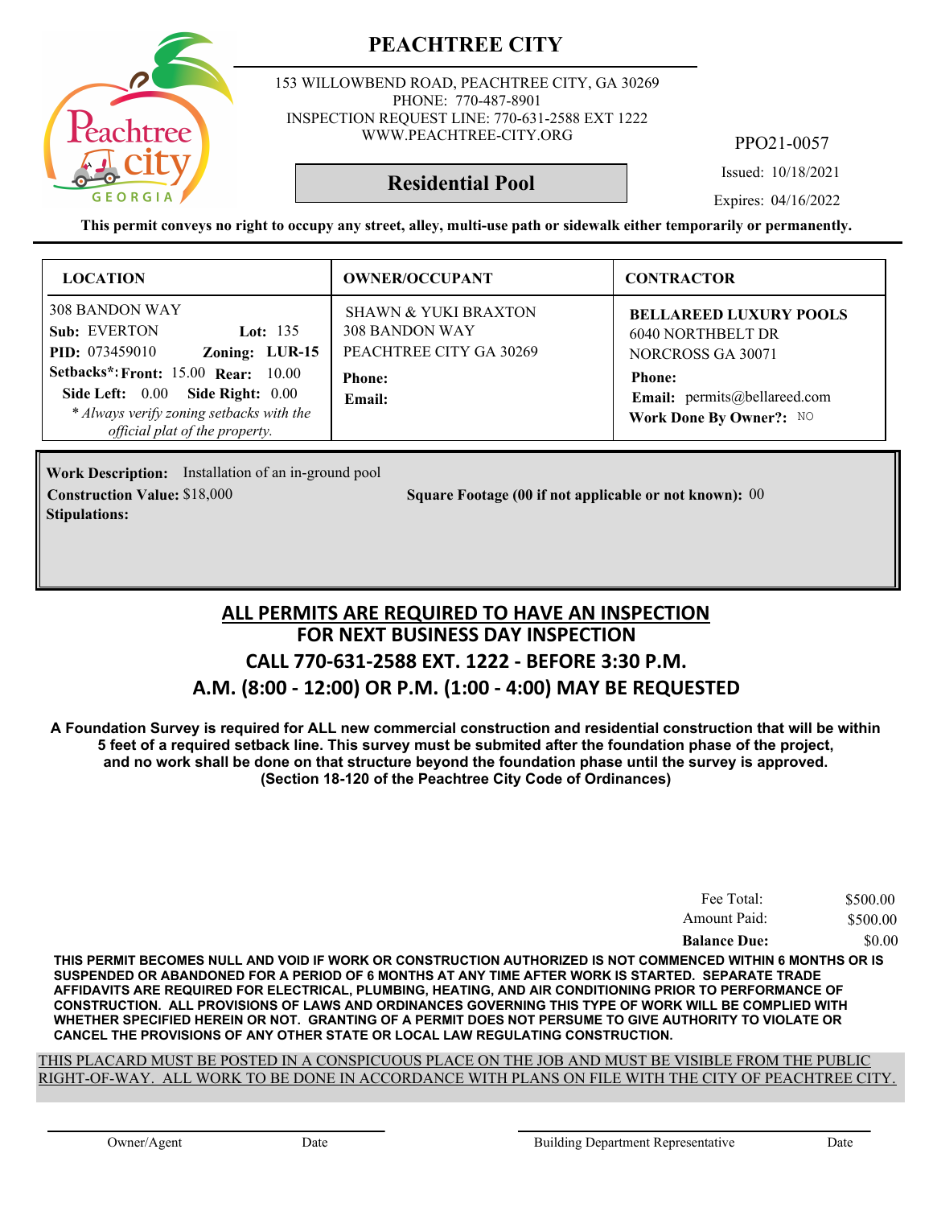

153 WILLOWBEND ROAD, PEACHTREE CITY, GA 30269 PHONE: 770-487-8901 INSPECTION REQUEST LINE: 770-631-2588 EXT 1222 WWW.PEACHTREE-CITY.ORG

PPO21-0057

Issued: 10/18/2021

Expires: 04/16/2022

**This permit conveys no right to occupy any street, alley, multi-use path or sidewalk either temporarily or permanently.**

**Residential Pool**

| <b>LOCATION</b>                                                                                                                                                                                                              | <b>OWNER/OCCUPANT</b>                                                                                          | <b>CONTRACTOR</b>                                                                                                                                          |
|------------------------------------------------------------------------------------------------------------------------------------------------------------------------------------------------------------------------------|----------------------------------------------------------------------------------------------------------------|------------------------------------------------------------------------------------------------------------------------------------------------------------|
| <b>308 BANDON WAY</b><br>Sub: EVERTON<br>Lot: $135$<br>Zoning: LUR-15<br><b>PID:</b> 073459010<br><b>Setbacks*: Front: 15.00 Rear: 10.00</b><br>Side Left: 0.00 Side Right: 0.00<br>* Always verify zoning setbacks with the | <b>SHAWN &amp; YUKI BRAXTON</b><br><b>308 BANDON WAY</b><br>PEACHTREE CITY GA 30269<br><b>Phone:</b><br>Email: | <b>BELLAREED LUXURY POOLS</b><br><b>6040 NORTHBELT DR</b><br>NORCROSS GA 30071<br><b>Phone:</b><br>Email: permits@bellareed.com<br>Work Done By Owner?: NO |
| official plat of the property.                                                                                                                                                                                               |                                                                                                                |                                                                                                                                                            |

Work Description: Installation of an in-ground pool **Stipulations:**

**Construction Value:** \$18,000 **000 000 000 000 Square Footage (00 if not applicable or not known): 00** 

#### **FOR NEXT BUSINESS DAY INSPECTION CALL 770-631-2588 EXT. 1222 - BEFORE 3:30 P.M. A.M. (8:00 - 12:00) OR P.M. (1:00 - 4:00) MAY BE REQUESTED ALL PERMITS ARE REQUIRED TO HAVE AN INSPECTION**

**A Foundation Survey is required for ALL new commercial construction and residential construction that will be within 5 feet of a required setback line. This survey must be submited after the foundation phase of the project, and no work shall be done on that structure beyond the foundation phase until the survey is approved. (Section 18-120 of the Peachtree City Code of Ordinances)**

| Fee Total:          | \$500.00 |
|---------------------|----------|
| Amount Paid:        | \$500.00 |
| <b>Balance Due:</b> | \$0.00   |

**THIS PERMIT BECOMES NULL AND VOID IF WORK OR CONSTRUCTION AUTHORIZED IS NOT COMMENCED WITHIN 6 MONTHS OR IS SUSPENDED OR ABANDONED FOR A PERIOD OF 6 MONTHS AT ANY TIME AFTER WORK IS STARTED. SEPARATE TRADE AFFIDAVITS ARE REQUIRED FOR ELECTRICAL, PLUMBING, HEATING, AND AIR CONDITIONING PRIOR TO PERFORMANCE OF CONSTRUCTION. ALL PROVISIONS OF LAWS AND ORDINANCES GOVERNING THIS TYPE OF WORK WILL BE COMPLIED WITH WHETHER SPECIFIED HEREIN OR NOT. GRANTING OF A PERMIT DOES NOT PERSUME TO GIVE AUTHORITY TO VIOLATE OR CANCEL THE PROVISIONS OF ANY OTHER STATE OR LOCAL LAW REGULATING CONSTRUCTION.**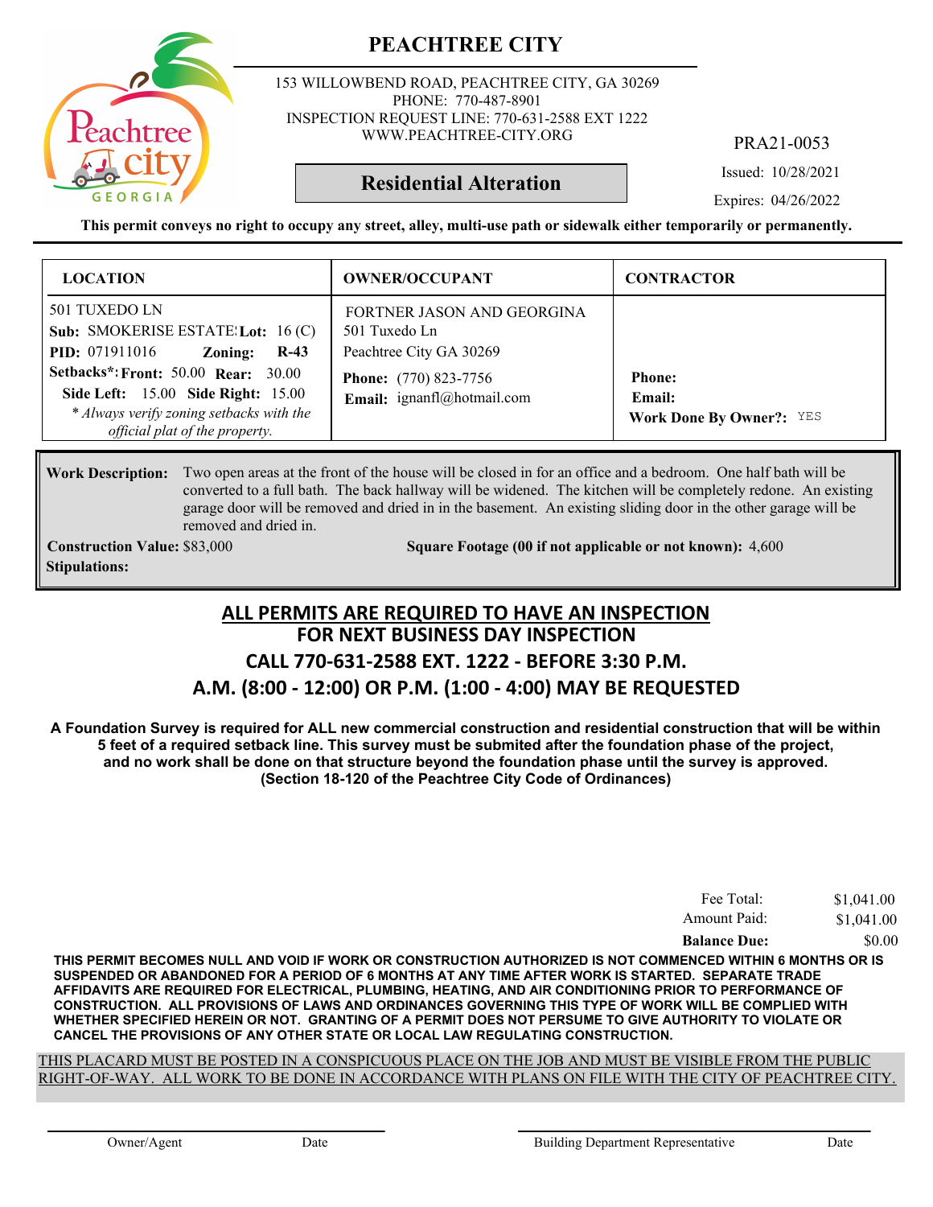153 WILLOWBEND ROAD, PEACHTREE CITY, GA 30269 PHONE: 770-487-8901 INSPECTION REQUEST LINE: 770-631-2588 EXT 1222 WWW.PEACHTREE-CITY.ORG

PRA21-0053

Issued: 10/28/2021

**Residential Alteration**

Expires: 04/26/2022

**This permit conveys no right to occupy any street, alley, multi-use path or sidewalk either temporarily or permanently.**

| <b>LOCATION</b>                                                                                                                                                                                                                                                                     | <b>OWNER/OCCUPANT</b>                                                                                                                | <b>CONTRACTOR</b>                                          |
|-------------------------------------------------------------------------------------------------------------------------------------------------------------------------------------------------------------------------------------------------------------------------------------|--------------------------------------------------------------------------------------------------------------------------------------|------------------------------------------------------------|
| 501 TUXEDO LN<br>Sub: SMOKERISE ESTATE: Lot: $16$ (C)<br><b>PID:</b> 071911016<br>$R-43$<br>Zoning:<br><b>Setbacks*: Front: 50.00 Rear: 30.00</b><br><b>Side Left:</b> 15.00 <b>Side Right:</b> 15.00<br>* Always verify zoning setbacks with the<br>official plat of the property. | FORTNER JASON AND GEORGINA<br>501 Tuxedo Ln<br>Peachtree City GA 30269<br><b>Phone:</b> (770) 823-7756<br>Email: ignanfl@hotmail.com | <b>Phone:</b><br>Email:<br><b>Work Done By Owner?: YES</b> |

#### Work Description: Two open areas at the front of the house will be closed in for an office and a bedroom. One half bath will be converted to a full bath. The back hallway will be widened. The kitchen will be completely redone. An existing garage door will be removed and dried in in the basement. An existing sliding door in the other garage will be removed and dried in.

**Stipulations:**

**Construction Value:** \$83,000 **5000 5000 50000 50000 4,600 4,600** 4,600 5000 4,600

#### **FOR NEXT BUSINESS DAY INSPECTION CALL 770-631-2588 EXT. 1222 - BEFORE 3:30 P.M. A.M. (8:00 - 12:00) OR P.M. (1:00 - 4:00) MAY BE REQUESTED ALL PERMITS ARE REQUIRED TO HAVE AN INSPECTION**

**A Foundation Survey is required for ALL new commercial construction and residential construction that will be within 5 feet of a required setback line. This survey must be submited after the foundation phase of the project, and no work shall be done on that structure beyond the foundation phase until the survey is approved. (Section 18-120 of the Peachtree City Code of Ordinances)**

| Fee Total:          | \$1,041.00 |
|---------------------|------------|
| Amount Paid:        | \$1,041.00 |
| <b>Balance Due:</b> | \$0.00     |

**THIS PERMIT BECOMES NULL AND VOID IF WORK OR CONSTRUCTION AUTHORIZED IS NOT COMMENCED WITHIN 6 MONTHS OR IS SUSPENDED OR ABANDONED FOR A PERIOD OF 6 MONTHS AT ANY TIME AFTER WORK IS STARTED. SEPARATE TRADE AFFIDAVITS ARE REQUIRED FOR ELECTRICAL, PLUMBING, HEATING, AND AIR CONDITIONING PRIOR TO PERFORMANCE OF CONSTRUCTION. ALL PROVISIONS OF LAWS AND ORDINANCES GOVERNING THIS TYPE OF WORK WILL BE COMPLIED WITH WHETHER SPECIFIED HEREIN OR NOT. GRANTING OF A PERMIT DOES NOT PERSUME TO GIVE AUTHORITY TO VIOLATE OR CANCEL THE PROVISIONS OF ANY OTHER STATE OR LOCAL LAW REGULATING CONSTRUCTION.**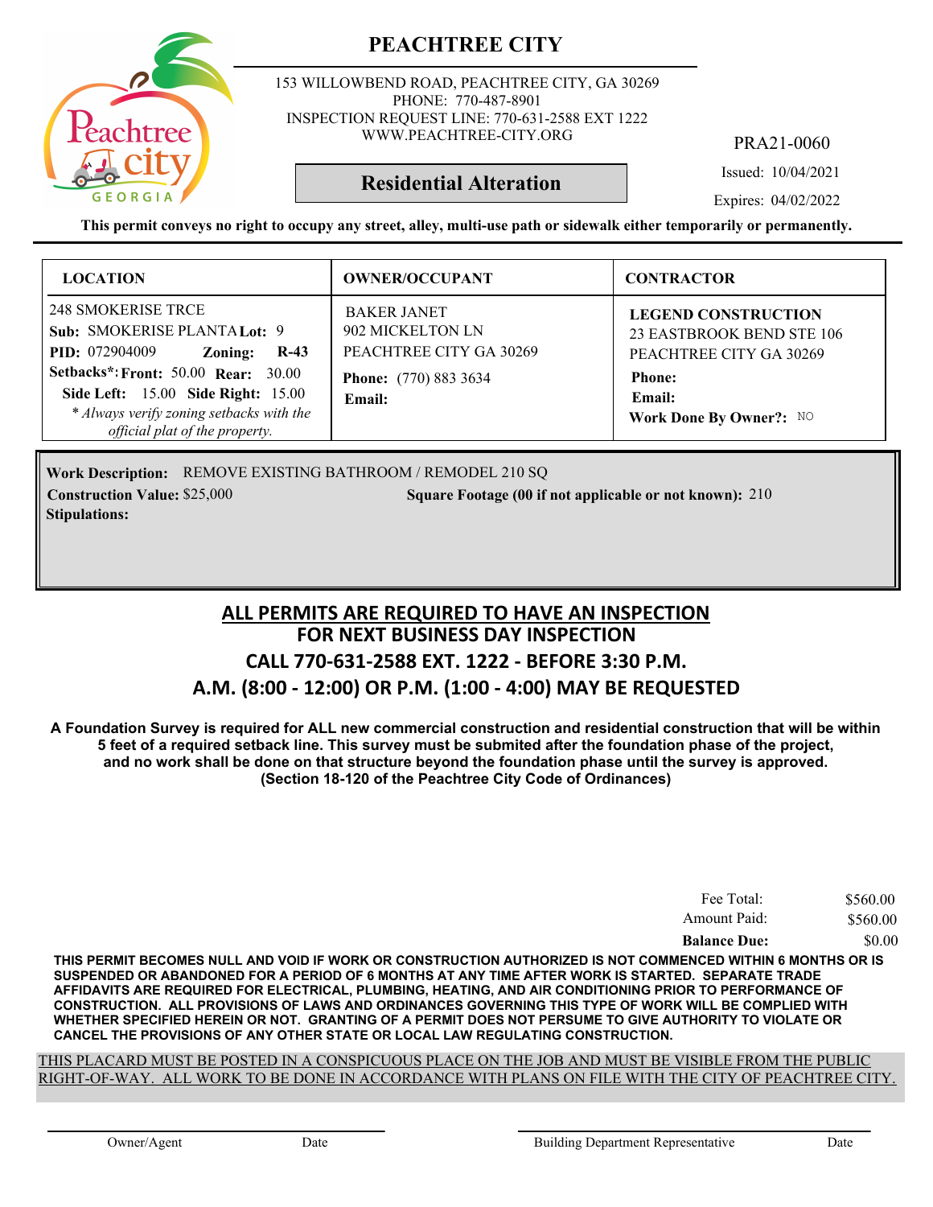

153 WILLOWBEND ROAD, PEACHTREE CITY, GA 30269 PHONE: 770-487-8901 INSPECTION REQUEST LINE: 770-631-2588 EXT 1222 WWW.PEACHTREE-CITY.ORG

PRA21-0060

Issued: 10/04/2021

**Residential Alteration**

Expires: 04/02/2022

**This permit conveys no right to occupy any street, alley, multi-use path or sidewalk either temporarily or permanently.**

| <b>LOCATION</b>                                                                                                                                                                                                                                                    | <b>OWNER/OCCUPANT</b>                                                                                       | <b>CONTRACTOR</b>                                                                                                                        |
|--------------------------------------------------------------------------------------------------------------------------------------------------------------------------------------------------------------------------------------------------------------------|-------------------------------------------------------------------------------------------------------------|------------------------------------------------------------------------------------------------------------------------------------------|
| 248 SMOKERISE TRCE<br>Sub: SMOKERISE PLANTA Lot: 9<br><b>PID:</b> 072904009<br>$R-43$<br>Zoning:<br><b>Setbacks*: Front: 50.00 Rear: 30.00</b><br>Side Left: 15.00 Side Right: 15.00<br>* Always verify zoning setbacks with the<br>official plat of the property. | <b>BAKER JANET</b><br>902 MICKELTON LN<br>PEACHTREE CITY GA 30269<br><b>Phone:</b> (770) 883 3634<br>Email: | <b>LEGEND CONSTRUCTION</b><br>23 EASTBROOK BEND STE 106<br>PEACHTREE CITY GA 30269<br><b>Phone:</b><br>Email:<br>Work Done By Owner?: NO |

Work Description: REMOVE EXISTING BATHROOM / REMODEL 210 SQ **Construction Value:** \$25,000 210 **210** 210 Square Footage (00 if not applicable or not known): 210 **Stipulations:**

## **FOR NEXT BUSINESS DAY INSPECTION CALL 770-631-2588 EXT. 1222 - BEFORE 3:30 P.M. A.M. (8:00 - 12:00) OR P.M. (1:00 - 4:00) MAY BE REQUESTED ALL PERMITS ARE REQUIRED TO HAVE AN INSPECTION**

**A Foundation Survey is required for ALL new commercial construction and residential construction that will be within 5 feet of a required setback line. This survey must be submited after the foundation phase of the project, and no work shall be done on that structure beyond the foundation phase until the survey is approved. (Section 18-120 of the Peachtree City Code of Ordinances)**

| Fee Total:          | \$560.00 |
|---------------------|----------|
| Amount Paid:        | \$560.00 |
| <b>Balance Due:</b> | \$0.00   |

**THIS PERMIT BECOMES NULL AND VOID IF WORK OR CONSTRUCTION AUTHORIZED IS NOT COMMENCED WITHIN 6 MONTHS OR IS SUSPENDED OR ABANDONED FOR A PERIOD OF 6 MONTHS AT ANY TIME AFTER WORK IS STARTED. SEPARATE TRADE AFFIDAVITS ARE REQUIRED FOR ELECTRICAL, PLUMBING, HEATING, AND AIR CONDITIONING PRIOR TO PERFORMANCE OF CONSTRUCTION. ALL PROVISIONS OF LAWS AND ORDINANCES GOVERNING THIS TYPE OF WORK WILL BE COMPLIED WITH WHETHER SPECIFIED HEREIN OR NOT. GRANTING OF A PERMIT DOES NOT PERSUME TO GIVE AUTHORITY TO VIOLATE OR CANCEL THE PROVISIONS OF ANY OTHER STATE OR LOCAL LAW REGULATING CONSTRUCTION.**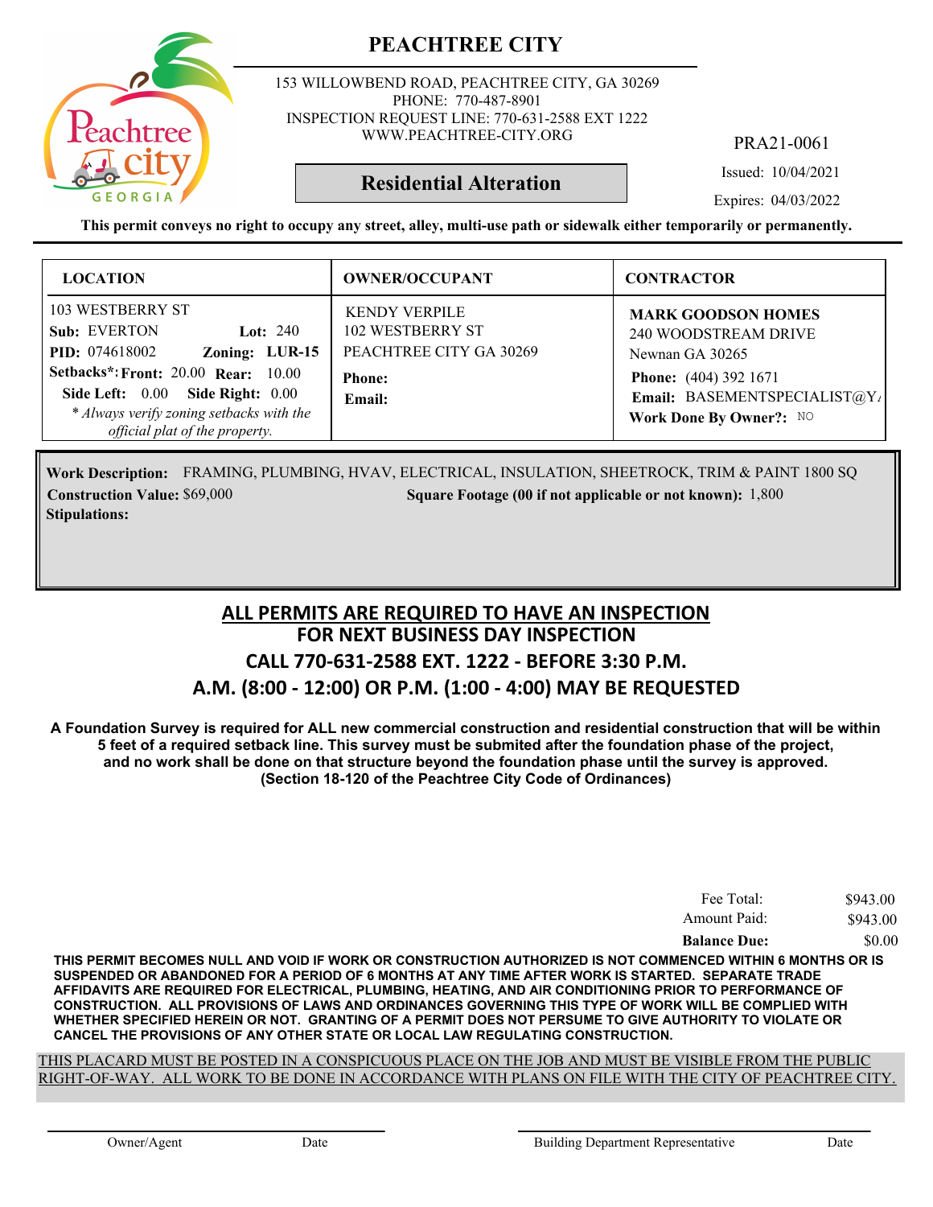

153 WILLOWBEND ROAD, PEACHTREE CITY, GA 30269 PHONE: 770-487-8901 INSPECTION REQUEST LINE: 770-631-2588 EXT 1222 WWW.PEACHTREE-CITY.ORG

PRA21-0061

Issued: 10/04/2021

Expires: 04/03/2022

**This permit conveys no right to occupy any street, alley, multi-use path or sidewalk either temporarily or permanently.**

**Residential Alteration**

| <b>LOCATION</b>                                                                                                                                                   | <b>OWNER/OCCUPANT</b>                                                      | <b>CONTRACTOR</b>                                                                       |
|-------------------------------------------------------------------------------------------------------------------------------------------------------------------|----------------------------------------------------------------------------|-----------------------------------------------------------------------------------------|
| 103 WESTBERRY ST<br>Sub: EVERTON<br>Lot: $240$<br>Zoning: LUR-15<br><b>PID:</b> 074618002                                                                         | <b>KENDY VERPILE</b><br><b>102 WESTBERRY ST</b><br>PEACHTREE CITY GA 30269 | <b>MARK GOODSON HOMES</b><br>240 WOODSTREAM DRIVE<br>Newnan GA 30265                    |
| <b>Setbacks*: Front: 20.00 Rear: 10.00</b><br>Side Right: 0.00<br>Side Left: $0.00$<br>* Always verify zoning setbacks with the<br>official plat of the property. | <b>Phone:</b><br>Email:                                                    | <b>Phone:</b> (404) 392 1671<br>Email: BASEMENTSPECIALIST@Y/<br>Work Done By Owner?: NO |

FRAMING, PLUMBING, HVAV, ELECTRICAL, INSULATION, SHEETROCK, TRIM & PAINT 1800 SQ **Work Description: Construction Value:** \$69,000 1,800 Square Footage (00 if not applicable or not known): 1,800 **Stipulations:**

## **FOR NEXT BUSINESS DAY INSPECTION CALL 770-631-2588 EXT. 1222 - BEFORE 3:30 P.M. A.M. (8:00 - 12:00) OR P.M. (1:00 - 4:00) MAY BE REQUESTED ALL PERMITS ARE REQUIRED TO HAVE AN INSPECTION**

**A Foundation Survey is required for ALL new commercial construction and residential construction that will be within 5 feet of a required setback line. This survey must be submited after the foundation phase of the project, and no work shall be done on that structure beyond the foundation phase until the survey is approved. (Section 18-120 of the Peachtree City Code of Ordinances)**

| <b>Balance Due:</b> | \$0.00   |
|---------------------|----------|
| Amount Paid:        | \$943.00 |
| Fee Total:          | \$943.00 |

**THIS PERMIT BECOMES NULL AND VOID IF WORK OR CONSTRUCTION AUTHORIZED IS NOT COMMENCED WITHIN 6 MONTHS OR IS SUSPENDED OR ABANDONED FOR A PERIOD OF 6 MONTHS AT ANY TIME AFTER WORK IS STARTED. SEPARATE TRADE AFFIDAVITS ARE REQUIRED FOR ELECTRICAL, PLUMBING, HEATING, AND AIR CONDITIONING PRIOR TO PERFORMANCE OF CONSTRUCTION. ALL PROVISIONS OF LAWS AND ORDINANCES GOVERNING THIS TYPE OF WORK WILL BE COMPLIED WITH WHETHER SPECIFIED HEREIN OR NOT. GRANTING OF A PERMIT DOES NOT PERSUME TO GIVE AUTHORITY TO VIOLATE OR CANCEL THE PROVISIONS OF ANY OTHER STATE OR LOCAL LAW REGULATING CONSTRUCTION.**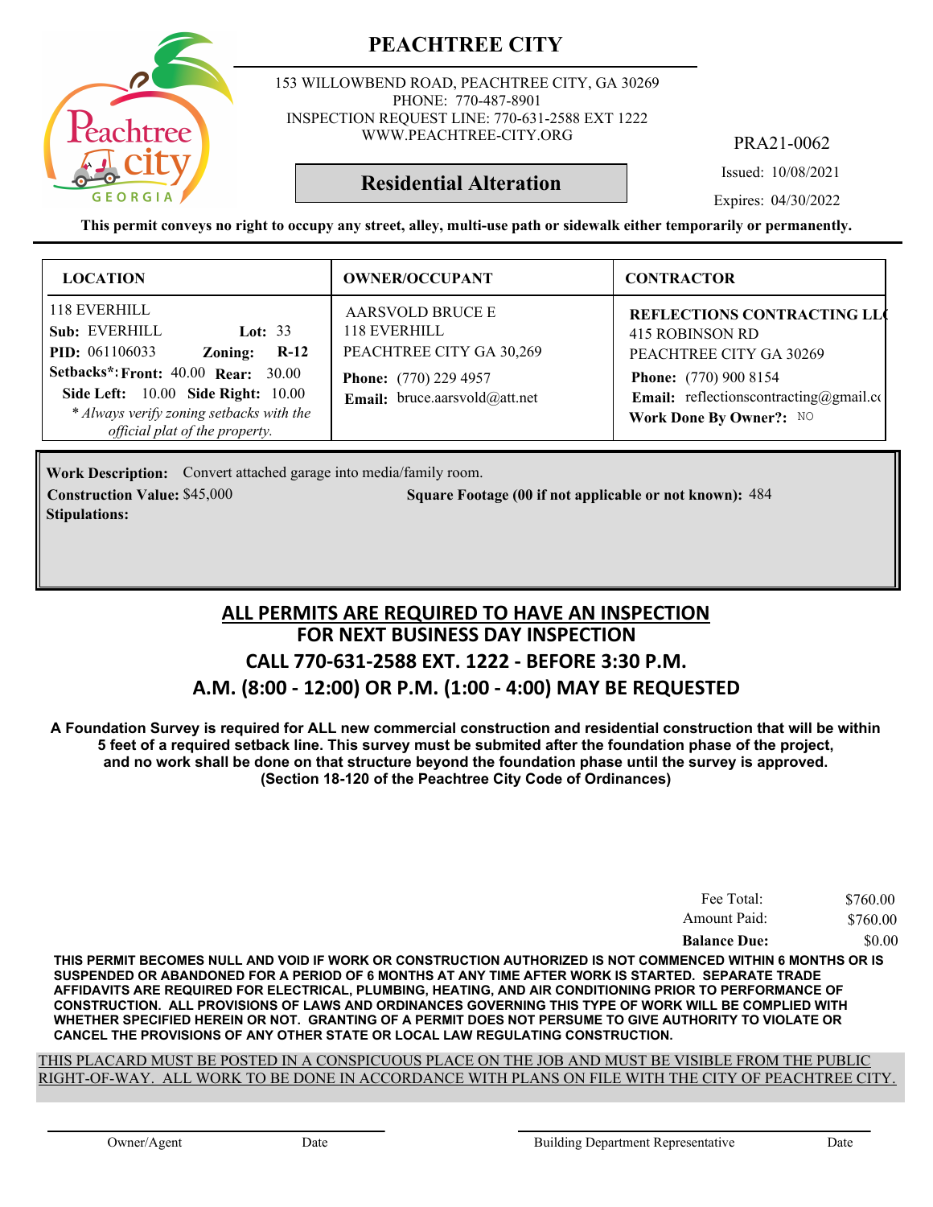153 WILLOWBEND ROAD, PEACHTREE CITY, GA 30269 PHONE: 770-487-8901 INSPECTION REQUEST LINE: 770-631-2588 EXT 1222 WWW.PEACHTREE-CITY.ORG

PRA21-0062

Issued: 10/08/2021

Expires: 04/30/2022

**This permit conveys no right to occupy any street, alley, multi-use path or sidewalk either temporarily or permanently.**

**Residential Alteration**

| <b>LOCATION</b>                                                                                                                                                                                                                                            | <b>OWNER/OCCUPANT</b>                                                                                                         | <b>CONTRACTOR</b>                                                                                                                                                                                  |
|------------------------------------------------------------------------------------------------------------------------------------------------------------------------------------------------------------------------------------------------------------|-------------------------------------------------------------------------------------------------------------------------------|----------------------------------------------------------------------------------------------------------------------------------------------------------------------------------------------------|
| 118 EVERHILL<br>Sub: EVERHILL<br>Lot: $33$<br><b>PID:</b> 061106033<br>$R-12$<br>Zoning:<br><b>Setbacks*: Front: 40.00 Rear: 30.00</b><br>Side Left: 10.00 Side Right: 10.00<br>* Always verify zoning setbacks with the<br>official plat of the property. | <b>AARSVOLD BRUCE E</b><br>118 EVERHILL<br>PEACHTREE CITY GA 30,269<br>Phone: (770) 229 4957<br>Email: bruce.aarsvold@att.net | <b>REFLECTIONS CONTRACTING LLO</b><br>415 ROBINSON RD<br>PEACHTREE CITY GA 30269<br><b>Phone:</b> (770) 900 8154<br><b>Email:</b> reflections contracting $@g$ mail.com<br>Work Done By Owner?: NO |

Work Description: Convert attached garage into media/family room. **Construction Value:** \$45,000 **484** Square Footage (00 if not applicable or not known): 484 **Stipulations:**

## **FOR NEXT BUSINESS DAY INSPECTION CALL 770-631-2588 EXT. 1222 - BEFORE 3:30 P.M. A.M. (8:00 - 12:00) OR P.M. (1:00 - 4:00) MAY BE REQUESTED ALL PERMITS ARE REQUIRED TO HAVE AN INSPECTION**

**A Foundation Survey is required for ALL new commercial construction and residential construction that will be within 5 feet of a required setback line. This survey must be submited after the foundation phase of the project, and no work shall be done on that structure beyond the foundation phase until the survey is approved. (Section 18-120 of the Peachtree City Code of Ordinances)**

| Fee Total:          | \$760.00 |
|---------------------|----------|
| Amount Paid:        | \$760.00 |
| <b>Balance Due:</b> | \$0.00   |

**THIS PERMIT BECOMES NULL AND VOID IF WORK OR CONSTRUCTION AUTHORIZED IS NOT COMMENCED WITHIN 6 MONTHS OR IS SUSPENDED OR ABANDONED FOR A PERIOD OF 6 MONTHS AT ANY TIME AFTER WORK IS STARTED. SEPARATE TRADE AFFIDAVITS ARE REQUIRED FOR ELECTRICAL, PLUMBING, HEATING, AND AIR CONDITIONING PRIOR TO PERFORMANCE OF CONSTRUCTION. ALL PROVISIONS OF LAWS AND ORDINANCES GOVERNING THIS TYPE OF WORK WILL BE COMPLIED WITH WHETHER SPECIFIED HEREIN OR NOT. GRANTING OF A PERMIT DOES NOT PERSUME TO GIVE AUTHORITY TO VIOLATE OR CANCEL THE PROVISIONS OF ANY OTHER STATE OR LOCAL LAW REGULATING CONSTRUCTION.**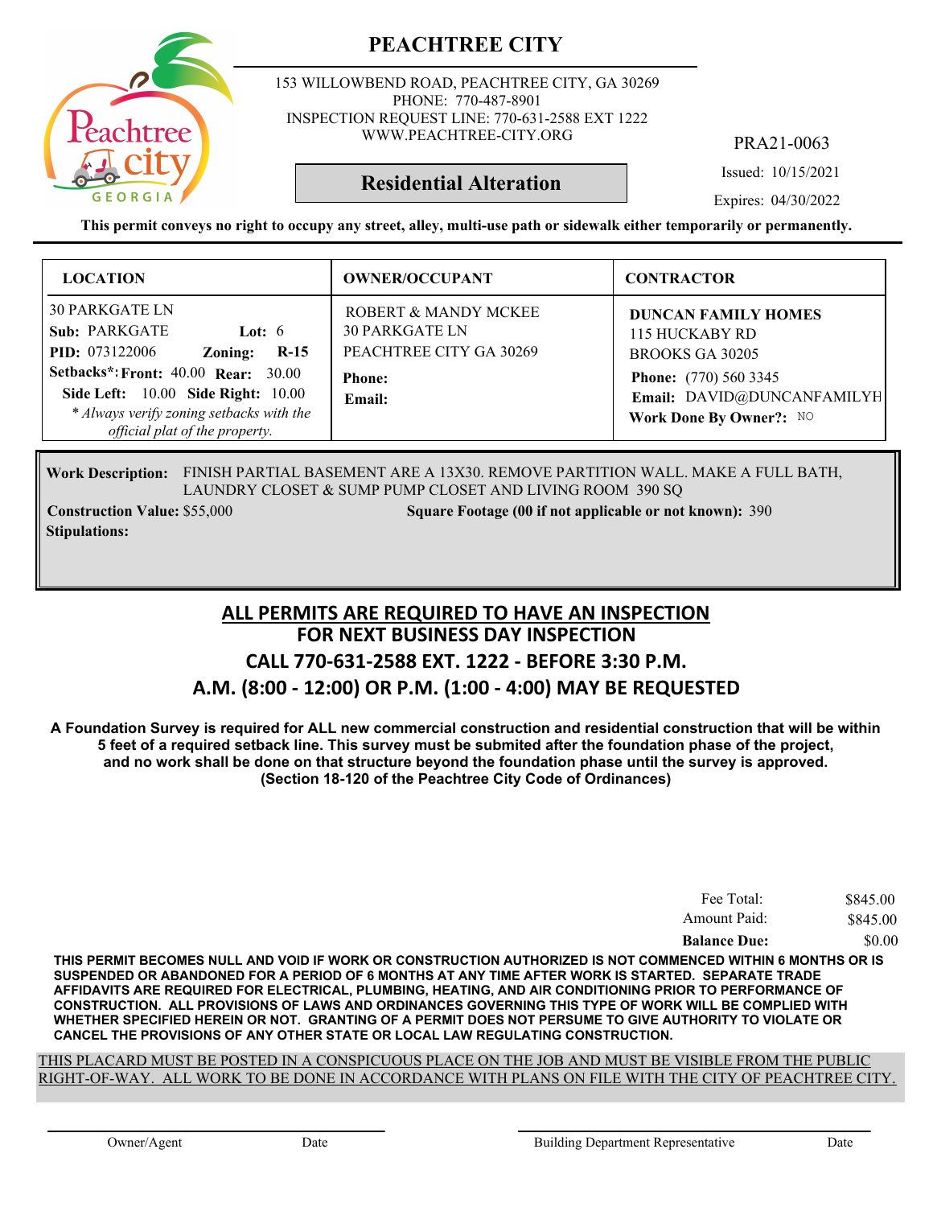

153 WILLOWBEND ROAD, PEACHTREE CITY, GA 30269 PHONE: 770-487-8901 INSPECTION REQUEST LINE: 770-631-2588 EXT 1222 WWW.PEACHTREE-CITY.ORG

PRA21-0063

Issued: 10/15/2021

Expires: 04/30/2022

**This permit conveys no right to occupy any street, alley, multi-use path or sidewalk either temporarily or permanently.**

**Residential Alteration**

| <b>LOCATION</b>                                                                                                                                                                                                                                                    | <b>OWNER/OCCUPANT</b>                                                                               | <b>CONTRACTOR</b>                                                                                                                                        |
|--------------------------------------------------------------------------------------------------------------------------------------------------------------------------------------------------------------------------------------------------------------------|-----------------------------------------------------------------------------------------------------|----------------------------------------------------------------------------------------------------------------------------------------------------------|
| <b>30 PARKGATE LN</b><br>Sub: PARKGATE<br>Lot: $6$<br><b>PID:</b> 073122006<br>Zoning:<br>$R-15$<br>Setbacks*: Front: 40.00 Rear: 30.00<br><b>Side Left: 10.00 Side Right: 10.00</b><br>* Always verify zoning setbacks with the<br>official plat of the property. | ROBERT & MANDY MCKEE<br><b>30 PARKGATE LN</b><br>PEACHTREE CITY GA 30269<br><b>Phone:</b><br>Email: | <b>DUNCAN FAMILY HOMES</b><br>115 HUCKABY RD<br>BROOKS GA 30205<br><b>Phone:</b> (770) 560 3345<br>Email: DAVID@DUNCANFAMILYH<br>Work Done By Owner?: NO |

FINISH PARTIAL BASEMENT ARE A 13X30. REMOVE PARTITION WALL. MAKE A FULL BATH, **Work Description:** LAUNDRY CLOSET & SUMP PUMP CLOSET AND LIVING ROOM 390 SQ

**Stipulations:**

**Construction Value:** \$55,000 **390** Square Footage (00 if not applicable or not known): 390

#### **FOR NEXT BUSINESS DAY INSPECTION CALL 770-631-2588 EXT. 1222 - BEFORE 3:30 P.M. A.M. (8:00 - 12:00) OR P.M. (1:00 - 4:00) MAY BE REQUESTED ALL PERMITS ARE REQUIRED TO HAVE AN INSPECTION**

**A Foundation Survey is required for ALL new commercial construction and residential construction that will be within 5 feet of a required setback line. This survey must be submited after the foundation phase of the project, and no work shall be done on that structure beyond the foundation phase until the survey is approved. (Section 18-120 of the Peachtree City Code of Ordinances)**

| Fee Total:          | \$845.00 |
|---------------------|----------|
| Amount Paid:        | \$845.00 |
| <b>Balance Due:</b> | \$0.00   |

**THIS PERMIT BECOMES NULL AND VOID IF WORK OR CONSTRUCTION AUTHORIZED IS NOT COMMENCED WITHIN 6 MONTHS OR IS SUSPENDED OR ABANDONED FOR A PERIOD OF 6 MONTHS AT ANY TIME AFTER WORK IS STARTED. SEPARATE TRADE AFFIDAVITS ARE REQUIRED FOR ELECTRICAL, PLUMBING, HEATING, AND AIR CONDITIONING PRIOR TO PERFORMANCE OF CONSTRUCTION. ALL PROVISIONS OF LAWS AND ORDINANCES GOVERNING THIS TYPE OF WORK WILL BE COMPLIED WITH WHETHER SPECIFIED HEREIN OR NOT. GRANTING OF A PERMIT DOES NOT PERSUME TO GIVE AUTHORITY TO VIOLATE OR CANCEL THE PROVISIONS OF ANY OTHER STATE OR LOCAL LAW REGULATING CONSTRUCTION.**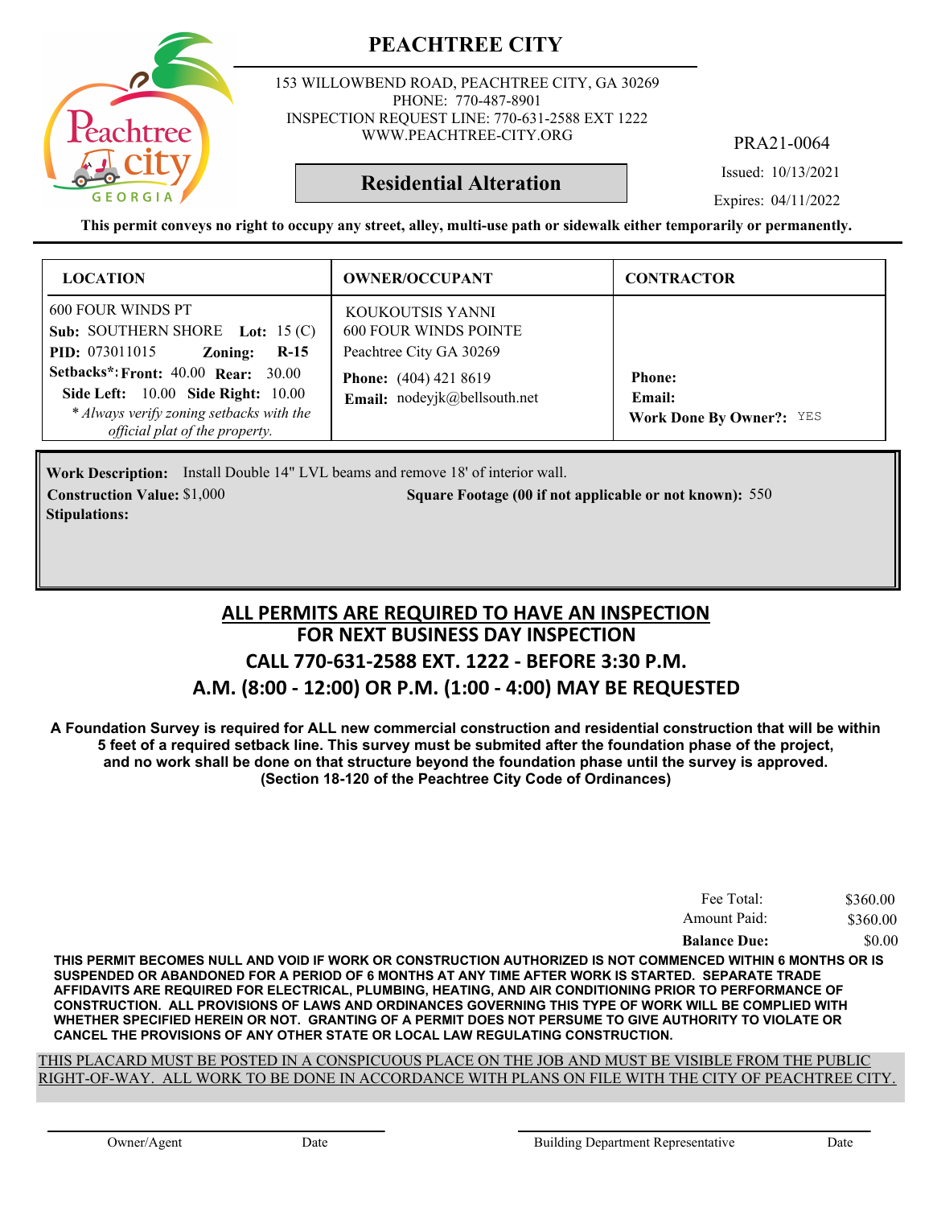

153 WILLOWBEND ROAD, PEACHTREE CITY, GA 30269 PHONE: 770-487-8901 INSPECTION REQUEST LINE: 770-631-2588 EXT 1222 WWW.PEACHTREE-CITY.ORG

PRA21-0064

Issued: 10/13/2021

**Residential Alteration**

Expires: 04/11/2022

**This permit conveys no right to occupy any street, alley, multi-use path or sidewalk either temporarily or permanently.**

| <b>LOCATION</b>                                                                                                                                                              | <b>OWNER/OCCUPANT</b>                                                       | <b>CONTRACTOR</b>                                                 |
|------------------------------------------------------------------------------------------------------------------------------------------------------------------------------|-----------------------------------------------------------------------------|-------------------------------------------------------------------|
| 600 FOUR WINDS PT<br>Sub: SOUTHERN SHORE Lot: $15(C)$<br><b>PID:</b> 073011015<br>Zoning:<br>$R-15$                                                                          | KOUKOUTSIS YANNI<br><b>600 FOUR WINDS POINTE</b><br>Peachtree City GA 30269 |                                                                   |
| <b>Setbacks*: Front: 40.00 Rear: 30.00</b><br><b>Side Left:</b> 10.00 <b>Side Right:</b> 10.00<br>* Always verify zoning setbacks with the<br>official plat of the property. | <b>Phone:</b> (404) 421 8619<br>Email: nodeyjk@bellsouth.net                | <b>Phone:</b><br><b>Email:</b><br><b>Work Done By Owner?:</b> YES |

Work Description: Install Double 14" LVL beams and remove 18' of interior wall. **Construction Value:** \$1,000 550 **500 500 500 Square Footage (00 if not applicable or not known): 550 Stipulations:**

## **FOR NEXT BUSINESS DAY INSPECTION CALL 770-631-2588 EXT. 1222 - BEFORE 3:30 P.M. A.M. (8:00 - 12:00) OR P.M. (1:00 - 4:00) MAY BE REQUESTED ALL PERMITS ARE REQUIRED TO HAVE AN INSPECTION**

**A Foundation Survey is required for ALL new commercial construction and residential construction that will be within 5 feet of a required setback line. This survey must be submited after the foundation phase of the project, and no work shall be done on that structure beyond the foundation phase until the survey is approved. (Section 18-120 of the Peachtree City Code of Ordinances)**

| Fee Total:          | \$360.00 |
|---------------------|----------|
| Amount Paid:        | \$360.00 |
| <b>Balance Due:</b> | \$0.00   |

**THIS PERMIT BECOMES NULL AND VOID IF WORK OR CONSTRUCTION AUTHORIZED IS NOT COMMENCED WITHIN 6 MONTHS OR IS SUSPENDED OR ABANDONED FOR A PERIOD OF 6 MONTHS AT ANY TIME AFTER WORK IS STARTED. SEPARATE TRADE AFFIDAVITS ARE REQUIRED FOR ELECTRICAL, PLUMBING, HEATING, AND AIR CONDITIONING PRIOR TO PERFORMANCE OF CONSTRUCTION. ALL PROVISIONS OF LAWS AND ORDINANCES GOVERNING THIS TYPE OF WORK WILL BE COMPLIED WITH WHETHER SPECIFIED HEREIN OR NOT. GRANTING OF A PERMIT DOES NOT PERSUME TO GIVE AUTHORITY TO VIOLATE OR CANCEL THE PROVISIONS OF ANY OTHER STATE OR LOCAL LAW REGULATING CONSTRUCTION.**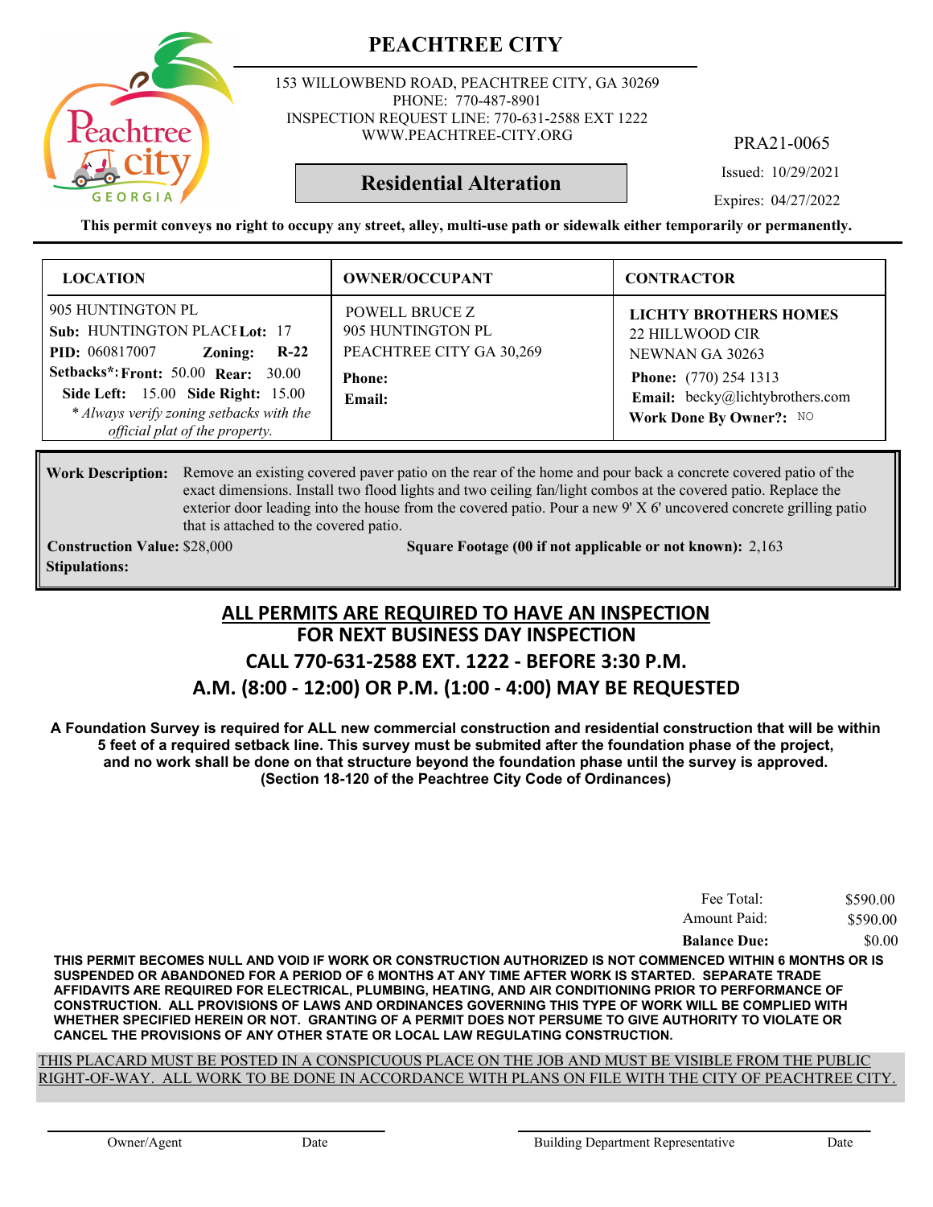153 WILLOWBEND ROAD, PEACHTREE CITY, GA 30269 PHONE: 770-487-8901 INSPECTION REQUEST LINE: 770-631-2588 EXT 1222 WWW.PEACHTREE-CITY.ORG

PRA21-0065

Issued: 10/29/2021

Expires: 04/27/2022

**This permit conveys no right to occupy any street, alley, multi-use path or sidewalk either temporarily or permanently.**

**Residential Alteration**

| <b>LOCATION</b>                                                                                                                                                                                                                                                   | <b>OWNER/OCCUPANT</b>                                                                             | <b>CONTRACTOR</b>                                                                                                                                                |
|-------------------------------------------------------------------------------------------------------------------------------------------------------------------------------------------------------------------------------------------------------------------|---------------------------------------------------------------------------------------------------|------------------------------------------------------------------------------------------------------------------------------------------------------------------|
| 905 HUNTINGTON PL<br>Sub: HUNTINGTON PLACILot: 17<br><b>PID:</b> 060817007<br>Zoning:<br>$R-22$<br><b>Setbacks*: Front: 50.00 Rear: 30.00</b><br>Side Left: 15.00 Side Right: 15.00<br>* Always verify zoning setbacks with the<br>official plat of the property. | <b>POWELL BRUCE Z</b><br>905 HUNTINGTON PL<br>PEACHTREE CITY GA 30,269<br><b>Phone:</b><br>Email: | <b>LICHTY BROTHERS HOMES</b><br>22 HILLWOOD CIR<br>NEWNAN GA 30263<br><b>Phone:</b> (770) 254 1313<br>Email: becky@lichtybrothers.com<br>Work Done By Owner?: NO |

#### Work Description: Remove an existing covered paver patio on the rear of the home and pour back a concrete covered patio of the exact dimensions. Install two flood lights and two ceiling fan/light combos at the covered patio. Replace the exterior door leading into the house from the covered patio. Pour a new 9' X 6' uncovered concrete grilling patio that is attached to the covered patio.

**Stipulations:**

**Construction Value:** \$28,000 2,163 **2,163** Square Footage (00 if not applicable or not known): 2,163

## **FOR NEXT BUSINESS DAY INSPECTION CALL 770-631-2588 EXT. 1222 - BEFORE 3:30 P.M. ALL PERMITS ARE REQUIRED TO HAVE AN INSPECTION**

#### **A.M. (8:00 - 12:00) OR P.M. (1:00 - 4:00) MAY BE REQUESTED**

**A Foundation Survey is required for ALL new commercial construction and residential construction that will be within 5 feet of a required setback line. This survey must be submited after the foundation phase of the project, and no work shall be done on that structure beyond the foundation phase until the survey is approved. (Section 18-120 of the Peachtree City Code of Ordinances)**

| Fee Total:          | \$590.00 |
|---------------------|----------|
| Amount Paid:        | \$590.00 |
| <b>Balance Due:</b> | \$0.00   |

**THIS PERMIT BECOMES NULL AND VOID IF WORK OR CONSTRUCTION AUTHORIZED IS NOT COMMENCED WITHIN 6 MONTHS OR IS SUSPENDED OR ABANDONED FOR A PERIOD OF 6 MONTHS AT ANY TIME AFTER WORK IS STARTED. SEPARATE TRADE AFFIDAVITS ARE REQUIRED FOR ELECTRICAL, PLUMBING, HEATING, AND AIR CONDITIONING PRIOR TO PERFORMANCE OF CONSTRUCTION. ALL PROVISIONS OF LAWS AND ORDINANCES GOVERNING THIS TYPE OF WORK WILL BE COMPLIED WITH WHETHER SPECIFIED HEREIN OR NOT. GRANTING OF A PERMIT DOES NOT PERSUME TO GIVE AUTHORITY TO VIOLATE OR CANCEL THE PROVISIONS OF ANY OTHER STATE OR LOCAL LAW REGULATING CONSTRUCTION.**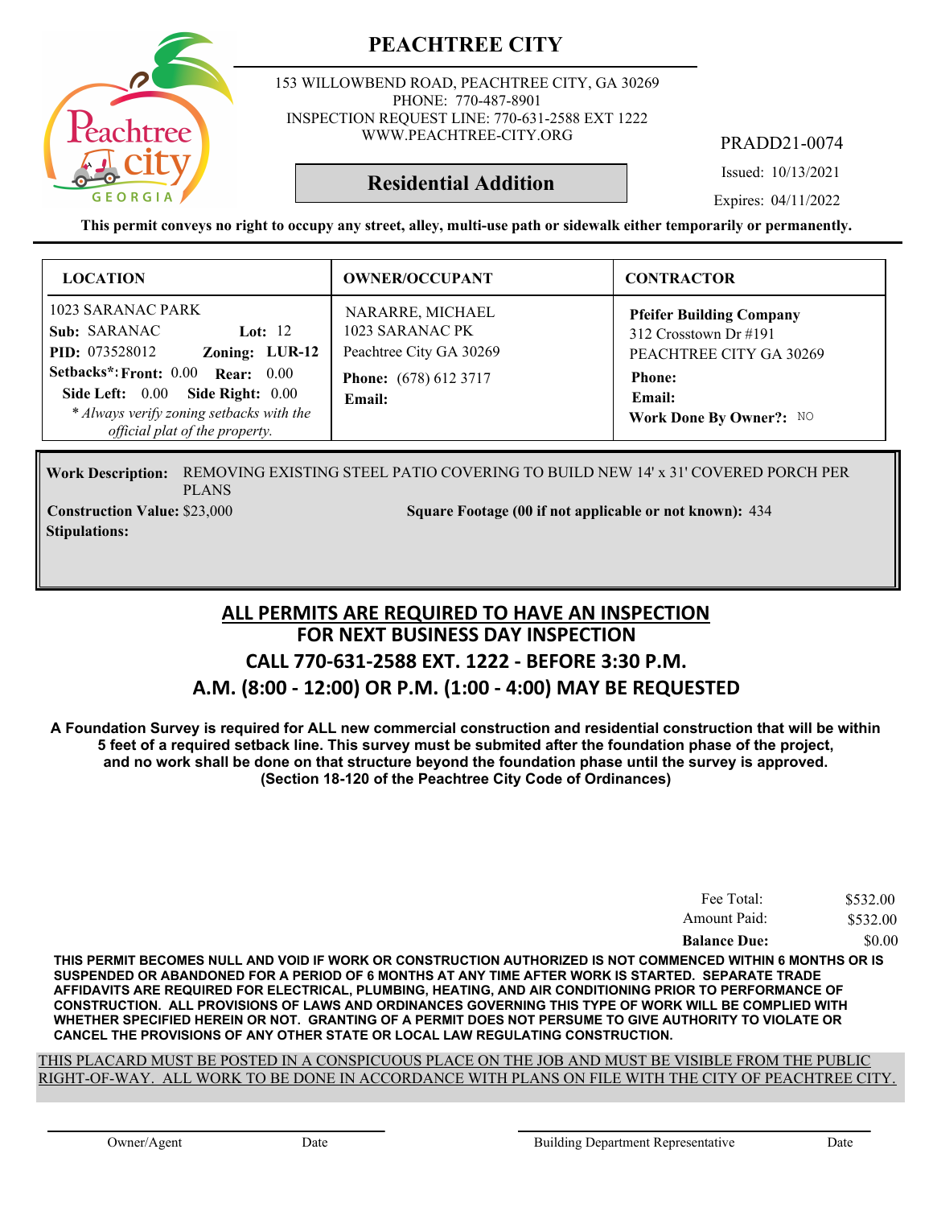

153 WILLOWBEND ROAD, PEACHTREE CITY, GA 30269 PHONE: 770-487-8901 INSPECTION REQUEST LINE: 770-631-2588 EXT 1222 WWW.PEACHTREE-CITY.ORG

PRADD21-0074

Issued: 10/13/2021

Expires: 04/11/2022

**This permit conveys no right to occupy any street, alley, multi-use path or sidewalk either temporarily or permanently.**

**Residential Addition**

| <b>LOCATION</b>                                                                                                                                                                                                                                       | <b>OWNER/OCCUPANT</b>                                                                                    | <b>CONTRACTOR</b>                                                                                                                            |
|-------------------------------------------------------------------------------------------------------------------------------------------------------------------------------------------------------------------------------------------------------|----------------------------------------------------------------------------------------------------------|----------------------------------------------------------------------------------------------------------------------------------------------|
| 1023 SARANAC PARK<br>Sub: SARANAC<br>Lot: $12$<br>Zoning: LUR-12<br><b>PID:</b> 073528012<br>Setbacks*: Front: 0.00 Rear: 0.00<br>Side Left: $0.00$<br>Side Right: 0.00<br>* Always verify zoning setbacks with the<br>official plat of the property. | NARARRE, MICHAEL<br>1023 SARANAC PK<br>Peachtree City GA 30269<br><b>Phone:</b> (678) 612 3717<br>Email: | <b>Pfeifer Building Company</b><br>312 Crosstown Dr $\#191$<br>PEACHTREE CITY GA 30269<br><b>Phone:</b><br>Email:<br>Work Done By Owner?: NO |

Work Description: REMOVING EXISTING STEEL PATIO COVERING TO BUILD NEW 14' x 31' COVERED PORCH PER PLANS **Construction Value:** \$23,000 5 434 Square Footage (00 if not applicable or not known): 434

**Stipulations:**

#### **FOR NEXT BUSINESS DAY INSPECTION CALL 770-631-2588 EXT. 1222 - BEFORE 3:30 P.M. A.M. (8:00 - 12:00) OR P.M. (1:00 - 4:00) MAY BE REQUESTED ALL PERMITS ARE REQUIRED TO HAVE AN INSPECTION**

**A Foundation Survey is required for ALL new commercial construction and residential construction that will be within 5 feet of a required setback line. This survey must be submited after the foundation phase of the project, and no work shall be done on that structure beyond the foundation phase until the survey is approved. (Section 18-120 of the Peachtree City Code of Ordinances)**

| Fee Total:          | \$532.00 |
|---------------------|----------|
| Amount Paid:        | \$532.00 |
| <b>Balance Due:</b> | \$0.00   |

**THIS PERMIT BECOMES NULL AND VOID IF WORK OR CONSTRUCTION AUTHORIZED IS NOT COMMENCED WITHIN 6 MONTHS OR IS SUSPENDED OR ABANDONED FOR A PERIOD OF 6 MONTHS AT ANY TIME AFTER WORK IS STARTED. SEPARATE TRADE AFFIDAVITS ARE REQUIRED FOR ELECTRICAL, PLUMBING, HEATING, AND AIR CONDITIONING PRIOR TO PERFORMANCE OF CONSTRUCTION. ALL PROVISIONS OF LAWS AND ORDINANCES GOVERNING THIS TYPE OF WORK WILL BE COMPLIED WITH WHETHER SPECIFIED HEREIN OR NOT. GRANTING OF A PERMIT DOES NOT PERSUME TO GIVE AUTHORITY TO VIOLATE OR CANCEL THE PROVISIONS OF ANY OTHER STATE OR LOCAL LAW REGULATING CONSTRUCTION.**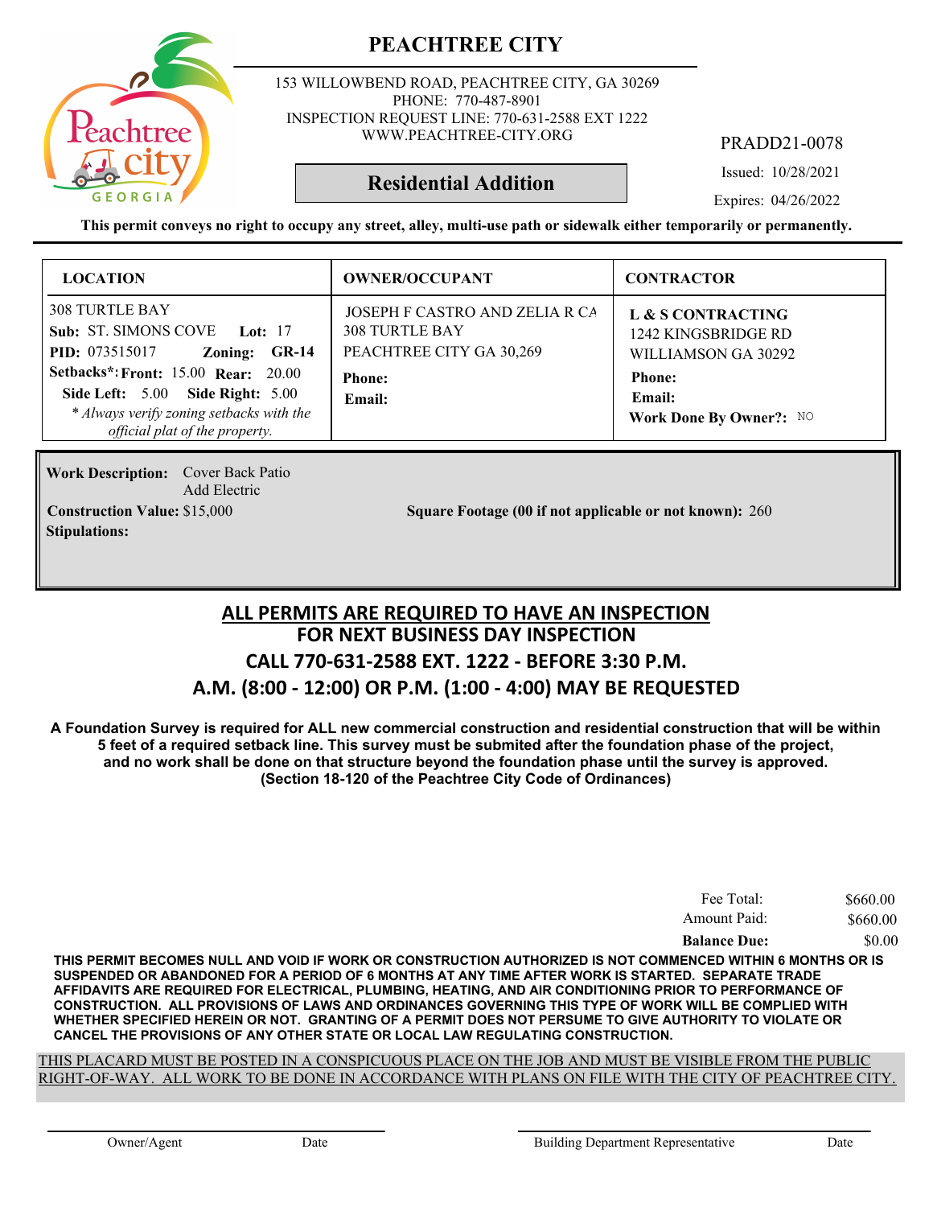

153 WILLOWBEND ROAD, PEACHTREE CITY, GA 30269 PHONE: 770-487-8901 INSPECTION REQUEST LINE: 770-631-2588 EXT 1222 WWW.PEACHTREE-CITY.ORG

PRADD21-0078

Issued: 10/28/2021

**Residential Addition**

Expires: 04/26/2022

**This permit conveys no right to occupy any street, alley, multi-use path or sidewalk either temporarily or permanently.**

| <b>LOCATION</b>                                                                                                                                                                                                                                                           | <b>OWNER/OCCUPANT</b>                                                                                          | <b>CONTRACTOR</b>                                                                                                     |
|---------------------------------------------------------------------------------------------------------------------------------------------------------------------------------------------------------------------------------------------------------------------------|----------------------------------------------------------------------------------------------------------------|-----------------------------------------------------------------------------------------------------------------------|
| <b>308 TURTLE BAY</b><br>Sub: ST. SIMONS COVE Lot: 17<br><b>PID:</b> 073515017<br>Zoning:<br><b>GR-14</b><br><b>Setbacks*: Front: 15.00 Rear: 20.00</b><br>Side Left: 5.00 Side Right: 5.00<br>* Always verify zoning setbacks with the<br>official plat of the property. | JOSEPH F CASTRO AND ZELIA R CA<br><b>308 TURTLE BAY</b><br>PEACHTREE CITY GA 30,269<br><b>Phone:</b><br>Email: | L & S CONTRACTING<br>1242 KINGSBRIDGE RD<br>WILLIAMSON GA 30292<br><b>Phone:</b><br>Email:<br>Work Done By Owner?: NO |

**Work Description:** Cover Back Patio Add Electric **Stipulations:**

**Construction Value: Square Footage (00 if not applicable or not known):** \$15,000 260

#### **FOR NEXT BUSINESS DAY INSPECTION CALL 770-631-2588 EXT. 1222 - BEFORE 3:30 P.M. A.M. (8:00 - 12:00) OR P.M. (1:00 - 4:00) MAY BE REQUESTED ALL PERMITS ARE REQUIRED TO HAVE AN INSPECTION**

**A Foundation Survey is required for ALL new commercial construction and residential construction that will be within 5 feet of a required setback line. This survey must be submited after the foundation phase of the project, and no work shall be done on that structure beyond the foundation phase until the survey is approved. (Section 18-120 of the Peachtree City Code of Ordinances)**

| Fee Total:          | \$660.00 |
|---------------------|----------|
| Amount Paid:        | \$660.00 |
| <b>Balance Due:</b> | \$0.00   |

**THIS PERMIT BECOMES NULL AND VOID IF WORK OR CONSTRUCTION AUTHORIZED IS NOT COMMENCED WITHIN 6 MONTHS OR IS SUSPENDED OR ABANDONED FOR A PERIOD OF 6 MONTHS AT ANY TIME AFTER WORK IS STARTED. SEPARATE TRADE AFFIDAVITS ARE REQUIRED FOR ELECTRICAL, PLUMBING, HEATING, AND AIR CONDITIONING PRIOR TO PERFORMANCE OF CONSTRUCTION. ALL PROVISIONS OF LAWS AND ORDINANCES GOVERNING THIS TYPE OF WORK WILL BE COMPLIED WITH WHETHER SPECIFIED HEREIN OR NOT. GRANTING OF A PERMIT DOES NOT PERSUME TO GIVE AUTHORITY TO VIOLATE OR CANCEL THE PROVISIONS OF ANY OTHER STATE OR LOCAL LAW REGULATING CONSTRUCTION.**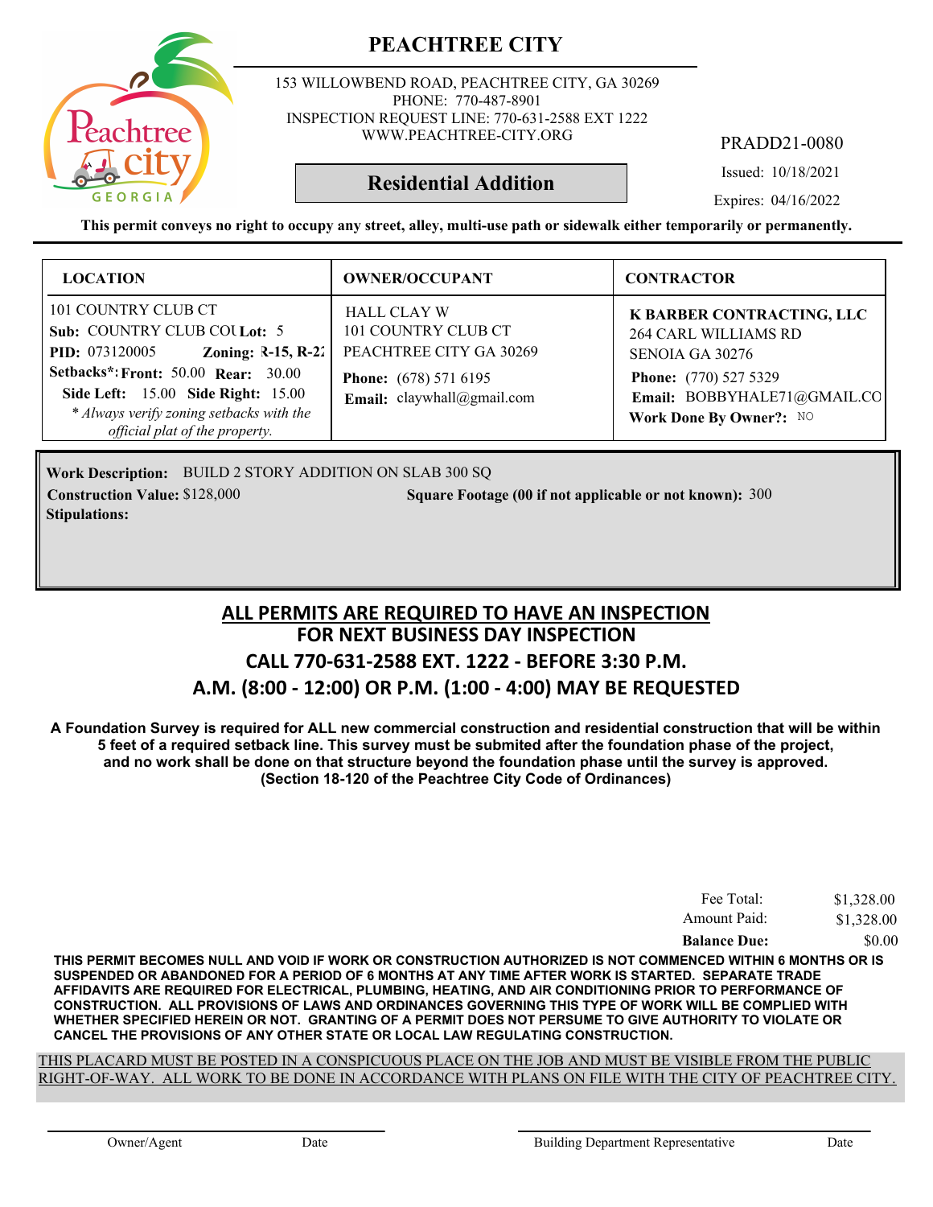153 WILLOWBEND ROAD, PEACHTREE CITY, GA 30269 PHONE: 770-487-8901 INSPECTION REQUEST LINE: 770-631-2588 EXT 1222 WWW.PEACHTREE-CITY.ORG

PRADD21-0080

Issued: 10/18/2021

Expires: 04/16/2022

**This permit conveys no right to occupy any street, alley, multi-use path or sidewalk either temporarily or permanently.**

**Residential Addition**

| <b>LOCATION</b>                                                                                                                                                                                                                                                        | <b>OWNER/OCCUPANT</b>                                                                                                              | <b>CONTRACTOR</b>                                                                                                                                              |
|------------------------------------------------------------------------------------------------------------------------------------------------------------------------------------------------------------------------------------------------------------------------|------------------------------------------------------------------------------------------------------------------------------------|----------------------------------------------------------------------------------------------------------------------------------------------------------------|
| 101 COUNTRY CLUB CT<br>Sub: COUNTRY CLUB COU Lot: 5<br>Zoning: $R-15, R-22$<br><b>PID:</b> 073120005<br><b>Setbacks*: Front: 50.00 Rear: 30.00</b><br>Side Left: 15.00 Side Right: 15.00<br>* Always verify zoning setbacks with the<br>official plat of the property. | <b>HALL CLAY W</b><br>101 COUNTRY CLUB CT<br>PEACHTREE CITY GA 30269<br><b>Phone:</b> (678) 571 6195<br>Email: claywhall@gmail.com | K BARBER CONTRACTING, LLC<br><b>264 CARL WILLIAMS RD</b><br>SENOIA GA 30276<br>Phone: (770) 527 5329<br>Email: BOBBYHALE71@GMAIL.CO<br>Work Done By Owner?: NO |

Work Description: BUILD 2 STORY ADDITION ON SLAB 300 SQ **Construction Value:** \$128,000 **300 Square Footage (00 if not applicable or not known): 300 Stipulations:**

## **FOR NEXT BUSINESS DAY INSPECTION CALL 770-631-2588 EXT. 1222 - BEFORE 3:30 P.M. A.M. (8:00 - 12:00) OR P.M. (1:00 - 4:00) MAY BE REQUESTED ALL PERMITS ARE REQUIRED TO HAVE AN INSPECTION**

**A Foundation Survey is required for ALL new commercial construction and residential construction that will be within 5 feet of a required setback line. This survey must be submited after the foundation phase of the project, and no work shall be done on that structure beyond the foundation phase until the survey is approved. (Section 18-120 of the Peachtree City Code of Ordinances)**

| Fee Total:          | \$1,328.00 |
|---------------------|------------|
| Amount Paid:        | \$1,328.00 |
| <b>Balance Due:</b> | \$0.00     |

**THIS PERMIT BECOMES NULL AND VOID IF WORK OR CONSTRUCTION AUTHORIZED IS NOT COMMENCED WITHIN 6 MONTHS OR IS SUSPENDED OR ABANDONED FOR A PERIOD OF 6 MONTHS AT ANY TIME AFTER WORK IS STARTED. SEPARATE TRADE AFFIDAVITS ARE REQUIRED FOR ELECTRICAL, PLUMBING, HEATING, AND AIR CONDITIONING PRIOR TO PERFORMANCE OF CONSTRUCTION. ALL PROVISIONS OF LAWS AND ORDINANCES GOVERNING THIS TYPE OF WORK WILL BE COMPLIED WITH WHETHER SPECIFIED HEREIN OR NOT. GRANTING OF A PERMIT DOES NOT PERSUME TO GIVE AUTHORITY TO VIOLATE OR CANCEL THE PROVISIONS OF ANY OTHER STATE OR LOCAL LAW REGULATING CONSTRUCTION.**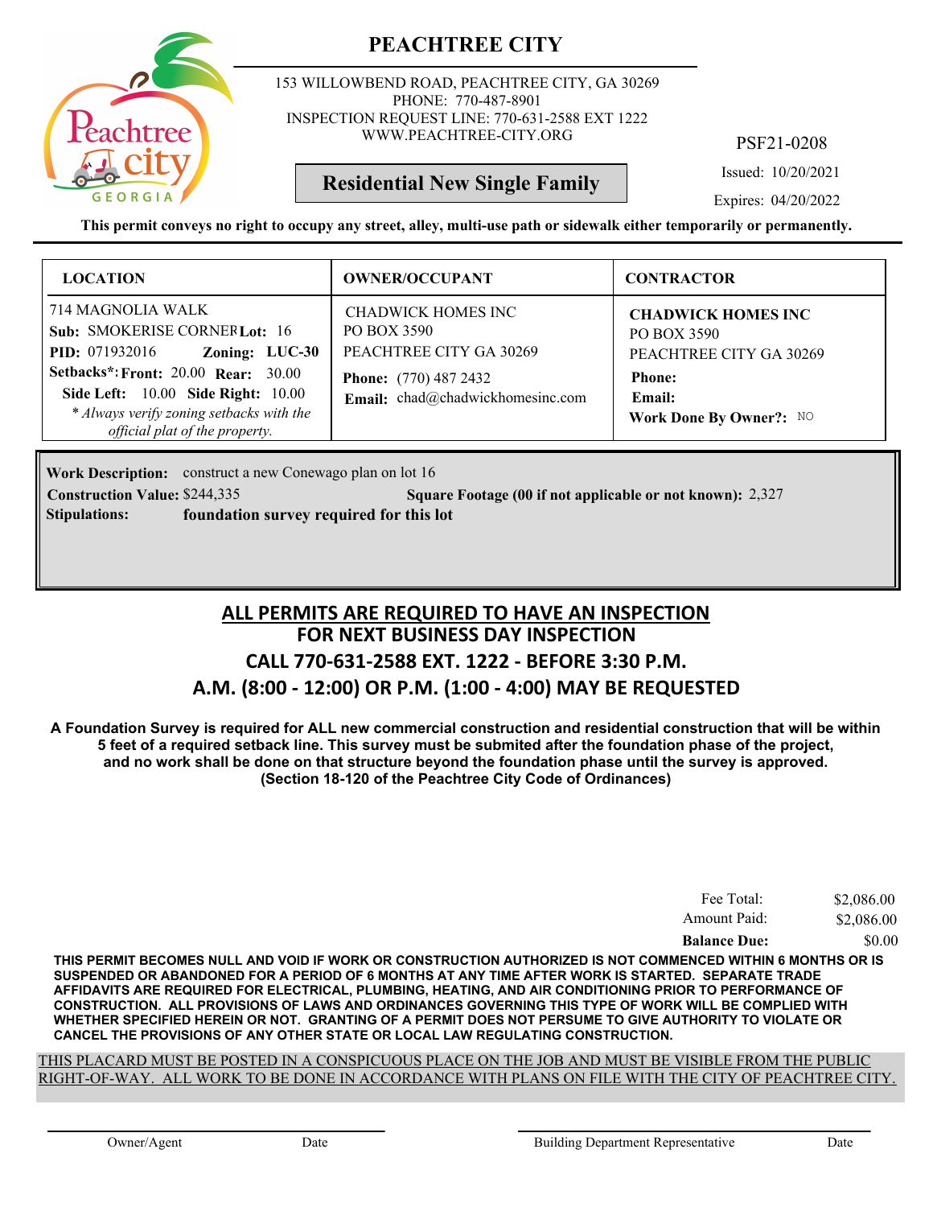

153 WILLOWBEND ROAD, PEACHTREE CITY, GA 30269 PHONE: 770-487-8901 INSPECTION REQUEST LINE: 770-631-2588 EXT 1222 WWW.PEACHTREE-CITY.ORG

PSF21-0208

Issued: 10/20/2021

Expires: 04/20/2022

**This permit conveys no right to occupy any street, alley, multi-use path or sidewalk either temporarily or permanently.**

**Residential New Single Family**

| <b>LOCATION</b>                                                                                                                                                                                                                                                              | <b>OWNER/OCCUPANT</b>                                                                                                            | <b>CONTRACTOR</b>                                                                                                         |
|------------------------------------------------------------------------------------------------------------------------------------------------------------------------------------------------------------------------------------------------------------------------------|----------------------------------------------------------------------------------------------------------------------------------|---------------------------------------------------------------------------------------------------------------------------|
| 714 MAGNOLIA WALK<br>Sub: SMOKERISE CORNERLot: 16<br>Zoning: LUC-30<br><b>PID:</b> 071932016<br><b>Setbacks*: Front: 20.00 Rear: 30.00</b><br><b>Side Left:</b> 10.00 <b>Side Right:</b> 10.00<br>* Always verify zoning setbacks with the<br>official plat of the property. | CHADWICK HOMES INC<br>PO BOX 3590<br>PEACHTREE CITY GA 30269<br><b>Phone:</b> (770) 487 2432<br>Email: chad@chadwickhomesinc.com | <b>CHADWICK HOMES INC</b><br>PO BOX 3590<br>PEACHTREE CITY GA 30269<br><b>Phone:</b><br>Email:<br>Work Done By Owner?: NO |

**Work Description:** construct a new Conewago plan on lot 16 **Construction Value:** \$244,335 2,327 **2,327** 2,327 **2,327 Stipulations: foundation survey required for this lot**

## **FOR NEXT BUSINESS DAY INSPECTION CALL 770-631-2588 EXT. 1222 - BEFORE 3:30 P.M. A.M. (8:00 - 12:00) OR P.M. (1:00 - 4:00) MAY BE REQUESTED ALL PERMITS ARE REQUIRED TO HAVE AN INSPECTION**

**A Foundation Survey is required for ALL new commercial construction and residential construction that will be within 5 feet of a required setback line. This survey must be submited after the foundation phase of the project, and no work shall be done on that structure beyond the foundation phase until the survey is approved. (Section 18-120 of the Peachtree City Code of Ordinances)**

| Fee Total:          | \$2,086.00 |
|---------------------|------------|
| Amount Paid:        | \$2,086.00 |
| <b>Balance Due:</b> | \$0.00     |

**THIS PERMIT BECOMES NULL AND VOID IF WORK OR CONSTRUCTION AUTHORIZED IS NOT COMMENCED WITHIN 6 MONTHS OR IS SUSPENDED OR ABANDONED FOR A PERIOD OF 6 MONTHS AT ANY TIME AFTER WORK IS STARTED. SEPARATE TRADE AFFIDAVITS ARE REQUIRED FOR ELECTRICAL, PLUMBING, HEATING, AND AIR CONDITIONING PRIOR TO PERFORMANCE OF CONSTRUCTION. ALL PROVISIONS OF LAWS AND ORDINANCES GOVERNING THIS TYPE OF WORK WILL BE COMPLIED WITH WHETHER SPECIFIED HEREIN OR NOT. GRANTING OF A PERMIT DOES NOT PERSUME TO GIVE AUTHORITY TO VIOLATE OR CANCEL THE PROVISIONS OF ANY OTHER STATE OR LOCAL LAW REGULATING CONSTRUCTION.**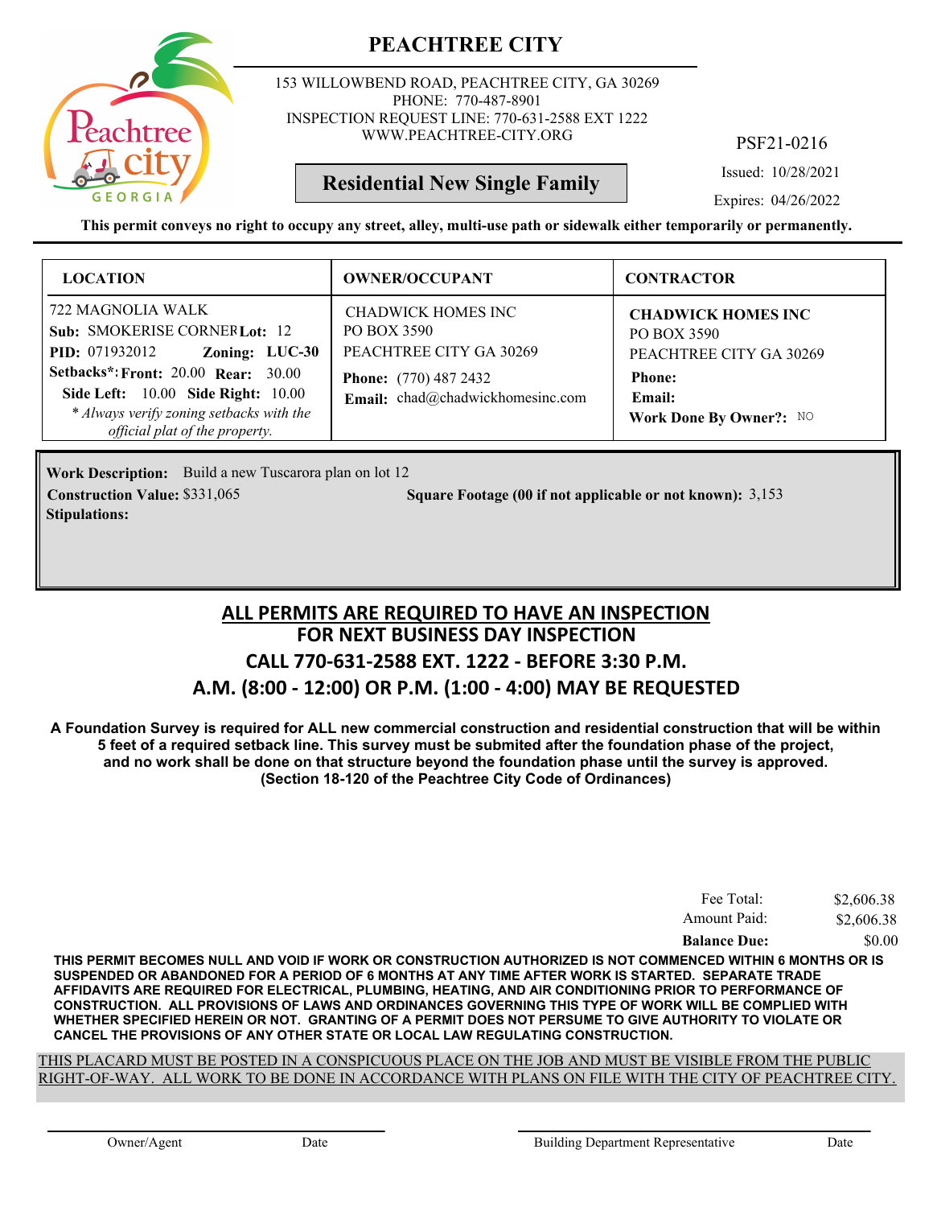

153 WILLOWBEND ROAD, PEACHTREE CITY, GA 30269 PHONE: 770-487-8901 INSPECTION REQUEST LINE: 770-631-2588 EXT 1222 WWW.PEACHTREE-CITY.ORG

PSF21-0216

Issued: 10/28/2021

Expires: 04/26/2022

**This permit conveys no right to occupy any street, alley, multi-use path or sidewalk either temporarily or permanently.**

**Residential New Single Family**

| <b>LOCATION</b>                                                                                                                                                                                                                                                              | <b>OWNER/OCCUPANT</b>                                                                                                            | <b>CONTRACTOR</b>                                                                                                         |
|------------------------------------------------------------------------------------------------------------------------------------------------------------------------------------------------------------------------------------------------------------------------------|----------------------------------------------------------------------------------------------------------------------------------|---------------------------------------------------------------------------------------------------------------------------|
| 722 MAGNOLIA WALK<br>Sub: SMOKERISE CORNERLot: 12<br>Zoning: LUC-30<br><b>PID:</b> 071932012<br><b>Setbacks*: Front: 20.00 Rear: 30.00</b><br><b>Side Left:</b> 10.00 <b>Side Right:</b> 10.00<br>* Always verify zoning setbacks with the<br>official plat of the property. | CHADWICK HOMES INC<br>PO BOX 3590<br>PEACHTREE CITY GA 30269<br><b>Phone:</b> (770) 487 2432<br>Email: chad@chadwickhomesinc.com | <b>CHADWICK HOMES INC</b><br>PO BOX 3590<br>PEACHTREE CITY GA 30269<br><b>Phone:</b><br>Email:<br>Work Done By Owner?: NO |

Work Description: Build a new Tuscarora plan on lot 12 **Stipulations:**

**Construction Value:** \$331,065 **3.153** Square Footage (00 if not applicable or not known): 3,153

## **FOR NEXT BUSINESS DAY INSPECTION CALL 770-631-2588 EXT. 1222 - BEFORE 3:30 P.M. A.M. (8:00 - 12:00) OR P.M. (1:00 - 4:00) MAY BE REQUESTED ALL PERMITS ARE REQUIRED TO HAVE AN INSPECTION**

**A Foundation Survey is required for ALL new commercial construction and residential construction that will be within 5 feet of a required setback line. This survey must be submited after the foundation phase of the project, and no work shall be done on that structure beyond the foundation phase until the survey is approved. (Section 18-120 of the Peachtree City Code of Ordinances)**

| Fee Total:          | \$2,606.38 |
|---------------------|------------|
| Amount Paid:        | \$2,606.38 |
| <b>Balance Due:</b> | \$0.00     |

**THIS PERMIT BECOMES NULL AND VOID IF WORK OR CONSTRUCTION AUTHORIZED IS NOT COMMENCED WITHIN 6 MONTHS OR IS SUSPENDED OR ABANDONED FOR A PERIOD OF 6 MONTHS AT ANY TIME AFTER WORK IS STARTED. SEPARATE TRADE AFFIDAVITS ARE REQUIRED FOR ELECTRICAL, PLUMBING, HEATING, AND AIR CONDITIONING PRIOR TO PERFORMANCE OF CONSTRUCTION. ALL PROVISIONS OF LAWS AND ORDINANCES GOVERNING THIS TYPE OF WORK WILL BE COMPLIED WITH WHETHER SPECIFIED HEREIN OR NOT. GRANTING OF A PERMIT DOES NOT PERSUME TO GIVE AUTHORITY TO VIOLATE OR CANCEL THE PROVISIONS OF ANY OTHER STATE OR LOCAL LAW REGULATING CONSTRUCTION.**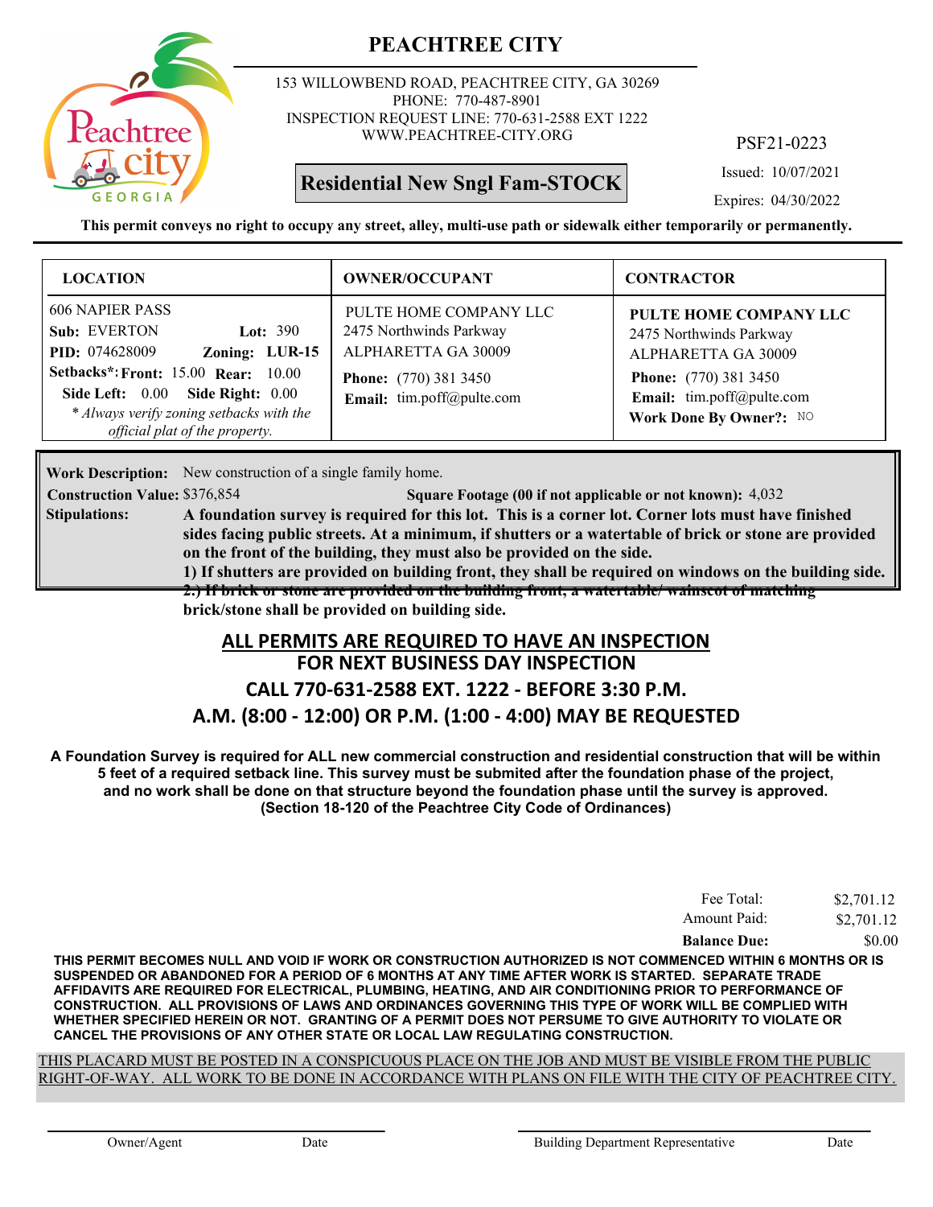

153 WILLOWBEND ROAD, PEACHTREE CITY, GA 30269 PHONE: 770-487-8901 INSPECTION REQUEST LINE: 770-631-2588 EXT 1222 WWW.PEACHTREE-CITY.ORG

## **Residential New Sngl Fam-STOCK**

PSF21-0223

Issued: 10/07/2021

Expires: 04/30/2022

**This permit conveys no right to occupy any street, alley, multi-use path or sidewalk either temporarily or permanently.**

| <b>LOCATION</b>                                                                                                                                                                                                                                                 | <b>OWNER/OCCUPANT</b>                                                                                                                        | <b>CONTRACTOR</b>                                                                                                                                                |
|-----------------------------------------------------------------------------------------------------------------------------------------------------------------------------------------------------------------------------------------------------------------|----------------------------------------------------------------------------------------------------------------------------------------------|------------------------------------------------------------------------------------------------------------------------------------------------------------------|
| <b>606 NAPIER PASS</b><br>Sub: EVERTON<br>Lot: $390$<br>Zoning: LUR-15<br><b>PID:</b> 074628009<br><b>Setbacks*: Front: 15.00 Rear: 10.00</b><br>Side Left: 0.00 Side Right: 0.00<br>* Always verify zoning setbacks with the<br>official plat of the property. | PULTE HOME COMPANY LLC<br>2475 Northwinds Parkway<br>ALPHARETTA GA 30009<br><b>Phone:</b> (770) 381 3450<br><b>Email:</b> tim.poff@pulte.com | PULTE HOME COMPANY LLC<br>2475 Northwinds Parkway<br>ALPHARETTA GA 30009<br><b>Phone:</b> (770) 381 3450<br>Email: tim.poff@pulte.com<br>Work Done By Owner?: NO |

Work Description: New construction of a single family home.

**Construction Value:** \$376,854 54,032 **Square Footage (00 if not applicable or not known):** 4,032

**A foundation survey is required for this lot. This is a corner lot. Corner lots must have finished sides facing public streets. At a minimum, if shutters or a watertable of brick or stone are provided on the front of the building, they must also be provided on the side. Stipulations:**

**1) If shutters are provided on building front, they shall be required on windows on the building side. 2.) If brick or stone are provided on the building front, a watertable/ wainscot of matching brick/stone shall be provided on building side.**

#### **FOR NEXT BUSINESS DAY INSPECTION ALL PERMITS ARE REQUIRED TO HAVE AN INSPECTION**

#### **CALL 770-631-2588 EXT. 1222 - BEFORE 3:30 P.M.**

#### **A.M. (8:00 - 12:00) OR P.M. (1:00 - 4:00) MAY BE REQUESTED**

**A Foundation Survey is required for ALL new commercial construction and residential construction that will be within 5 feet of a required setback line. This survey must be submited after the foundation phase of the project, and no work shall be done on that structure beyond the foundation phase until the survey is approved. (Section 18-120 of the Peachtree City Code of Ordinances)**

| Fee Total:          | \$2,701.12 |
|---------------------|------------|
| Amount Paid:        | \$2,701.12 |
| <b>Balance Due:</b> | \$0.00     |

**THIS PERMIT BECOMES NULL AND VOID IF WORK OR CONSTRUCTION AUTHORIZED IS NOT COMMENCED WITHIN 6 MONTHS OR IS SUSPENDED OR ABANDONED FOR A PERIOD OF 6 MONTHS AT ANY TIME AFTER WORK IS STARTED. SEPARATE TRADE AFFIDAVITS ARE REQUIRED FOR ELECTRICAL, PLUMBING, HEATING, AND AIR CONDITIONING PRIOR TO PERFORMANCE OF CONSTRUCTION. ALL PROVISIONS OF LAWS AND ORDINANCES GOVERNING THIS TYPE OF WORK WILL BE COMPLIED WITH WHETHER SPECIFIED HEREIN OR NOT. GRANTING OF A PERMIT DOES NOT PERSUME TO GIVE AUTHORITY TO VIOLATE OR CANCEL THE PROVISIONS OF ANY OTHER STATE OR LOCAL LAW REGULATING CONSTRUCTION.**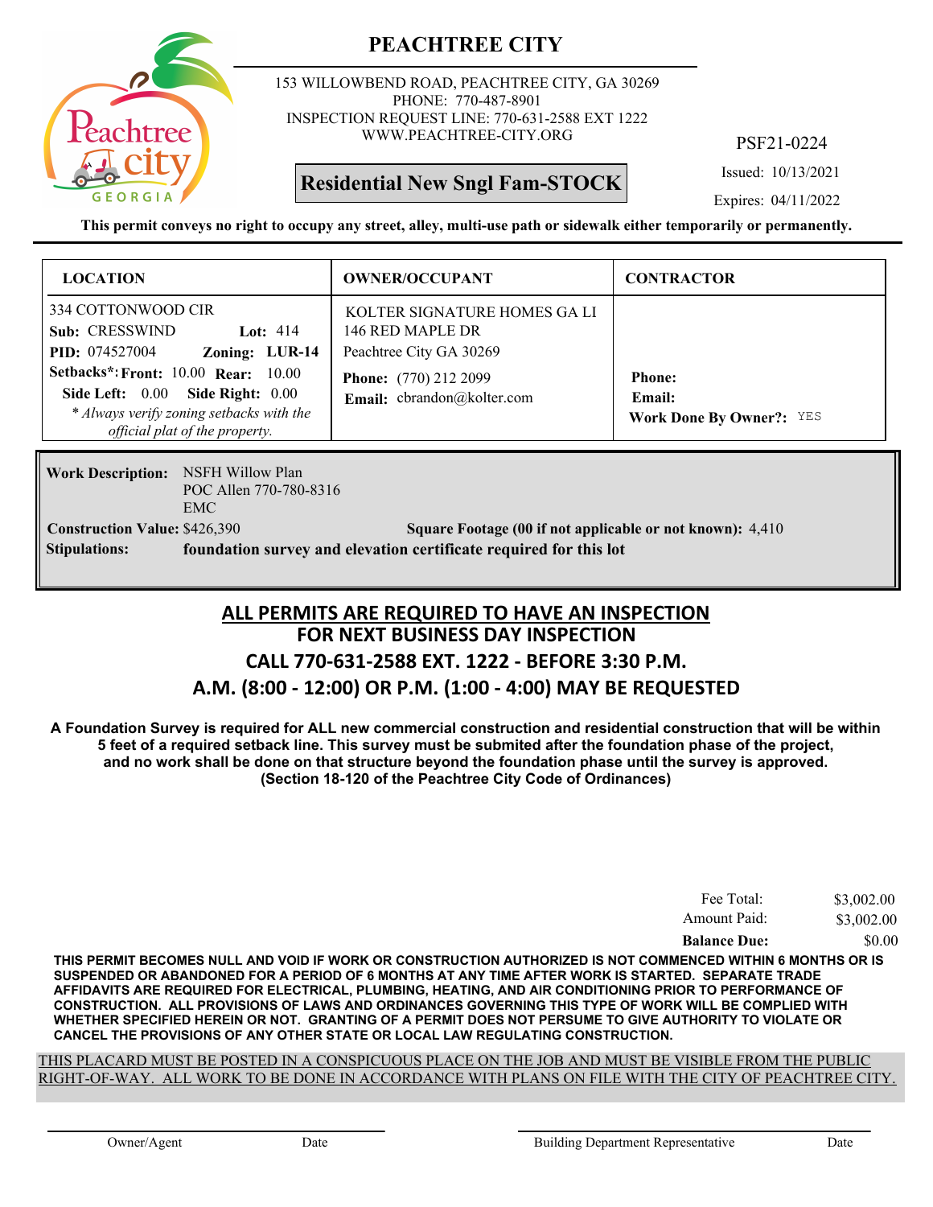

153 WILLOWBEND ROAD, PEACHTREE CITY, GA 30269 PHONE: 770-487-8901 INSPECTION REQUEST LINE: 770-631-2588 EXT 1222 WWW.PEACHTREE-CITY.ORG

**Residential New Sngl Fam-STOCK**

PSF21-0224

Issued: 10/13/2021

Expires: 04/11/2022

**This permit conveys no right to occupy any street, alley, multi-use path or sidewalk either temporarily or permanently.**

| <b>LOCATION</b>                                                                                                                                                                                                                                               | <b>OWNER/OCCUPANT</b>                                                                                                                    | <b>CONTRACTOR</b>                                          |
|---------------------------------------------------------------------------------------------------------------------------------------------------------------------------------------------------------------------------------------------------------------|------------------------------------------------------------------------------------------------------------------------------------------|------------------------------------------------------------|
| 334 COTTONWOOD CIR<br>Sub: CRESSWIND<br>Lot: $414$<br>Zoning: LUR-14<br><b>PID:</b> 074527004<br><b>Setbacks*: Front: 10.00 Rear: 10.00</b><br>Side Left: 0.00 Side Right: 0.00<br>* Always verify zoning setbacks with the<br>official plat of the property. | KOLTER SIGNATURE HOMES GALI<br>146 RED MAPLE DR<br>Peachtree City GA 30269<br><b>Phone:</b> (770) 212 2099<br>Email: cbrandon@kolter.com | <b>Phone:</b><br>Email:<br><b>Work Done By Owner?: YES</b> |

**Work Description:** NSFH Willow Plan POC Allen 770-780-8316 EMC **Stipulations: foundation survey and elevation certificate required for this lot**

**Construction Value:** \$426,390 5 **Square Footage (00 if not applicable or not known):** 4,410

### **FOR NEXT BUSINESS DAY INSPECTION CALL 770-631-2588 EXT. 1222 - BEFORE 3:30 P.M. ALL PERMITS ARE REQUIRED TO HAVE AN INSPECTION**

#### **A.M. (8:00 - 12:00) OR P.M. (1:00 - 4:00) MAY BE REQUESTED**

**A Foundation Survey is required for ALL new commercial construction and residential construction that will be within 5 feet of a required setback line. This survey must be submited after the foundation phase of the project, and no work shall be done on that structure beyond the foundation phase until the survey is approved. (Section 18-120 of the Peachtree City Code of Ordinances)**

| Amount Paid:        | \$3,002.00 |
|---------------------|------------|
| <b>Balance Due:</b> | \$0.00     |

**THIS PERMIT BECOMES NULL AND VOID IF WORK OR CONSTRUCTION AUTHORIZED IS NOT COMMENCED WITHIN 6 MONTHS OR IS SUSPENDED OR ABANDONED FOR A PERIOD OF 6 MONTHS AT ANY TIME AFTER WORK IS STARTED. SEPARATE TRADE AFFIDAVITS ARE REQUIRED FOR ELECTRICAL, PLUMBING, HEATING, AND AIR CONDITIONING PRIOR TO PERFORMANCE OF CONSTRUCTION. ALL PROVISIONS OF LAWS AND ORDINANCES GOVERNING THIS TYPE OF WORK WILL BE COMPLIED WITH WHETHER SPECIFIED HEREIN OR NOT. GRANTING OF A PERMIT DOES NOT PERSUME TO GIVE AUTHORITY TO VIOLATE OR CANCEL THE PROVISIONS OF ANY OTHER STATE OR LOCAL LAW REGULATING CONSTRUCTION.**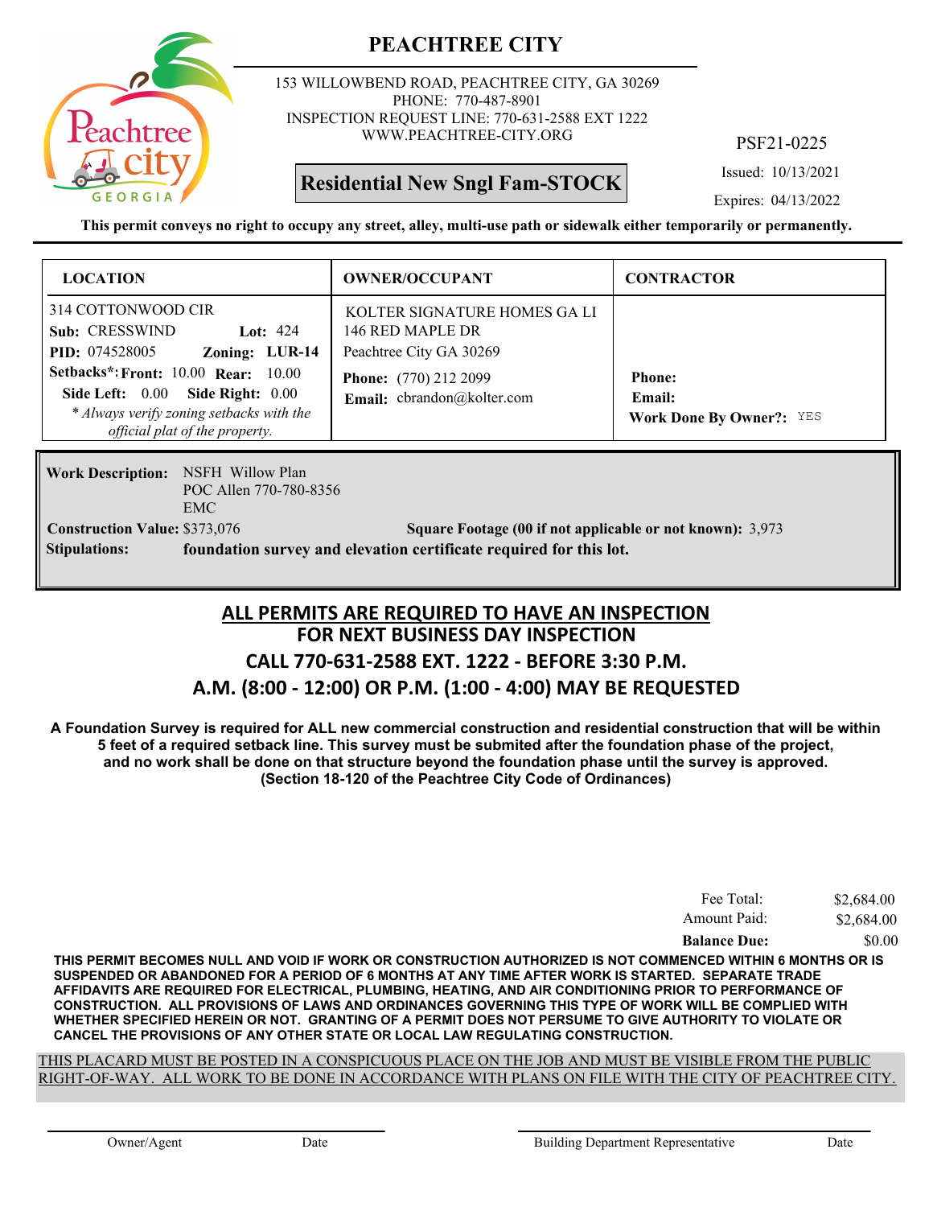

153 WILLOWBEND ROAD, PEACHTREE CITY, GA 30269 PHONE: 770-487-8901 INSPECTION REQUEST LINE: 770-631-2588 EXT 1222 WWW.PEACHTREE-CITY.ORG

**Residential New Sngl Fam-STOCK**

PSF21-0225

Issued: 10/13/2021

Expires: 04/13/2022

**This permit conveys no right to occupy any street, alley, multi-use path or sidewalk either temporarily or permanently.**

| <b>LOCATION</b>                                                                                                                             | <b>OWNER/OCCUPANT</b>                                                                                       | <b>CONTRACTOR</b>                         |
|---------------------------------------------------------------------------------------------------------------------------------------------|-------------------------------------------------------------------------------------------------------------|-------------------------------------------|
| 314 COTTONWOOD CIR<br>Sub: CRESSWIND<br>Lot: $424$<br>Zoning: LUR-14<br><b>PID:</b> 074528005<br><b>Setbacks*: Front: 10.00 Rear: 10.00</b> | KOLTER SIGNATURE HOMES GA LI<br>146 RED MAPLE DR<br>Peachtree City GA 30269<br><b>Phone:</b> (770) 212 2099 | <b>Phone:</b>                             |
| Side Left: 0.00 Side Right: 0.00<br>* Always verify zoning setbacks with the<br>official plat of the property.                              | Email: cbrandon@kolter.com                                                                                  | Email:<br><b>Work Done By Owner?: YES</b> |

**Work Description: NSFH Willow Plan** POC Allen 770-780-8356 EMC **Stipulations: foundation survey and elevation certificate required for this lot.**

**Construction Value:** \$373,076 5 Square Footage (00 if not applicable or not known): 3,973

## **FOR NEXT BUSINESS DAY INSPECTION CALL 770-631-2588 EXT. 1222 - BEFORE 3:30 P.M. ALL PERMITS ARE REQUIRED TO HAVE AN INSPECTION**

#### **A.M. (8:00 - 12:00) OR P.M. (1:00 - 4:00) MAY BE REQUESTED**

**A Foundation Survey is required for ALL new commercial construction and residential construction that will be within 5 feet of a required setback line. This survey must be submited after the foundation phase of the project, and no work shall be done on that structure beyond the foundation phase until the survey is approved. (Section 18-120 of the Peachtree City Code of Ordinances)**

| Fee Total:          | \$2,684.00 |
|---------------------|------------|
| Amount Paid:        | \$2,684.00 |
| <b>Balance Due:</b> | \$0.00     |

**THIS PERMIT BECOMES NULL AND VOID IF WORK OR CONSTRUCTION AUTHORIZED IS NOT COMMENCED WITHIN 6 MONTHS OR IS SUSPENDED OR ABANDONED FOR A PERIOD OF 6 MONTHS AT ANY TIME AFTER WORK IS STARTED. SEPARATE TRADE AFFIDAVITS ARE REQUIRED FOR ELECTRICAL, PLUMBING, HEATING, AND AIR CONDITIONING PRIOR TO PERFORMANCE OF CONSTRUCTION. ALL PROVISIONS OF LAWS AND ORDINANCES GOVERNING THIS TYPE OF WORK WILL BE COMPLIED WITH WHETHER SPECIFIED HEREIN OR NOT. GRANTING OF A PERMIT DOES NOT PERSUME TO GIVE AUTHORITY TO VIOLATE OR CANCEL THE PROVISIONS OF ANY OTHER STATE OR LOCAL LAW REGULATING CONSTRUCTION.**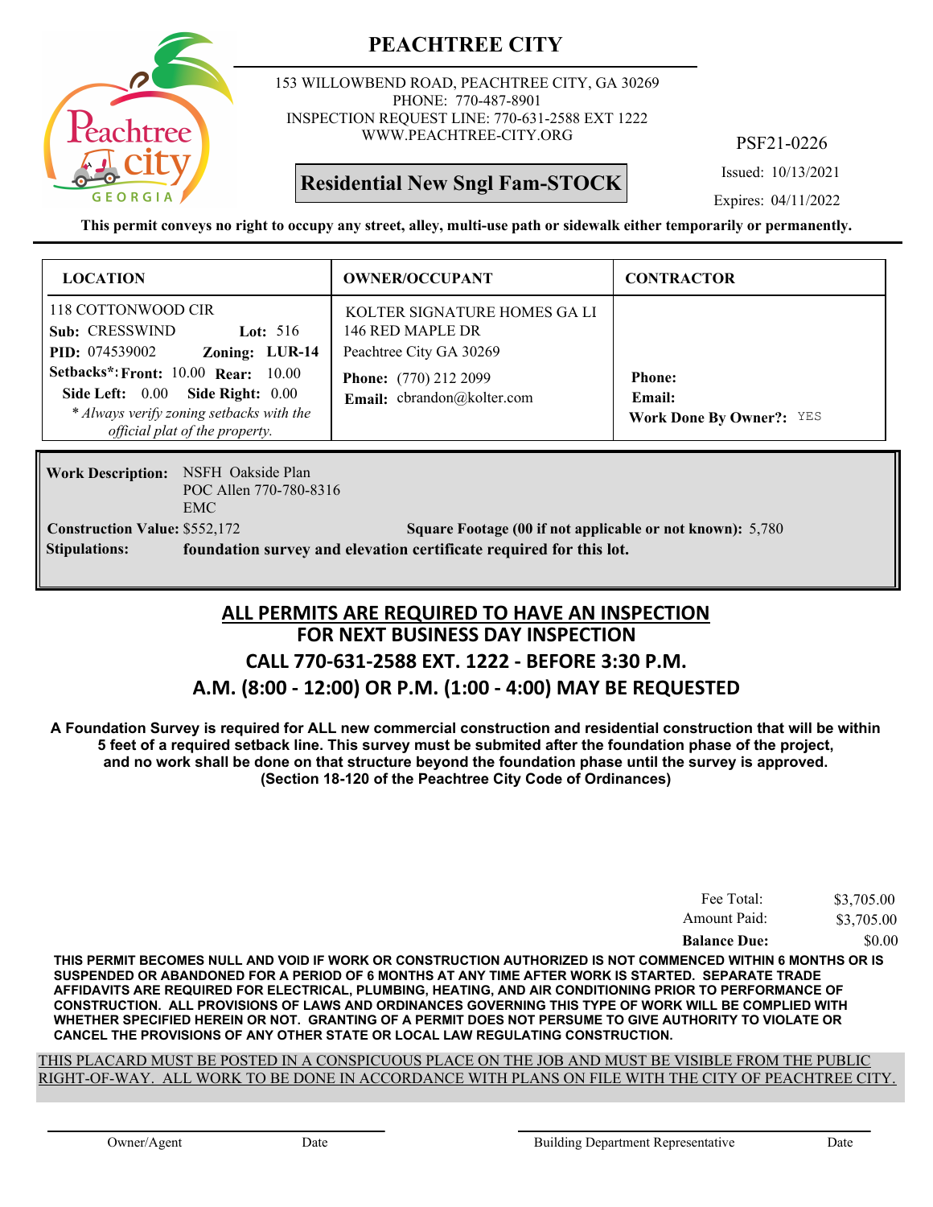

153 WILLOWBEND ROAD, PEACHTREE CITY, GA 30269 PHONE: 770-487-8901 INSPECTION REQUEST LINE: 770-631-2588 EXT 1222 WWW.PEACHTREE-CITY.ORG

**Residential New Sngl Fam-STOCK**

PSF21-0226

Issued: 10/13/2021

Expires: 04/11/2022

**This permit conveys no right to occupy any street, alley, multi-use path or sidewalk either temporarily or permanently.**

| <b>LOCATION</b>                                                                                                                                       | <b>OWNER/OCCUPANT</b>                                                       | <b>CONTRACTOR</b>                                          |
|-------------------------------------------------------------------------------------------------------------------------------------------------------|-----------------------------------------------------------------------------|------------------------------------------------------------|
| 118 COTTONWOOD CIR<br>Sub: CRESSWIND<br>Lot: $516$<br>Zoning: LUR-14<br><b>PID:</b> 074539002                                                         | KOLTER SIGNATURE HOMES GA LI<br>146 RED MAPLE DR<br>Peachtree City GA 30269 |                                                            |
| Setbacks*: Front: 10.00 Rear: 10.00<br>Side Left: 0.00 Side Right: 0.00<br>* Always verify zoning setbacks with the<br>official plat of the property. | <b>Phone:</b> (770) 212 2099<br>Email: cbrandon@kolter.com                  | <b>Phone:</b><br>Email:<br><b>Work Done By Owner?: YES</b> |

Work Description: NSFH Oakside Plan POC Allen 770-780-8316 EMC **Stipulations: foundation survey and elevation certificate required for this lot.**

**Construction Value:** \$552,172 5,780 Square Footage (00 if not applicable or not known): 5,780

#### **FOR NEXT BUSINESS DAY INSPECTION CALL 770-631-2588 EXT. 1222 - BEFORE 3:30 P.M. ALL PERMITS ARE REQUIRED TO HAVE AN INSPECTION**

#### **A.M. (8:00 - 12:00) OR P.M. (1:00 - 4:00) MAY BE REQUESTED**

**A Foundation Survey is required for ALL new commercial construction and residential construction that will be within 5 feet of a required setback line. This survey must be submited after the foundation phase of the project, and no work shall be done on that structure beyond the foundation phase until the survey is approved. (Section 18-120 of the Peachtree City Code of Ordinances)**

| Fee Total:          | \$3,705.00 |
|---------------------|------------|
| Amount Paid:        | \$3,705.00 |
| <b>Balance Due:</b> | \$0.00     |

**THIS PERMIT BECOMES NULL AND VOID IF WORK OR CONSTRUCTION AUTHORIZED IS NOT COMMENCED WITHIN 6 MONTHS OR IS SUSPENDED OR ABANDONED FOR A PERIOD OF 6 MONTHS AT ANY TIME AFTER WORK IS STARTED. SEPARATE TRADE AFFIDAVITS ARE REQUIRED FOR ELECTRICAL, PLUMBING, HEATING, AND AIR CONDITIONING PRIOR TO PERFORMANCE OF CONSTRUCTION. ALL PROVISIONS OF LAWS AND ORDINANCES GOVERNING THIS TYPE OF WORK WILL BE COMPLIED WITH WHETHER SPECIFIED HEREIN OR NOT. GRANTING OF A PERMIT DOES NOT PERSUME TO GIVE AUTHORITY TO VIOLATE OR CANCEL THE PROVISIONS OF ANY OTHER STATE OR LOCAL LAW REGULATING CONSTRUCTION.**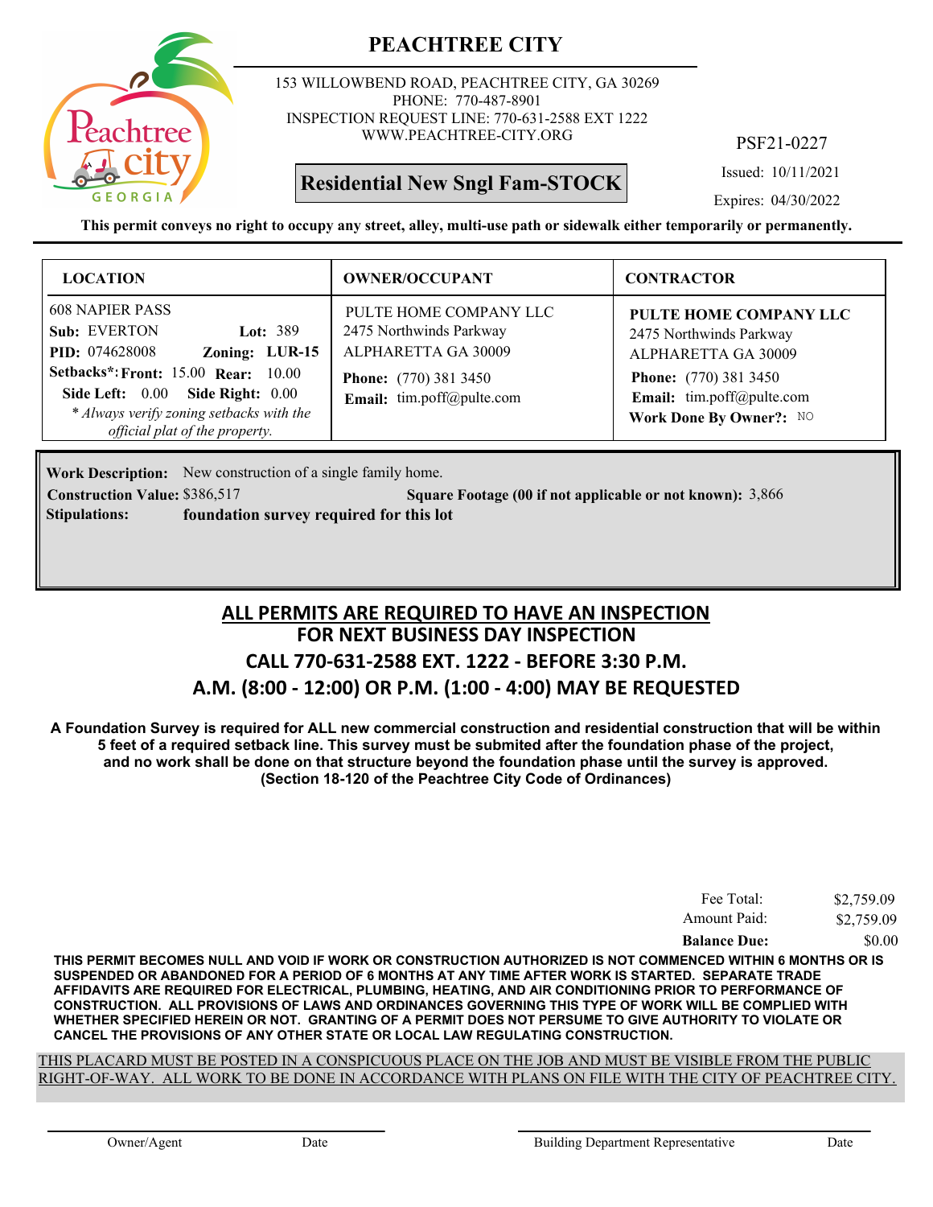

153 WILLOWBEND ROAD, PEACHTREE CITY, GA 30269 PHONE: 770-487-8901 INSPECTION REQUEST LINE: 770-631-2588 EXT 1222 WWW.PEACHTREE-CITY.ORG

## **Residential New Sngl Fam-STOCK**

PSF21-0227

Issued: 10/11/2021

Expires: 04/30/2022

**This permit conveys no right to occupy any street, alley, multi-use path or sidewalk either temporarily or permanently.**

| <b>LOCATION</b>                                                                                                                                                                                                                                                 | <b>OWNER/OCCUPANT</b>                                                                                                                 | <b>CONTRACTOR</b>                                                                                                                                                |
|-----------------------------------------------------------------------------------------------------------------------------------------------------------------------------------------------------------------------------------------------------------------|---------------------------------------------------------------------------------------------------------------------------------------|------------------------------------------------------------------------------------------------------------------------------------------------------------------|
| <b>608 NAPIER PASS</b><br>Sub: EVERTON<br>Lot: $389$<br>Zoning: LUR-15<br><b>PID:</b> 074628008<br><b>Setbacks*: Front: 15.00 Rear: 10.00</b><br>Side Left: 0.00 Side Right: 0.00<br>* Always verify zoning setbacks with the<br>official plat of the property. | PULTE HOME COMPANY LLC<br>2475 Northwinds Parkway<br>ALPHARETTA GA 30009<br><b>Phone:</b> (770) 381 3450<br>Email: tim.poff@pulte.com | PULTE HOME COMPANY LLC<br>2475 Northwinds Parkway<br>ALPHARETTA GA 30009<br><b>Phone:</b> (770) 381 3450<br>Email: tim.poff@pulte.com<br>Work Done By Owner?: NO |

Work Description: New construction of a single family home.

**Construction Value:** \$386,517 **Square Footage (00 if not applicable or not known):** 3,866 **Stipulations: foundation survey required for this lot**

## **FOR NEXT BUSINESS DAY INSPECTION CALL 770-631-2588 EXT. 1222 - BEFORE 3:30 P.M. A.M. (8:00 - 12:00) OR P.M. (1:00 - 4:00) MAY BE REQUESTED ALL PERMITS ARE REQUIRED TO HAVE AN INSPECTION**

**A Foundation Survey is required for ALL new commercial construction and residential construction that will be within 5 feet of a required setback line. This survey must be submited after the foundation phase of the project, and no work shall be done on that structure beyond the foundation phase until the survey is approved. (Section 18-120 of the Peachtree City Code of Ordinances)**

| Fee Total:          | \$2,759.09 |
|---------------------|------------|
| Amount Paid:        | \$2,759.09 |
| <b>Balance Due:</b> | \$0.00     |

**THIS PERMIT BECOMES NULL AND VOID IF WORK OR CONSTRUCTION AUTHORIZED IS NOT COMMENCED WITHIN 6 MONTHS OR IS SUSPENDED OR ABANDONED FOR A PERIOD OF 6 MONTHS AT ANY TIME AFTER WORK IS STARTED. SEPARATE TRADE AFFIDAVITS ARE REQUIRED FOR ELECTRICAL, PLUMBING, HEATING, AND AIR CONDITIONING PRIOR TO PERFORMANCE OF CONSTRUCTION. ALL PROVISIONS OF LAWS AND ORDINANCES GOVERNING THIS TYPE OF WORK WILL BE COMPLIED WITH WHETHER SPECIFIED HEREIN OR NOT. GRANTING OF A PERMIT DOES NOT PERSUME TO GIVE AUTHORITY TO VIOLATE OR CANCEL THE PROVISIONS OF ANY OTHER STATE OR LOCAL LAW REGULATING CONSTRUCTION.**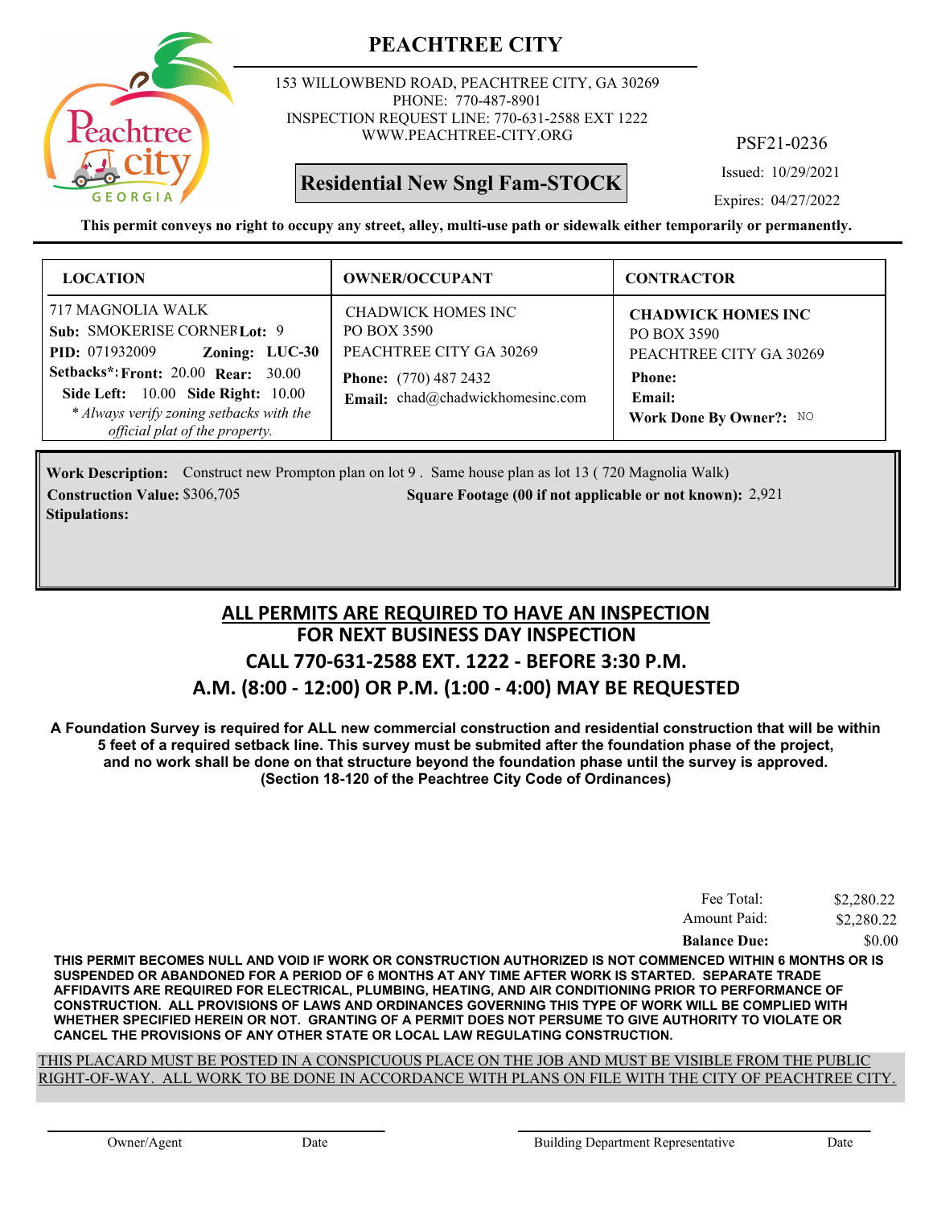

153 WILLOWBEND ROAD, PEACHTREE CITY, GA 30269 PHONE: 770-487-8901 INSPECTION REQUEST LINE: 770-631-2588 EXT 1222 WWW.PEACHTREE-CITY.ORG

## **Residential New Sngl Fam-STOCK**

PSF21-0236

Issued: 10/29/2021

Expires: 04/27/2022

**This permit conveys no right to occupy any street, alley, multi-use path or sidewalk either temporarily or permanently.**

| <b>LOCATION</b>                                                                                                                                                                                                                                                | <b>OWNER/OCCUPANT</b>                                                                                                            | <b>CONTRACTOR</b>                                                                                                         |
|----------------------------------------------------------------------------------------------------------------------------------------------------------------------------------------------------------------------------------------------------------------|----------------------------------------------------------------------------------------------------------------------------------|---------------------------------------------------------------------------------------------------------------------------|
| 717 MAGNOLIA WALK<br>Sub: SMOKERISE CORNER Lot: 9<br>Zoning: LUC-30<br><b>PID:</b> 071932009<br><b>Setbacks*: Front: 20.00 Rear: 30.00</b><br>Side Left: 10.00 Side Right: 10.00<br>* Always verify zoning setbacks with the<br>official plat of the property. | CHADWICK HOMES INC<br>PO BOX 3590<br>PEACHTREE CITY GA 30269<br><b>Phone:</b> (770) 487 2432<br>Email: chad@chadwickhomesinc.com | <b>CHADWICK HOMES INC</b><br>PO BOX 3590<br>PEACHTREE CITY GA 30269<br><b>Phone:</b><br>Email:<br>Work Done By Owner?: NO |

Work Description: Construct new Prompton plan on lot 9. Same house plan as lot 13 (720 Magnolia Walk) **Construction Value:** \$306,705 2,921 **2006** 2006 2011 **Square Footage (00 if not applicable or not known): 2,921 Stipulations:**

## **FOR NEXT BUSINESS DAY INSPECTION CALL 770-631-2588 EXT. 1222 - BEFORE 3:30 P.M. A.M. (8:00 - 12:00) OR P.M. (1:00 - 4:00) MAY BE REQUESTED ALL PERMITS ARE REQUIRED TO HAVE AN INSPECTION**

**A Foundation Survey is required for ALL new commercial construction and residential construction that will be within 5 feet of a required setback line. This survey must be submited after the foundation phase of the project, and no work shall be done on that structure beyond the foundation phase until the survey is approved. (Section 18-120 of the Peachtree City Code of Ordinances)**

| Fee Total:          | \$2,280.22 |
|---------------------|------------|
| Amount Paid:        | \$2,280.22 |
| <b>Balance Due:</b> | \$0.00     |

**THIS PERMIT BECOMES NULL AND VOID IF WORK OR CONSTRUCTION AUTHORIZED IS NOT COMMENCED WITHIN 6 MONTHS OR IS SUSPENDED OR ABANDONED FOR A PERIOD OF 6 MONTHS AT ANY TIME AFTER WORK IS STARTED. SEPARATE TRADE AFFIDAVITS ARE REQUIRED FOR ELECTRICAL, PLUMBING, HEATING, AND AIR CONDITIONING PRIOR TO PERFORMANCE OF CONSTRUCTION. ALL PROVISIONS OF LAWS AND ORDINANCES GOVERNING THIS TYPE OF WORK WILL BE COMPLIED WITH WHETHER SPECIFIED HEREIN OR NOT. GRANTING OF A PERMIT DOES NOT PERSUME TO GIVE AUTHORITY TO VIOLATE OR CANCEL THE PROVISIONS OF ANY OTHER STATE OR LOCAL LAW REGULATING CONSTRUCTION.**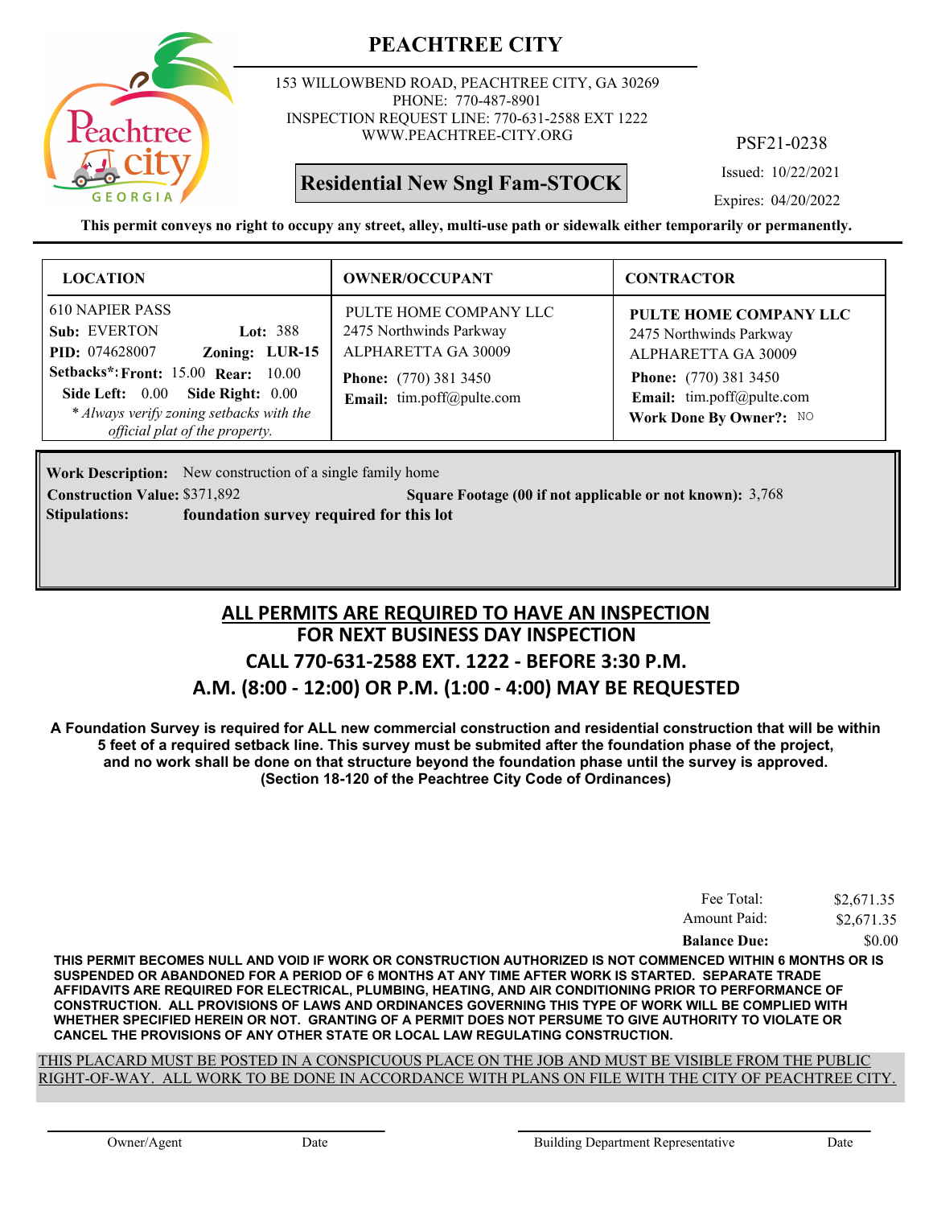

153 WILLOWBEND ROAD, PEACHTREE CITY, GA 30269 PHONE: 770-487-8901 INSPECTION REQUEST LINE: 770-631-2588 EXT 1222 WWW.PEACHTREE-CITY.ORG

## **Residential New Sngl Fam-STOCK**

PSF21-0238

Issued: 10/22/2021

Expires: 04/20/2022

**This permit conveys no right to occupy any street, alley, multi-use path or sidewalk either temporarily or permanently.**

| <b>LOCATION</b>                                                                                                                                                                                                                                          | <b>OWNER/OCCUPANT</b>                                                                                                                 | <b>CONTRACTOR</b>                                                                                                                                                |
|----------------------------------------------------------------------------------------------------------------------------------------------------------------------------------------------------------------------------------------------------------|---------------------------------------------------------------------------------------------------------------------------------------|------------------------------------------------------------------------------------------------------------------------------------------------------------------|
| 610 NAPIER PASS<br>Sub: EVERTON<br>Lot: $388$<br><b>PID:</b> 074628007<br>Zoning: LUR-15<br><b>Setbacks*: Front: 15.00 Rear: 10.00</b><br>Side Left: 0.00 Side Right: 0.00<br>* Always verify zoning setbacks with the<br>official plat of the property. | PULTE HOME COMPANY LLC<br>2475 Northwinds Parkway<br>ALPHARETTA GA 30009<br><b>Phone:</b> (770) 381 3450<br>Email: tim.poff@pulte.com | PULTE HOME COMPANY LLC<br>2475 Northwinds Parkway<br>ALPHARETTA GA 30009<br><b>Phone:</b> (770) 381 3450<br>Email: tim.poff@pulte.com<br>Work Done By Owner?: NO |

**Work Description:** New construction of a single family home **Construction Value:** \$371,892 **5 Square Footage (00 if not applicable or not known): 3,768 Stipulations: foundation survey required for this lot**

## **FOR NEXT BUSINESS DAY INSPECTION CALL 770-631-2588 EXT. 1222 - BEFORE 3:30 P.M. A.M. (8:00 - 12:00) OR P.M. (1:00 - 4:00) MAY BE REQUESTED ALL PERMITS ARE REQUIRED TO HAVE AN INSPECTION**

**A Foundation Survey is required for ALL new commercial construction and residential construction that will be within 5 feet of a required setback line. This survey must be submited after the foundation phase of the project, and no work shall be done on that structure beyond the foundation phase until the survey is approved. (Section 18-120 of the Peachtree City Code of Ordinances)**

| <b>Balance Due:</b> | \$0.00     |
|---------------------|------------|
| Amount Paid:        | \$2,671.35 |
| Fee Total:          | \$2,671.35 |

**THIS PERMIT BECOMES NULL AND VOID IF WORK OR CONSTRUCTION AUTHORIZED IS NOT COMMENCED WITHIN 6 MONTHS OR IS SUSPENDED OR ABANDONED FOR A PERIOD OF 6 MONTHS AT ANY TIME AFTER WORK IS STARTED. SEPARATE TRADE AFFIDAVITS ARE REQUIRED FOR ELECTRICAL, PLUMBING, HEATING, AND AIR CONDITIONING PRIOR TO PERFORMANCE OF CONSTRUCTION. ALL PROVISIONS OF LAWS AND ORDINANCES GOVERNING THIS TYPE OF WORK WILL BE COMPLIED WITH WHETHER SPECIFIED HEREIN OR NOT. GRANTING OF A PERMIT DOES NOT PERSUME TO GIVE AUTHORITY TO VIOLATE OR CANCEL THE PROVISIONS OF ANY OTHER STATE OR LOCAL LAW REGULATING CONSTRUCTION.**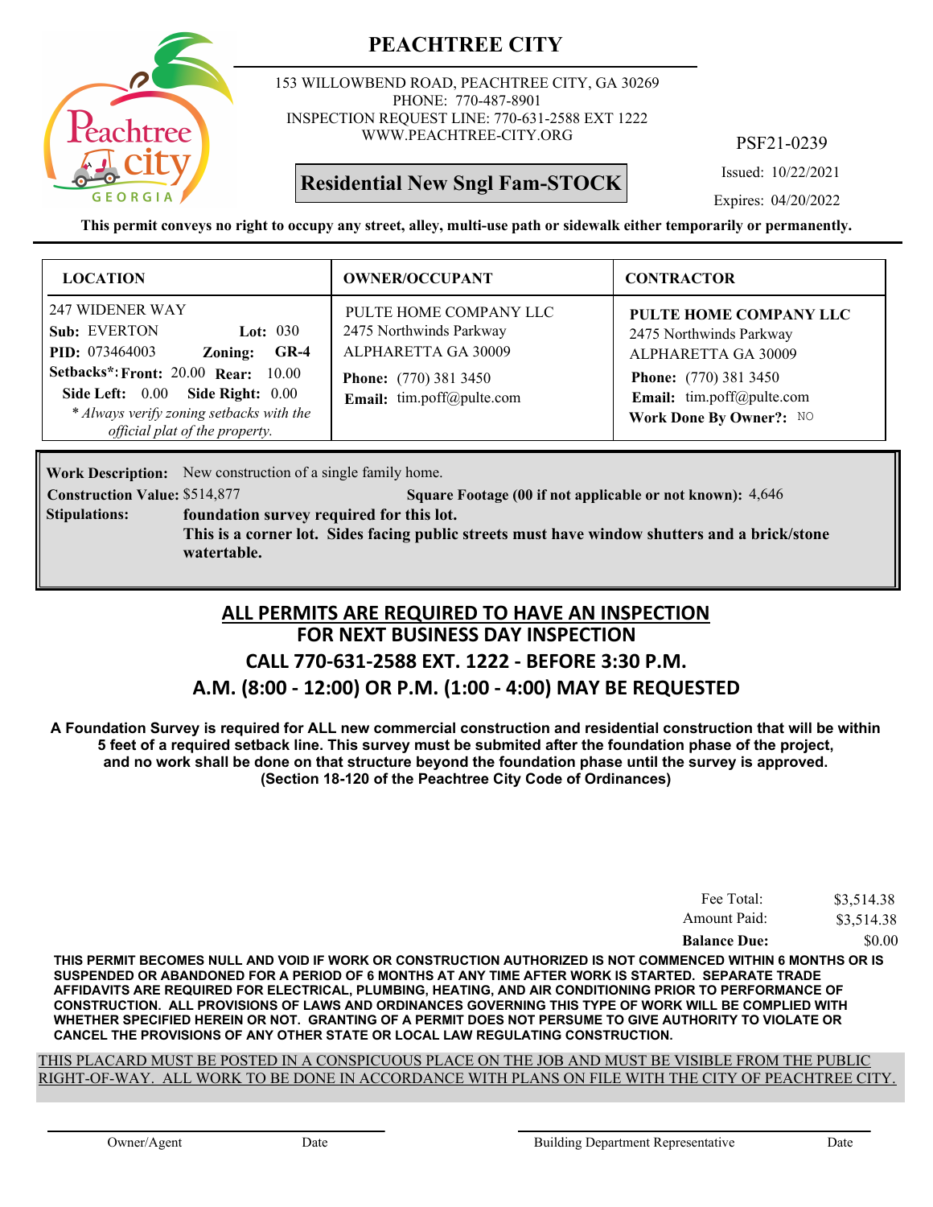

153 WILLOWBEND ROAD, PEACHTREE CITY, GA 30269 PHONE: 770-487-8901 INSPECTION REQUEST LINE: 770-631-2588 EXT 1222 WWW.PEACHTREE-CITY.ORG

## **Residential New Sngl Fam-STOCK**

PSF21-0239

Issued: 10/22/2021

Expires: 04/20/2022

**This permit conveys no right to occupy any street, alley, multi-use path or sidewalk either temporarily or permanently.**

| <b>LOCATION</b>                                                                                                                                                                                                                                             | <b>OWNER/OCCUPANT</b>                                                                                                                 | <b>CONTRACTOR</b>                                                                                                                                                |
|-------------------------------------------------------------------------------------------------------------------------------------------------------------------------------------------------------------------------------------------------------------|---------------------------------------------------------------------------------------------------------------------------------------|------------------------------------------------------------------------------------------------------------------------------------------------------------------|
| 247 WIDENER WAY<br>Sub: EVERTON<br>Lot: $030$<br><b>PID:</b> 073464003<br>$GR-4$<br>Zoning:<br><b>Setbacks*: Front: 20.00 Rear: 10.00</b><br>Side Left: 0.00 Side Right: 0.00<br>* Always verify zoning setbacks with the<br>official plat of the property. | PULTE HOME COMPANY LLC<br>2475 Northwinds Parkway<br>ALPHARETTA GA 30009<br><b>Phone:</b> (770) 381 3450<br>Email: tim.poff@pulte.com | PULTE HOME COMPANY LLC<br>2475 Northwinds Parkway<br>ALPHARETTA GA 30009<br><b>Phone:</b> (770) 381 3450<br>Email: tim.poff@pulte.com<br>Work Done By Owner?: NO |

Work Description: New construction of a single family home.

**Construction Value:** \$514,877 **514,877 518 Square Footage (00 if not applicable or not known): 4,646 foundation survey required for this lot. This is a corner lot. Sides facing public streets must have window shutters and a brick/stone watertable. Stipulations:**

#### **FOR NEXT BUSINESS DAY INSPECTION CALL 770-631-2588 EXT. 1222 - BEFORE 3:30 P.M. A.M. (8:00 - 12:00) OR P.M. (1:00 - 4:00) MAY BE REQUESTED ALL PERMITS ARE REQUIRED TO HAVE AN INSPECTION**

**A Foundation Survey is required for ALL new commercial construction and residential construction that will be within 5 feet of a required setback line. This survey must be submited after the foundation phase of the project, and no work shall be done on that structure beyond the foundation phase until the survey is approved. (Section 18-120 of the Peachtree City Code of Ordinances)**

| Fee Total:          | \$3,514.38 |
|---------------------|------------|
| Amount Paid:        | \$3,514.38 |
| <b>Balance Due:</b> | \$0.00     |

**THIS PERMIT BECOMES NULL AND VOID IF WORK OR CONSTRUCTION AUTHORIZED IS NOT COMMENCED WITHIN 6 MONTHS OR IS SUSPENDED OR ABANDONED FOR A PERIOD OF 6 MONTHS AT ANY TIME AFTER WORK IS STARTED. SEPARATE TRADE AFFIDAVITS ARE REQUIRED FOR ELECTRICAL, PLUMBING, HEATING, AND AIR CONDITIONING PRIOR TO PERFORMANCE OF CONSTRUCTION. ALL PROVISIONS OF LAWS AND ORDINANCES GOVERNING THIS TYPE OF WORK WILL BE COMPLIED WITH WHETHER SPECIFIED HEREIN OR NOT. GRANTING OF A PERMIT DOES NOT PERSUME TO GIVE AUTHORITY TO VIOLATE OR CANCEL THE PROVISIONS OF ANY OTHER STATE OR LOCAL LAW REGULATING CONSTRUCTION.**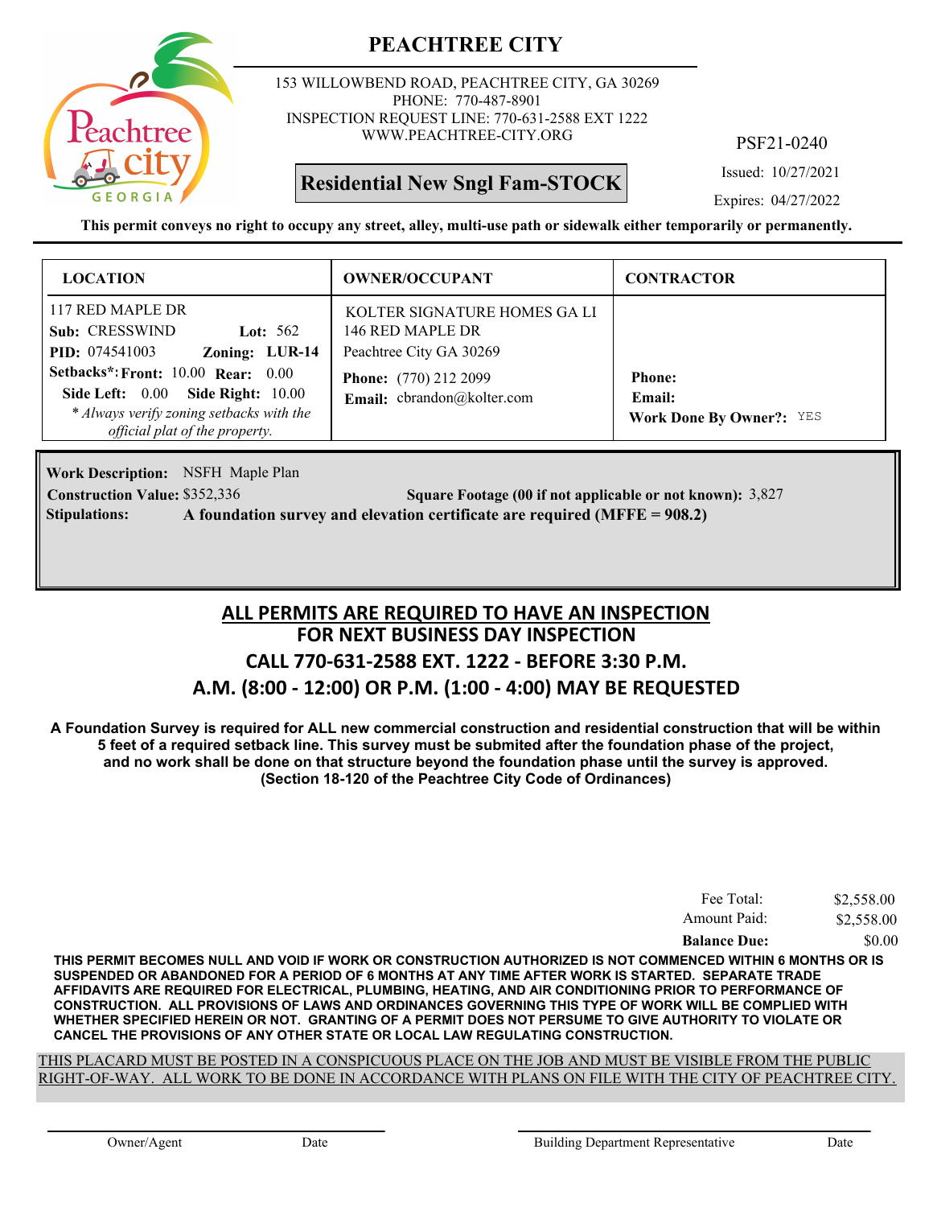

153 WILLOWBEND ROAD, PEACHTREE CITY, GA 30269 PHONE: 770-487-8901 INSPECTION REQUEST LINE: 770-631-2588 EXT 1222 WWW.PEACHTREE-CITY.ORG

**Residential New Sngl Fam-STOCK**

PSF21-0240

Issued: 10/27/2021

Expires: 04/27/2022

**This permit conveys no right to occupy any street, alley, multi-use path or sidewalk either temporarily or permanently.**

| <b>LOCATION</b>                                                                                                                                                                                                                                      | <b>OWNER/OCCUPANT</b>                                                                                                                     | <b>CONTRACTOR</b>                                          |
|------------------------------------------------------------------------------------------------------------------------------------------------------------------------------------------------------------------------------------------------------|-------------------------------------------------------------------------------------------------------------------------------------------|------------------------------------------------------------|
| 117 RED MAPLE DR<br>Sub: CRESSWIND<br>Lot: $562$<br>Zoning: LUR-14<br><b>PID:</b> 074541003<br>Setbacks*: Front: 10.00 Rear: 0.00<br>Side Left: 0.00 Side Right: 10.00<br>* Always verify zoning setbacks with the<br>official plat of the property. | KOLTER SIGNATURE HOMES GA LI<br>146 RED MAPLE DR<br>Peachtree City GA 30269<br><b>Phone:</b> (770) 212 2099<br>Email: cbrandon@kolter.com | <b>Phone:</b><br>Email:<br><b>Work Done By Owner?: YES</b> |

**Work Description:** NSFH Maple Plan **Construction Value:** \$352,336 **300 Square Footage (00 if not applicable or not known): 3,827 Stipulations: A foundation survey and elevation certificate are required (MFFE = 908.2)**

## **FOR NEXT BUSINESS DAY INSPECTION CALL 770-631-2588 EXT. 1222 - BEFORE 3:30 P.M. A.M. (8:00 - 12:00) OR P.M. (1:00 - 4:00) MAY BE REQUESTED ALL PERMITS ARE REQUIRED TO HAVE AN INSPECTION**

**A Foundation Survey is required for ALL new commercial construction and residential construction that will be within 5 feet of a required setback line. This survey must be submited after the foundation phase of the project, and no work shall be done on that structure beyond the foundation phase until the survey is approved. (Section 18-120 of the Peachtree City Code of Ordinances)**

| Fee Total:          | \$2,558.00 |
|---------------------|------------|
| Amount Paid:        | \$2,558.00 |
| <b>Balance Due:</b> | \$0.00     |

**THIS PERMIT BECOMES NULL AND VOID IF WORK OR CONSTRUCTION AUTHORIZED IS NOT COMMENCED WITHIN 6 MONTHS OR IS SUSPENDED OR ABANDONED FOR A PERIOD OF 6 MONTHS AT ANY TIME AFTER WORK IS STARTED. SEPARATE TRADE AFFIDAVITS ARE REQUIRED FOR ELECTRICAL, PLUMBING, HEATING, AND AIR CONDITIONING PRIOR TO PERFORMANCE OF CONSTRUCTION. ALL PROVISIONS OF LAWS AND ORDINANCES GOVERNING THIS TYPE OF WORK WILL BE COMPLIED WITH WHETHER SPECIFIED HEREIN OR NOT. GRANTING OF A PERMIT DOES NOT PERSUME TO GIVE AUTHORITY TO VIOLATE OR CANCEL THE PROVISIONS OF ANY OTHER STATE OR LOCAL LAW REGULATING CONSTRUCTION.**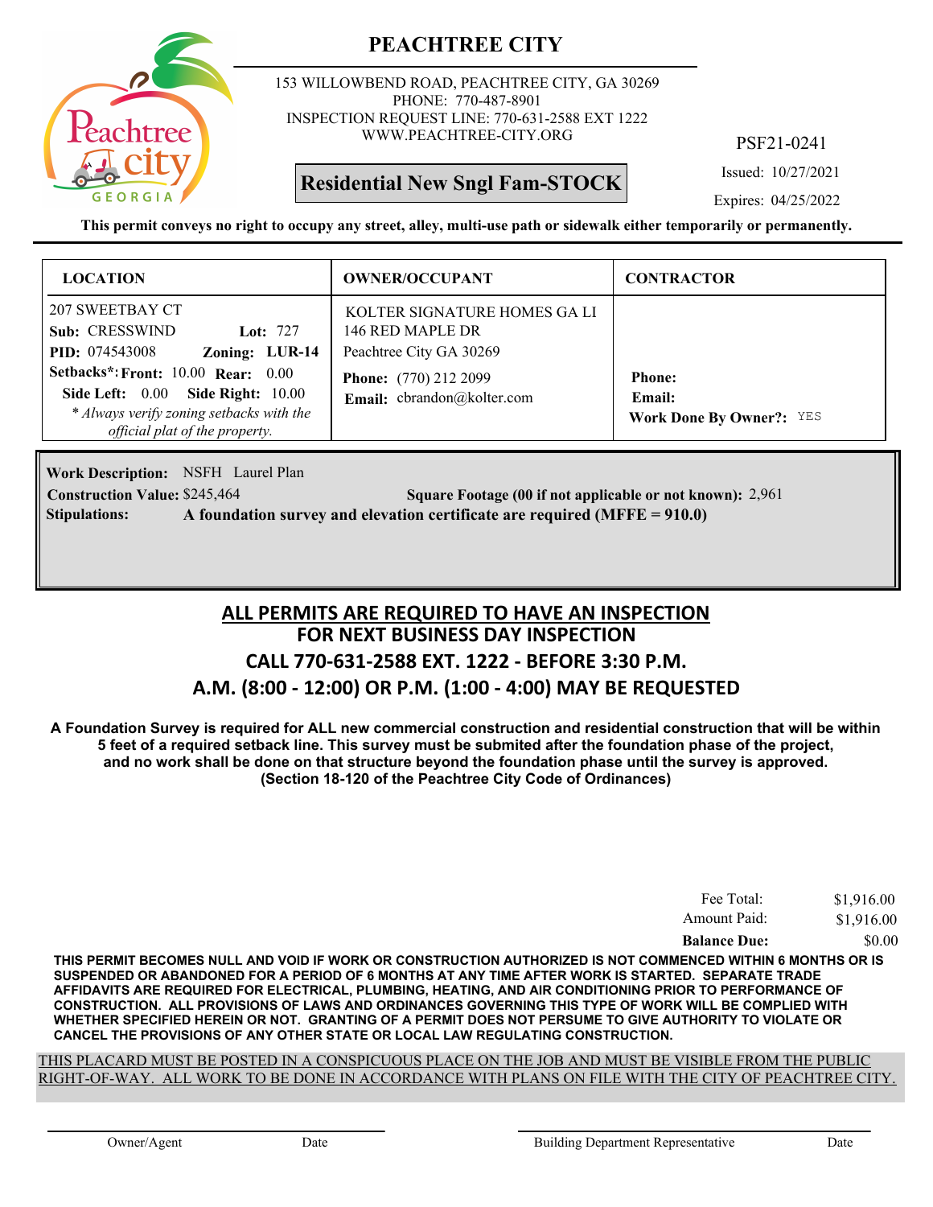

153 WILLOWBEND ROAD, PEACHTREE CITY, GA 30269 PHONE: 770-487-8901 INSPECTION REQUEST LINE: 770-631-2588 EXT 1222 WWW.PEACHTREE-CITY.ORG

**Residential New Sngl Fam-STOCK**

PSF21-0241

Issued: 10/27/2021

Expires: 04/25/2022

**This permit conveys no right to occupy any street, alley, multi-use path or sidewalk either temporarily or permanently.**

| <b>LOCATION</b>                                                                                                                                                                                                                                     | <b>OWNER/OCCUPANT</b>                                                                                                                     | <b>CONTRACTOR</b>                                          |
|-----------------------------------------------------------------------------------------------------------------------------------------------------------------------------------------------------------------------------------------------------|-------------------------------------------------------------------------------------------------------------------------------------------|------------------------------------------------------------|
| 207 SWEETBAY CT<br>Sub: CRESSWIND<br>Lot: $727$<br>Zoning: LUR-14<br><b>PID:</b> 074543008<br>Setbacks*: Front: 10.00 Rear: 0.00<br>Side Left: 0.00 Side Right: 10.00<br>* Always verify zoning setbacks with the<br>official plat of the property. | KOLTER SIGNATURE HOMES GA LI<br>146 RED MAPLE DR<br>Peachtree City GA 30269<br><b>Phone:</b> (770) 212 2099<br>Email: cbrandon@kolter.com | <b>Phone:</b><br>Email:<br><b>Work Done By Owner?:</b> YES |

Work Description: NSFH Laurel Plan **Construction Value:** \$245,464 2,961 **2,961** 2,961 **Square Footage (00 if not applicable or not known): 2,961 Stipulations: A foundation survey and elevation certificate are required (MFFE = 910.0)**

## **FOR NEXT BUSINESS DAY INSPECTION CALL 770-631-2588 EXT. 1222 - BEFORE 3:30 P.M. A.M. (8:00 - 12:00) OR P.M. (1:00 - 4:00) MAY BE REQUESTED ALL PERMITS ARE REQUIRED TO HAVE AN INSPECTION**

**A Foundation Survey is required for ALL new commercial construction and residential construction that will be within 5 feet of a required setback line. This survey must be submited after the foundation phase of the project, and no work shall be done on that structure beyond the foundation phase until the survey is approved. (Section 18-120 of the Peachtree City Code of Ordinances)**

| Fee Total:          | \$1,916.00 |
|---------------------|------------|
| Amount Paid:        | \$1,916.00 |
| <b>Balance Due:</b> | \$0.00     |

**THIS PERMIT BECOMES NULL AND VOID IF WORK OR CONSTRUCTION AUTHORIZED IS NOT COMMENCED WITHIN 6 MONTHS OR IS SUSPENDED OR ABANDONED FOR A PERIOD OF 6 MONTHS AT ANY TIME AFTER WORK IS STARTED. SEPARATE TRADE AFFIDAVITS ARE REQUIRED FOR ELECTRICAL, PLUMBING, HEATING, AND AIR CONDITIONING PRIOR TO PERFORMANCE OF CONSTRUCTION. ALL PROVISIONS OF LAWS AND ORDINANCES GOVERNING THIS TYPE OF WORK WILL BE COMPLIED WITH WHETHER SPECIFIED HEREIN OR NOT. GRANTING OF A PERMIT DOES NOT PERSUME TO GIVE AUTHORITY TO VIOLATE OR CANCEL THE PROVISIONS OF ANY OTHER STATE OR LOCAL LAW REGULATING CONSTRUCTION.**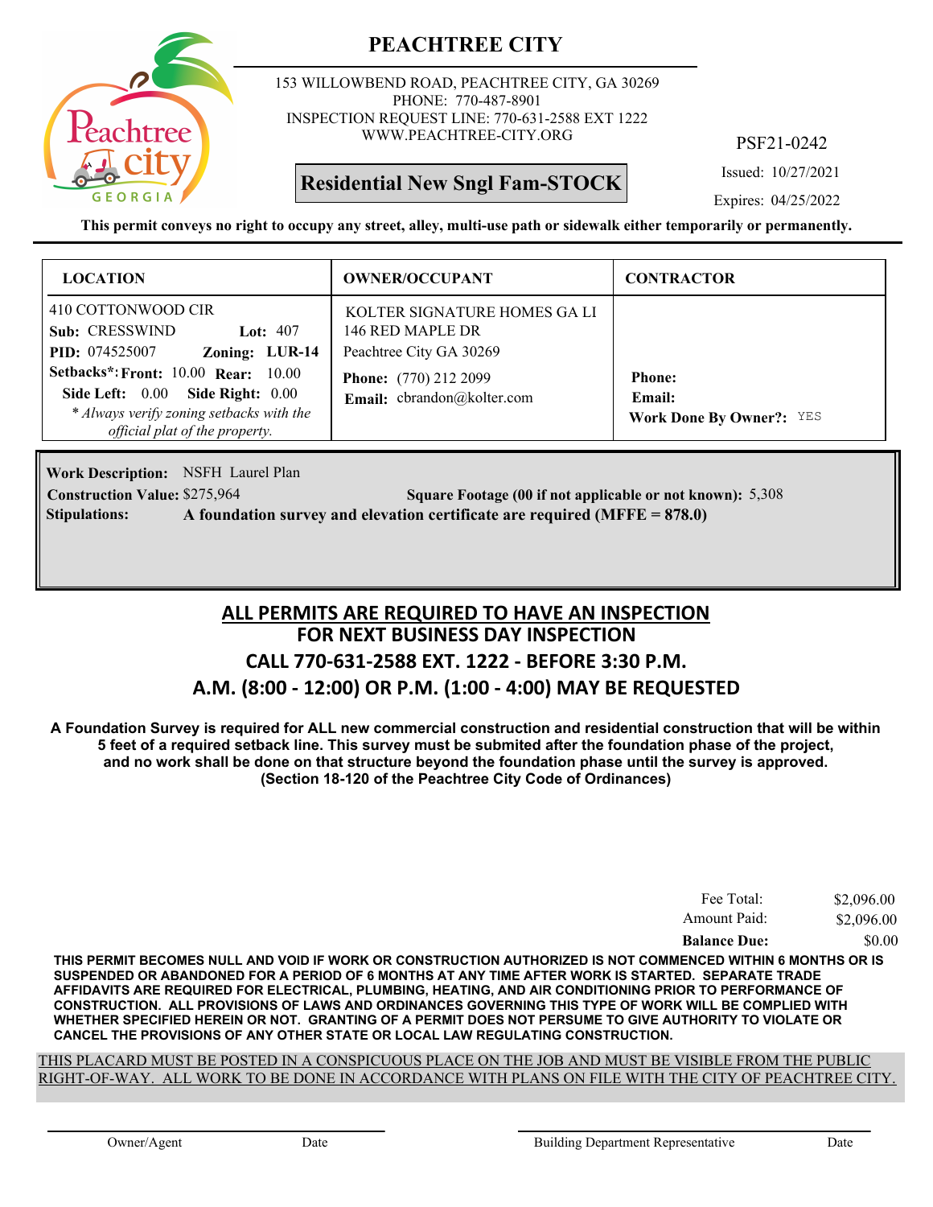

153 WILLOWBEND ROAD, PEACHTREE CITY, GA 30269 PHONE: 770-487-8901 INSPECTION REQUEST LINE: 770-631-2588 EXT 1222 WWW.PEACHTREE-CITY.ORG

**Residential New Sngl Fam-STOCK**

PSF21-0242

Issued: 10/27/2021

Expires: 04/25/2022

**This permit conveys no right to occupy any street, alley, multi-use path or sidewalk either temporarily or permanently.**

| <b>LOCATION</b>                                                                                                                                                                 | <b>OWNER/OCCUPANT</b>                                                                                                                     | <b>CONTRACTOR</b>               |
|---------------------------------------------------------------------------------------------------------------------------------------------------------------------------------|-------------------------------------------------------------------------------------------------------------------------------------------|---------------------------------|
| 410 COTTONWOOD CIR<br>Sub: CRESSWIND<br>Lot: $407$<br>Zoning: LUR-14<br><b>PID:</b> 074525007<br><b>Setbacks*: Front: 10.00 Rear: 10.00</b><br>Side Left: 0.00 Side Right: 0.00 | KOLTER SIGNATURE HOMES GA LI<br>146 RED MAPLE DR<br>Peachtree City GA 30269<br><b>Phone:</b> (770) 212 2099<br>Email: cbrandon@kolter.com | <b>Phone:</b><br>Email:         |
| * Always verify zoning setbacks with the<br>official plat of the property.                                                                                                      |                                                                                                                                           | <b>Work Done By Owner?:</b> YES |

Work Description: NSFH Laurel Plan **Construction Value:** \$275,964 5,308 **Square Footage (00 if not applicable or not known):** 5,308 **Stipulations: A foundation survey and elevation certificate are required (MFFE = 878.0)**

## **FOR NEXT BUSINESS DAY INSPECTION CALL 770-631-2588 EXT. 1222 - BEFORE 3:30 P.M. A.M. (8:00 - 12:00) OR P.M. (1:00 - 4:00) MAY BE REQUESTED ALL PERMITS ARE REQUIRED TO HAVE AN INSPECTION**

**A Foundation Survey is required for ALL new commercial construction and residential construction that will be within 5 feet of a required setback line. This survey must be submited after the foundation phase of the project, and no work shall be done on that structure beyond the foundation phase until the survey is approved. (Section 18-120 of the Peachtree City Code of Ordinances)**

| Fee Total:          | \$2,096.00 |
|---------------------|------------|
| Amount Paid:        | \$2,096.00 |
| <b>Balance Due:</b> | \$0.00     |

**THIS PERMIT BECOMES NULL AND VOID IF WORK OR CONSTRUCTION AUTHORIZED IS NOT COMMENCED WITHIN 6 MONTHS OR IS SUSPENDED OR ABANDONED FOR A PERIOD OF 6 MONTHS AT ANY TIME AFTER WORK IS STARTED. SEPARATE TRADE AFFIDAVITS ARE REQUIRED FOR ELECTRICAL, PLUMBING, HEATING, AND AIR CONDITIONING PRIOR TO PERFORMANCE OF CONSTRUCTION. ALL PROVISIONS OF LAWS AND ORDINANCES GOVERNING THIS TYPE OF WORK WILL BE COMPLIED WITH WHETHER SPECIFIED HEREIN OR NOT. GRANTING OF A PERMIT DOES NOT PERSUME TO GIVE AUTHORITY TO VIOLATE OR CANCEL THE PROVISIONS OF ANY OTHER STATE OR LOCAL LAW REGULATING CONSTRUCTION.**